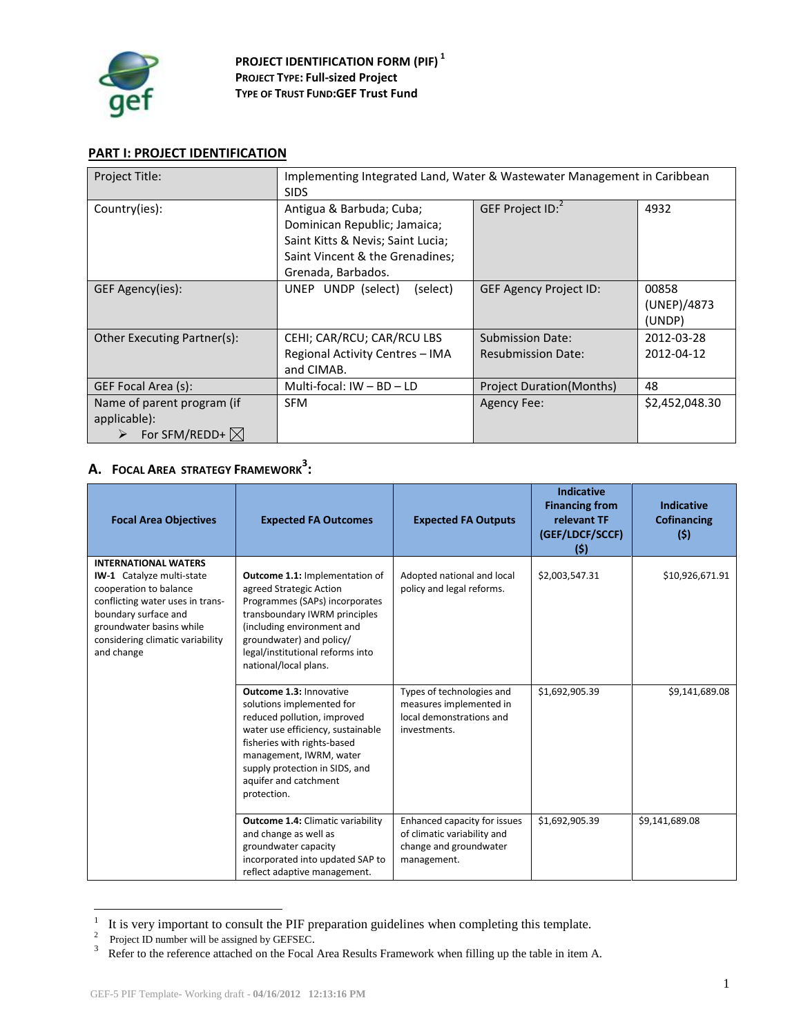

# **PART I: PROJECT IDENTIFICATION**

| Project Title:                                                          | Implementing Integrated Land, Water & Wastewater Management in Caribbean<br><b>SIDS</b>                                                                |                                                      |                                |
|-------------------------------------------------------------------------|--------------------------------------------------------------------------------------------------------------------------------------------------------|------------------------------------------------------|--------------------------------|
| Country(ies):                                                           | Antigua & Barbuda; Cuba;<br>Dominican Republic; Jamaica;<br>Saint Kitts & Nevis; Saint Lucia;<br>Saint Vincent & the Grenadines;<br>Grenada, Barbados. | GEF Project ID: <sup>2</sup>                         | 4932                           |
| GEF Agency(ies):                                                        | UNEP UNDP (select)<br>(select)                                                                                                                         | <b>GEF Agency Project ID:</b>                        | 00858<br>(UNEP)/4873<br>(UNDP) |
| Other Executing Partner(s):                                             | CEHI; CAR/RCU; CAR/RCU LBS<br>Regional Activity Centres - IMA<br>and CIMAB.                                                                            | <b>Submission Date:</b><br><b>Resubmission Date:</b> | 2012-03-28<br>2012-04-12       |
| GEF Focal Area (s):                                                     | Multi-focal: $IW - BD - LD$                                                                                                                            | <b>Project Duration (Months)</b>                     | 48                             |
| Name of parent program (if<br>applicable):<br>For SFM/REDD+ $\boxtimes$ | <b>SFM</b>                                                                                                                                             | <b>Agency Fee:</b>                                   | \$2,452,048.30                 |

# **A. FOCAL AREA STRATEGY FRAMEWORK<sup>3</sup> :**

| <b>Focal Area Objectives</b>                                                                                                                                                                                                        | <b>Expected FA Outcomes</b>                                                                                                                                                                                                                                         | <b>Expected FA Outputs</b>                                                                           | <b>Indicative</b><br><b>Financing from</b><br>relevant TF<br>(GEF/LDCF/SCCF)<br>(5) | <b>Indicative</b><br><b>Cofinancing</b><br>(5) |
|-------------------------------------------------------------------------------------------------------------------------------------------------------------------------------------------------------------------------------------|---------------------------------------------------------------------------------------------------------------------------------------------------------------------------------------------------------------------------------------------------------------------|------------------------------------------------------------------------------------------------------|-------------------------------------------------------------------------------------|------------------------------------------------|
| <b>INTERNATIONAL WATERS</b><br><b>IW-1</b> Catalyze multi-state<br>cooperation to balance<br>conflicting water uses in trans-<br>boundary surface and<br>groundwater basins while<br>considering climatic variability<br>and change | Outcome 1.1: Implementation of<br>agreed Strategic Action<br>Programmes (SAPs) incorporates<br>transboundary IWRM principles<br>(including environment and<br>groundwater) and policy/<br>legal/institutional reforms into<br>national/local plans.                 | Adopted national and local<br>policy and legal reforms.                                              | \$2,003,547.31                                                                      | \$10,926,671.91                                |
|                                                                                                                                                                                                                                     | <b>Outcome 1.3: Innovative</b><br>solutions implemented for<br>reduced pollution, improved<br>water use efficiency, sustainable<br>fisheries with rights-based<br>management, IWRM, water<br>supply protection in SIDS, and<br>aquifer and catchment<br>protection. | Types of technologies and<br>measures implemented in<br>local demonstrations and<br>investments.     | \$1,692,905.39                                                                      | \$9,141,689.08                                 |
|                                                                                                                                                                                                                                     | Outcome 1.4: Climatic variability<br>and change as well as<br>groundwater capacity<br>incorporated into updated SAP to<br>reflect adaptive management.                                                                                                              | Enhanced capacity for issues<br>of climatic variability and<br>change and groundwater<br>management. | \$1,692,905.39                                                                      | \$9,141,689.08                                 |

<sup>&</sup>lt;sup>1</sup> It is very important to consult the PIF preparation guidelines when completing this template.<br><sup>2</sup> Project ID number will be assigned by GEFSEC.

<sup>&</sup>lt;sup>3</sup> Refer to the reference attached on the Focal Area Results Framework when filling up the table in item A.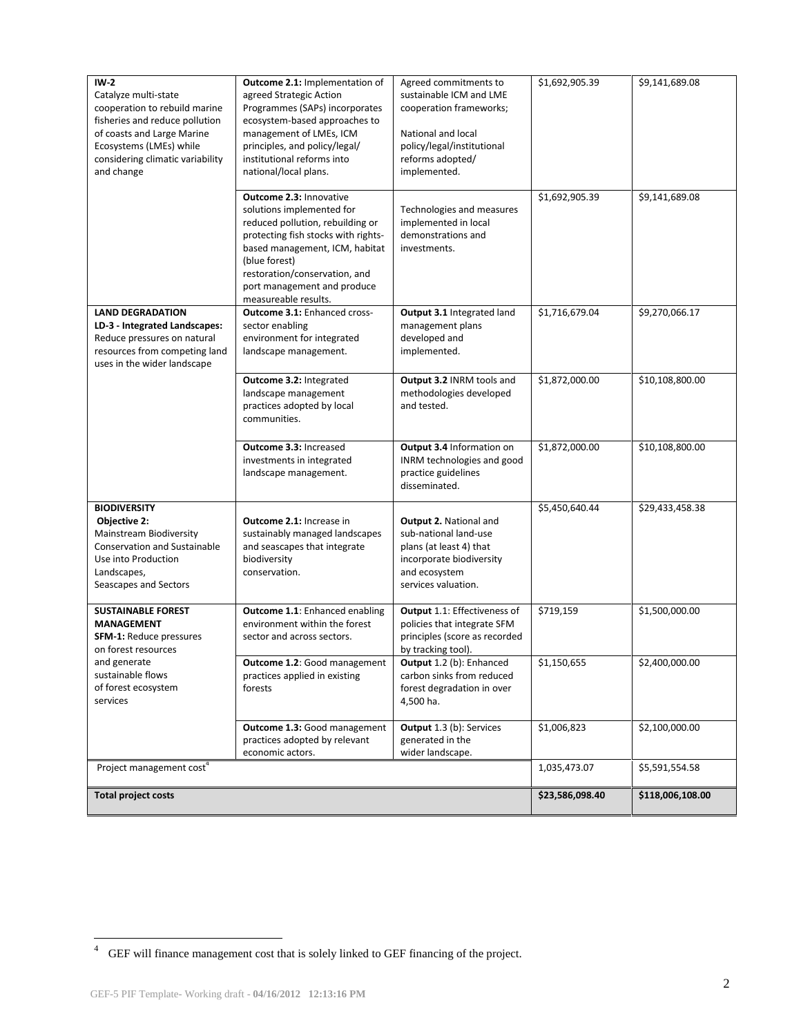| $IW-2$<br>Catalyze multi-state<br>cooperation to rebuild marine<br>fisheries and reduce pollution<br>of coasts and Large Marine<br>Ecosystems (LMEs) while<br>considering climatic variability<br>and change | Outcome 2.1: Implementation of<br>agreed Strategic Action<br>Programmes (SAPs) incorporates<br>ecosystem-based approaches to<br>management of LMEs, ICM<br>principles, and policy/legal/<br>institutional reforms into<br>national/local plans.                            | Agreed commitments to<br>sustainable ICM and LME<br>cooperation frameworks;<br>National and local<br>policy/legal/institutional<br>reforms adopted/<br>implemented. | \$1,692,905.39  | \$9,141,689.08   |
|--------------------------------------------------------------------------------------------------------------------------------------------------------------------------------------------------------------|----------------------------------------------------------------------------------------------------------------------------------------------------------------------------------------------------------------------------------------------------------------------------|---------------------------------------------------------------------------------------------------------------------------------------------------------------------|-----------------|------------------|
|                                                                                                                                                                                                              | Outcome 2.3: Innovative<br>solutions implemented for<br>reduced pollution, rebuilding or<br>protecting fish stocks with rights-<br>based management, ICM, habitat<br>(blue forest)<br>restoration/conservation, and<br>port management and produce<br>measureable results. | Technologies and measures<br>implemented in local<br>demonstrations and<br>investments.                                                                             | \$1,692,905.39  | \$9,141,689.08   |
| <b>LAND DEGRADATION</b><br>LD-3 - Integrated Landscapes:<br>Reduce pressures on natural<br>resources from competing land<br>uses in the wider landscape                                                      | <b>Outcome 3.1: Enhanced cross-</b><br>sector enabling<br>environment for integrated<br>landscape management.                                                                                                                                                              | Output 3.1 Integrated land<br>management plans<br>developed and<br>implemented.                                                                                     | \$1,716,679.04  | \$9,270,066.17   |
|                                                                                                                                                                                                              | Outcome 3.2: Integrated<br>landscape management<br>practices adopted by local<br>communities.                                                                                                                                                                              | Output 3.2 INRM tools and<br>methodologies developed<br>and tested.                                                                                                 | \$1,872,000.00  | \$10,108,800.00  |
|                                                                                                                                                                                                              | Outcome 3.3: Increased<br>investments in integrated<br>landscape management.                                                                                                                                                                                               | Output 3.4 Information on<br>INRM technologies and good<br>practice guidelines<br>disseminated.                                                                     | \$1,872,000.00  | \$10,108,800.00  |
| <b>BIODIVERSITY</b><br>Objective 2:<br>Mainstream Biodiversity<br><b>Conservation and Sustainable</b><br>Use into Production<br>Landscapes,<br>Seascapes and Sectors                                         | <b>Outcome 2.1: Increase in</b><br>sustainably managed landscapes<br>and seascapes that integrate<br>biodiversity<br>conservation.                                                                                                                                         | Output 2. National and<br>sub-national land-use<br>plans (at least 4) that<br>incorporate biodiversity<br>and ecosystem<br>services valuation.                      | \$5,450,640.44  | \$29,433,458.38  |
| <b>SUSTAINABLE FOREST</b><br><b>MANAGEMENT</b><br><b>SFM-1: Reduce pressures</b><br>on forest resources                                                                                                      | Outcome 1.1: Enhanced enabling<br>environment within the forest<br>sector and across sectors.                                                                                                                                                                              | Output 1.1: Effectiveness of<br>policies that integrate SFM<br>principles (score as recorded<br>by tracking tool).                                                  | \$719,159       | \$1,500,000.00   |
| and generate<br>sustainable flows<br>of forest ecosystem<br>services                                                                                                                                         | Outcome 1.2: Good management<br>practices applied in existing<br>forests                                                                                                                                                                                                   | Output 1.2 (b): Enhanced<br>carbon sinks from reduced<br>forest degradation in over<br>4,500 ha.                                                                    | \$1,150,655     | \$2,400,000.00   |
|                                                                                                                                                                                                              | Outcome 1.3: Good management<br>practices adopted by relevant<br>economic actors.                                                                                                                                                                                          | Output 1.3 (b): Services<br>generated in the<br>wider landscape.                                                                                                    | \$1,006,823     | \$2,100,000.00   |
| Project management cost <sup>4</sup>                                                                                                                                                                         |                                                                                                                                                                                                                                                                            | 1,035,473.07                                                                                                                                                        | \$5,591,554.58  |                  |
| <b>Total project costs</b>                                                                                                                                                                                   |                                                                                                                                                                                                                                                                            |                                                                                                                                                                     | \$23,586,098.40 | \$118,006,108.00 |

 4 GEF will finance management cost that is solely linked to GEF financing of the project.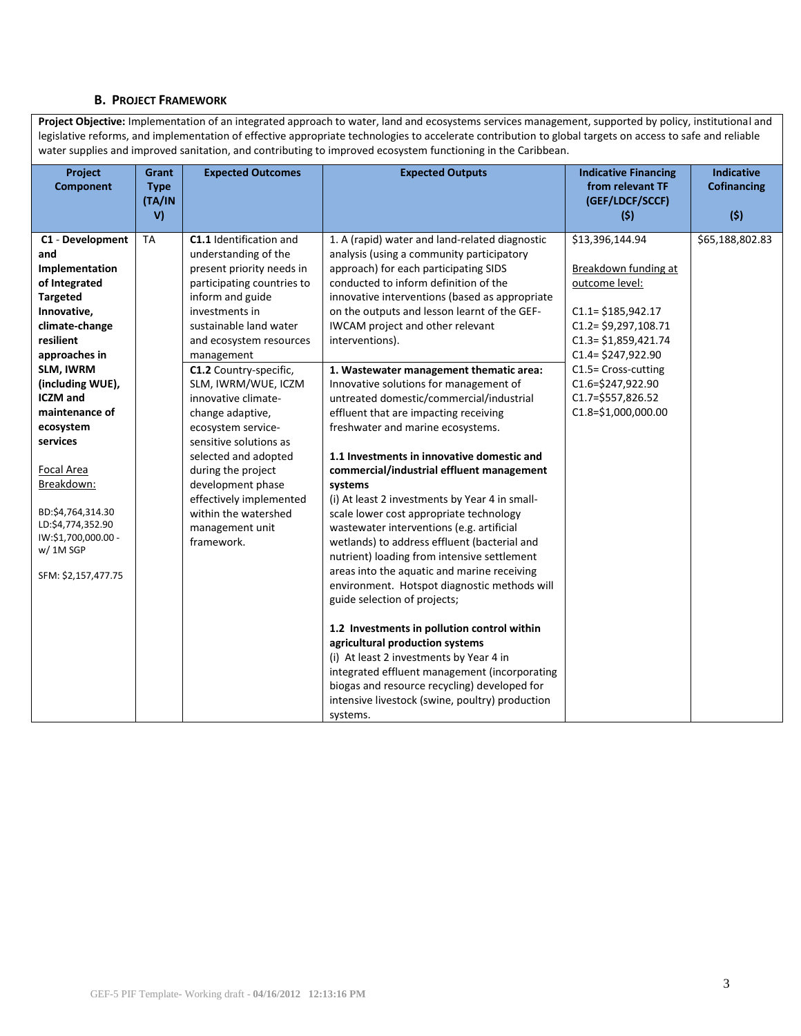#### **B. PROJECT FRAMEWORK**

Project Objective: Implementation of an integrated approach to water, land and ecosystems services management, supported by policy, institutional and legislative reforms, and implementation of effective appropriate technologies to accelerate contribution to global targets on access to safe and reliable water supplies and improved sanitation, and contributing to improved ecosystem functioning in the Caribbean.

| (GEF/LDCF/SCCF)<br>(TA/IN<br>V)<br>(5)<br>(5)<br>\$13,396,144.94<br>\$65,188,802.83<br><b>TA</b><br><b>C1.1</b> Identification and<br>C1 - Development<br>1. A (rapid) water and land-related diagnostic<br>understanding of the<br>analysis (using a community participatory<br>and<br>Implementation<br>approach) for each participating SIDS<br>Breakdown funding at<br>present priority needs in                                                                                                                                                                                                                                                                                                                                                                                                                                                                                                                                                                                                                                                                                                                                                                                                                                                                                                                                                                                                                                                                                                                                                                                                                                                                                                                                                                                                                                                                                                                                                                                                                                                                                                                                                                                |  |
|-------------------------------------------------------------------------------------------------------------------------------------------------------------------------------------------------------------------------------------------------------------------------------------------------------------------------------------------------------------------------------------------------------------------------------------------------------------------------------------------------------------------------------------------------------------------------------------------------------------------------------------------------------------------------------------------------------------------------------------------------------------------------------------------------------------------------------------------------------------------------------------------------------------------------------------------------------------------------------------------------------------------------------------------------------------------------------------------------------------------------------------------------------------------------------------------------------------------------------------------------------------------------------------------------------------------------------------------------------------------------------------------------------------------------------------------------------------------------------------------------------------------------------------------------------------------------------------------------------------------------------------------------------------------------------------------------------------------------------------------------------------------------------------------------------------------------------------------------------------------------------------------------------------------------------------------------------------------------------------------------------------------------------------------------------------------------------------------------------------------------------------------------------------------------------------|--|
|                                                                                                                                                                                                                                                                                                                                                                                                                                                                                                                                                                                                                                                                                                                                                                                                                                                                                                                                                                                                                                                                                                                                                                                                                                                                                                                                                                                                                                                                                                                                                                                                                                                                                                                                                                                                                                                                                                                                                                                                                                                                                                                                                                                     |  |
| of Integrated<br>conducted to inform definition of the<br>participating countries to<br>outcome level:<br><b>Targeted</b><br>inform and guide<br>innovative interventions (based as appropriate<br>Innovative,<br>investments in<br>on the outputs and lesson learnt of the GEF-<br>$C1.1 = $185,942.17$<br>$C1.2 = $9,297,108.71$<br>climate-change<br>sustainable land water<br>IWCAM project and other relevant<br>resilient<br>$C1.3 = $1,859,421.74$<br>interventions).<br>and ecosystem resources<br>approaches in<br>$C1.4 = $247,922.90$<br>management<br>C1.5= Cross-cutting<br>SLM, IWRM<br>C1.2 Country-specific,<br>1. Wastewater management thematic area:<br>(including WUE),<br>C1.6=\$247,922.90<br>SLM, IWRM/WUE, ICZM<br>Innovative solutions for management of<br><b>ICZM</b> and<br>C1.7=\$557,826.52<br>innovative climate-<br>untreated domestic/commercial/industrial<br>C1.8=\$1,000,000.00<br>maintenance of<br>change adaptive,<br>effluent that are impacting receiving<br>ecosystem<br>ecosystem service-<br>freshwater and marine ecosystems.<br>services<br>sensitive solutions as<br>1.1 Investments in innovative domestic and<br>selected and adopted<br>Focal Area<br>during the project<br>commercial/industrial effluent management<br>Breakdown:<br>development phase<br>systems<br>effectively implemented<br>(i) At least 2 investments by Year 4 in small-<br>BD:\$4,764,314.30<br>within the watershed<br>scale lower cost appropriate technology<br>LD:\$4,774,352.90<br>wastewater interventions (e.g. artificial<br>management unit<br>IW:\$1,700,000.00 -<br>framework.<br>wetlands) to address effluent (bacterial and<br>w/ 1M SGP<br>nutrient) loading from intensive settlement<br>areas into the aquatic and marine receiving<br>SFM: \$2,157,477.75<br>environment. Hotspot diagnostic methods will<br>guide selection of projects;<br>1.2 Investments in pollution control within<br>agricultural production systems<br>(i) At least 2 investments by Year 4 in<br>integrated effluent management (incorporating<br>biogas and resource recycling) developed for<br>intensive livestock (swine, poultry) production<br>systems. |  |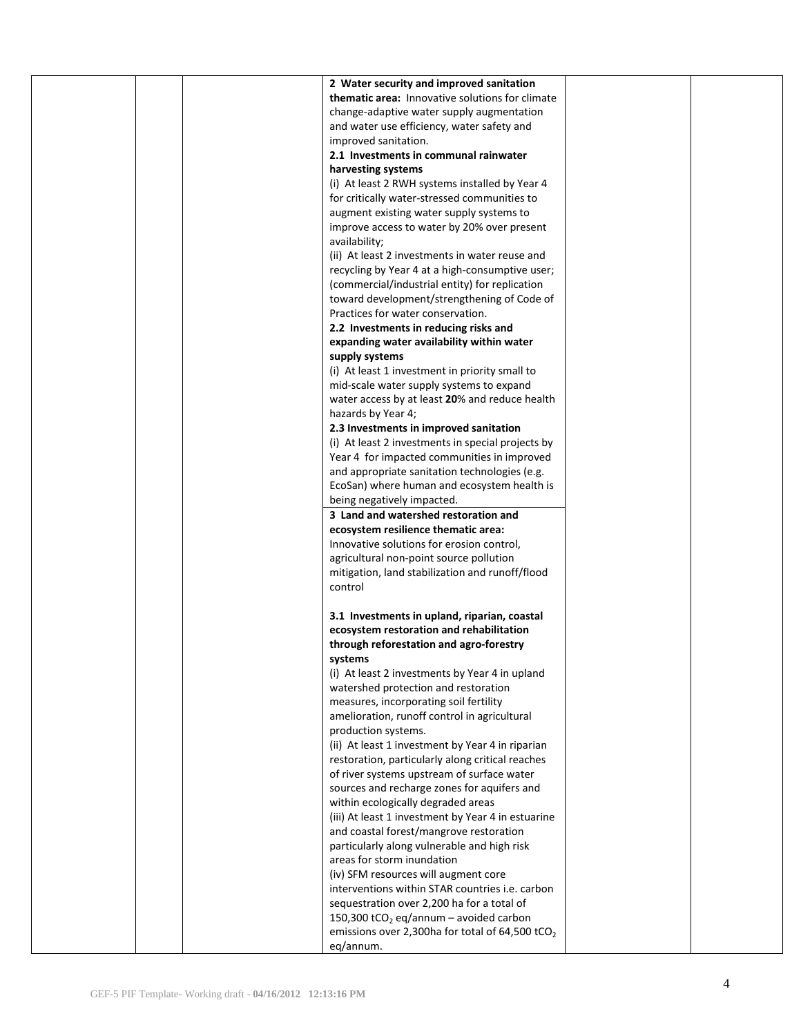|  | 2 Water security and improved sanitation                    |  |
|--|-------------------------------------------------------------|--|
|  | thematic area: Innovative solutions for climate             |  |
|  | change-adaptive water supply augmentation                   |  |
|  | and water use efficiency, water safety and                  |  |
|  | improved sanitation.                                        |  |
|  |                                                             |  |
|  | 2.1 Investments in communal rainwater                       |  |
|  | harvesting systems                                          |  |
|  | (i) At least 2 RWH systems installed by Year 4              |  |
|  | for critically water-stressed communities to                |  |
|  | augment existing water supply systems to                    |  |
|  | improve access to water by 20% over present                 |  |
|  | availability;                                               |  |
|  | (ii) At least 2 investments in water reuse and              |  |
|  | recycling by Year 4 at a high-consumptive user;             |  |
|  | (commercial/industrial entity) for replication              |  |
|  | toward development/strengthening of Code of                 |  |
|  | Practices for water conservation.                           |  |
|  | 2.2 Investments in reducing risks and                       |  |
|  | expanding water availability within water                   |  |
|  | supply systems                                              |  |
|  | (i) At least 1 investment in priority small to              |  |
|  | mid-scale water supply systems to expand                    |  |
|  | water access by at least 20% and reduce health              |  |
|  |                                                             |  |
|  | hazards by Year 4;                                          |  |
|  | 2.3 Investments in improved sanitation                      |  |
|  | (i) At least 2 investments in special projects by           |  |
|  | Year 4 for impacted communities in improved                 |  |
|  | and appropriate sanitation technologies (e.g.               |  |
|  | EcoSan) where human and ecosystem health is                 |  |
|  | being negatively impacted.                                  |  |
|  | 3 Land and watershed restoration and                        |  |
|  | ecosystem resilience thematic area:                         |  |
|  | Innovative solutions for erosion control,                   |  |
|  | agricultural non-point source pollution                     |  |
|  | mitigation, land stabilization and runoff/flood             |  |
|  | control                                                     |  |
|  |                                                             |  |
|  | 3.1 Investments in upland, riparian, coastal                |  |
|  | ecosystem restoration and rehabilitation                    |  |
|  | through reforestation and agro-forestry                     |  |
|  | systems                                                     |  |
|  | (i) At least 2 investments by Year 4 in upland              |  |
|  | watershed protection and restoration                        |  |
|  | measures, incorporating soil fertility                      |  |
|  | amelioration, runoff control in agricultural                |  |
|  |                                                             |  |
|  | production systems.                                         |  |
|  | (ii) At least 1 investment by Year 4 in riparian            |  |
|  | restoration, particularly along critical reaches            |  |
|  | of river systems upstream of surface water                  |  |
|  | sources and recharge zones for aquifers and                 |  |
|  | within ecologically degraded areas                          |  |
|  | (iii) At least 1 investment by Year 4 in estuarine          |  |
|  | and coastal forest/mangrove restoration                     |  |
|  | particularly along vulnerable and high risk                 |  |
|  | areas for storm inundation                                  |  |
|  | (iv) SFM resources will augment core                        |  |
|  | interventions within STAR countries i.e. carbon             |  |
|  | sequestration over 2,200 ha for a total of                  |  |
|  | 150,300 tCO <sub>2</sub> eq/annum - avoided carbon          |  |
|  | emissions over 2,300ha for total of 64,500 tCO <sub>2</sub> |  |
|  | eq/annum.                                                   |  |
|  |                                                             |  |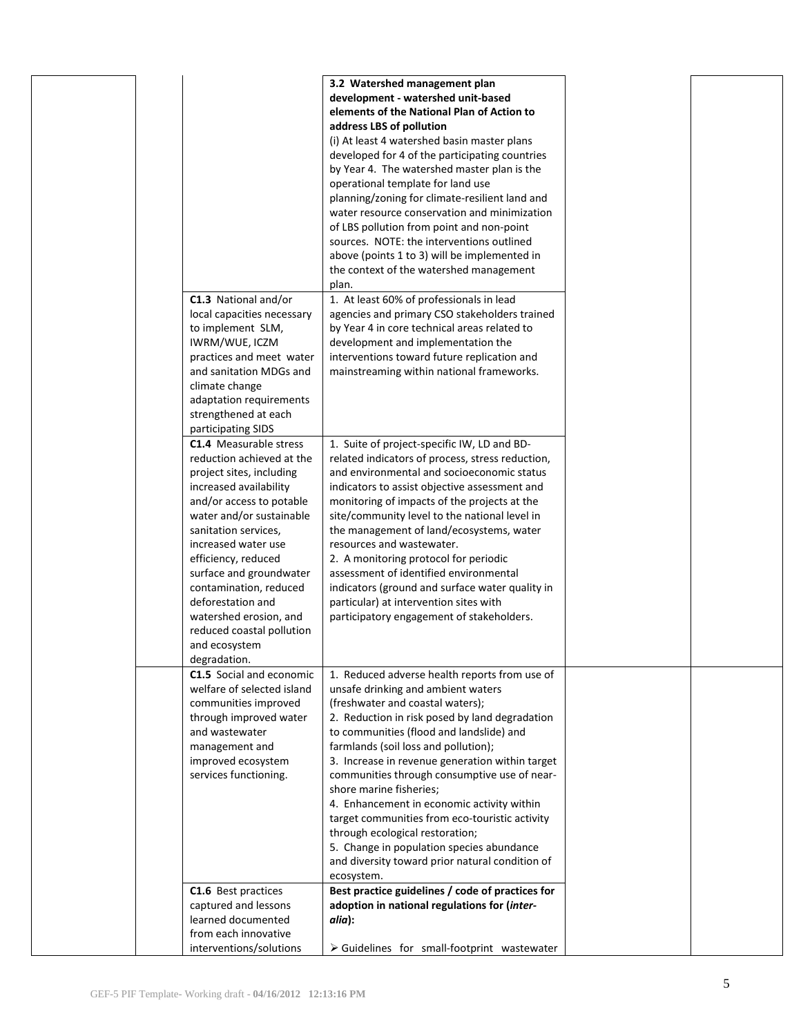| C1.3 National and/or<br>local capacities necessary<br>to implement SLM,<br>IWRM/WUE, ICZM<br>practices and meet water<br>and sanitation MDGs and<br>climate change<br>adaptation requirements<br>strengthened at each                                                                                                                                                                                                                  | 3.2 Watershed management plan<br>development - watershed unit-based<br>elements of the National Plan of Action to<br>address LBS of pollution<br>(i) At least 4 watershed basin master plans<br>developed for 4 of the participating countries<br>by Year 4. The watershed master plan is the<br>operational template for land use<br>planning/zoning for climate-resilient land and<br>water resource conservation and minimization<br>of LBS pollution from point and non-point<br>sources. NOTE: the interventions outlined<br>above (points 1 to 3) will be implemented in<br>the context of the watershed management<br>plan.<br>1. At least 60% of professionals in lead<br>agencies and primary CSO stakeholders trained<br>by Year 4 in core technical areas related to<br>development and implementation the<br>interventions toward future replication and<br>mainstreaming within national frameworks. |  |
|----------------------------------------------------------------------------------------------------------------------------------------------------------------------------------------------------------------------------------------------------------------------------------------------------------------------------------------------------------------------------------------------------------------------------------------|-------------------------------------------------------------------------------------------------------------------------------------------------------------------------------------------------------------------------------------------------------------------------------------------------------------------------------------------------------------------------------------------------------------------------------------------------------------------------------------------------------------------------------------------------------------------------------------------------------------------------------------------------------------------------------------------------------------------------------------------------------------------------------------------------------------------------------------------------------------------------------------------------------------------|--|
| participating SIDS<br><b>C1.4</b> Measurable stress<br>reduction achieved at the<br>project sites, including<br>increased availability<br>and/or access to potable<br>water and/or sustainable<br>sanitation services,<br>increased water use<br>efficiency, reduced<br>surface and groundwater<br>contamination, reduced<br>deforestation and<br>watershed erosion, and<br>reduced coastal pollution<br>and ecosystem<br>degradation. | 1. Suite of project-specific IW, LD and BD-<br>related indicators of process, stress reduction,<br>and environmental and socioeconomic status<br>indicators to assist objective assessment and<br>monitoring of impacts of the projects at the<br>site/community level to the national level in<br>the management of land/ecosystems, water<br>resources and wastewater.<br>2. A monitoring protocol for periodic<br>assessment of identified environmental<br>indicators (ground and surface water quality in<br>particular) at intervention sites with<br>participatory engagement of stakeholders.                                                                                                                                                                                                                                                                                                             |  |
| C1.5 Social and economic<br>welfare of selected island<br>communities improved<br>through improved water<br>and wastewater<br>management and<br>improved ecosystem<br>services functioning.<br>C1.6 Best practices<br>captured and lessons                                                                                                                                                                                             | 1. Reduced adverse health reports from use of<br>unsafe drinking and ambient waters<br>(freshwater and coastal waters);<br>2. Reduction in risk posed by land degradation<br>to communities (flood and landslide) and<br>farmlands (soil loss and pollution);<br>3. Increase in revenue generation within target<br>communities through consumptive use of near-<br>shore marine fisheries;<br>4. Enhancement in economic activity within<br>target communities from eco-touristic activity<br>through ecological restoration;<br>5. Change in population species abundance<br>and diversity toward prior natural condition of<br>ecosystem.<br>Best practice guidelines / code of practices for<br>adoption in national regulations for (inter-                                                                                                                                                                  |  |
| learned documented<br>from each innovative<br>interventions/solutions                                                                                                                                                                                                                                                                                                                                                                  | alia):<br>$\triangleright$ Guidelines for small-footprint wastewater                                                                                                                                                                                                                                                                                                                                                                                                                                                                                                                                                                                                                                                                                                                                                                                                                                              |  |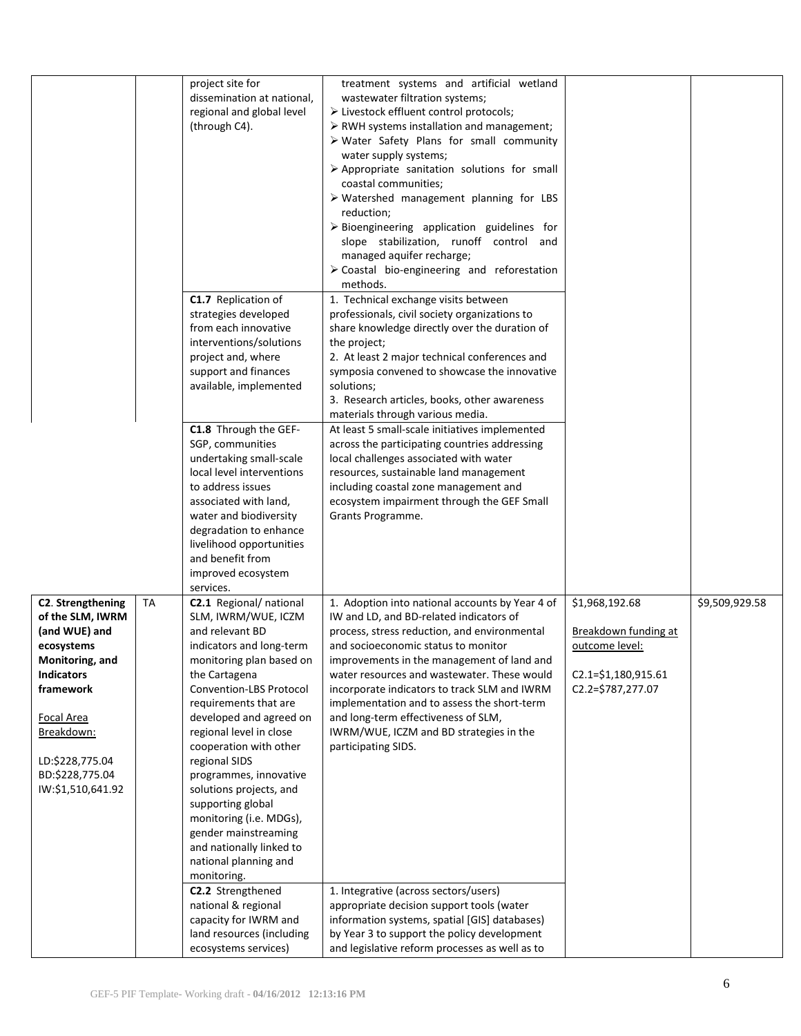|                                                                        |    | project site for<br>dissemination at national,<br>regional and global level<br>(through C4).                                                                                                                                                                                             | treatment systems and artificial wetland<br>wastewater filtration systems;<br>> Livestock effluent control protocols;<br>> RWH systems installation and management;<br>> Water Safety Plans for small community<br>water supply systems;<br>$\triangleright$ Appropriate sanitation solutions for small<br>coastal communities;<br>$\triangleright$ Watershed management planning for LBS<br>reduction;<br>$\triangleright$ Bioengineering application guidelines for<br>slope stabilization, runoff control and<br>managed aquifer recharge;<br>$\triangleright$ Coastal bio-engineering and reforestation<br>methods. |                                                          |                |
|------------------------------------------------------------------------|----|------------------------------------------------------------------------------------------------------------------------------------------------------------------------------------------------------------------------------------------------------------------------------------------|-------------------------------------------------------------------------------------------------------------------------------------------------------------------------------------------------------------------------------------------------------------------------------------------------------------------------------------------------------------------------------------------------------------------------------------------------------------------------------------------------------------------------------------------------------------------------------------------------------------------------|----------------------------------------------------------|----------------|
|                                                                        |    | C1.7 Replication of<br>strategies developed<br>from each innovative<br>interventions/solutions                                                                                                                                                                                           | 1. Technical exchange visits between<br>professionals, civil society organizations to<br>share knowledge directly over the duration of<br>the project;                                                                                                                                                                                                                                                                                                                                                                                                                                                                  |                                                          |                |
|                                                                        |    | project and, where<br>support and finances<br>available, implemented                                                                                                                                                                                                                     | 2. At least 2 major technical conferences and<br>symposia convened to showcase the innovative<br>solutions;<br>3. Research articles, books, other awareness                                                                                                                                                                                                                                                                                                                                                                                                                                                             |                                                          |                |
|                                                                        |    | C1.8 Through the GEF-<br>SGP, communities<br>undertaking small-scale<br>local level interventions<br>to address issues<br>associated with land,<br>water and biodiversity<br>degradation to enhance<br>livelihood opportunities<br>and benefit from<br>improved ecosystem<br>services.   | materials through various media.<br>At least 5 small-scale initiatives implemented<br>across the participating countries addressing<br>local challenges associated with water<br>resources, sustainable land management<br>including coastal zone management and<br>ecosystem impairment through the GEF Small<br>Grants Programme.                                                                                                                                                                                                                                                                                     |                                                          |                |
| C2. Strengthening<br>of the SLM, IWRM<br>(and WUE) and<br>ecosystems   | TA | C2.1 Regional/ national<br>SLM, IWRM/WUE, ICZM<br>and relevant BD<br>indicators and long-term                                                                                                                                                                                            | 1. Adoption into national accounts by Year 4 of<br>IW and LD, and BD-related indicators of<br>process, stress reduction, and environmental<br>and socioeconomic status to monitor                                                                                                                                                                                                                                                                                                                                                                                                                                       | \$1,968,192.68<br>Breakdown funding at<br>outcome level: | \$9,509,929.58 |
| Monitoring, and<br><b>Indicators</b><br>framework<br><b>Focal Area</b> |    | monitoring plan based on<br>the Cartagena<br>Convention-LBS Protocol<br>requirements that are<br>developed and agreed on                                                                                                                                                                 | improvements in the management of land and<br>water resources and wastewater. These would<br>incorporate indicators to track SLM and IWRM<br>implementation and to assess the short-term<br>and long-term effectiveness of SLM,                                                                                                                                                                                                                                                                                                                                                                                         | $C2.1 = $1,180,915.61$<br>C2.2=\$787,277.07              |                |
| Breakdown:<br>LD:\$228,775.04<br>BD:\$228,775.04<br>IW:\$1,510,641.92  |    | regional level in close<br>cooperation with other<br>regional SIDS<br>programmes, innovative<br>solutions projects, and<br>supporting global<br>monitoring (i.e. MDGs),<br>gender mainstreaming<br>and nationally linked to<br>national planning and<br>monitoring.<br>C2.2 Strengthened | IWRM/WUE, ICZM and BD strategies in the<br>participating SIDS.<br>1. Integrative (across sectors/users)                                                                                                                                                                                                                                                                                                                                                                                                                                                                                                                 |                                                          |                |
|                                                                        |    | national & regional<br>capacity for IWRM and<br>land resources (including<br>ecosystems services)                                                                                                                                                                                        | appropriate decision support tools (water<br>information systems, spatial [GIS] databases)<br>by Year 3 to support the policy development<br>and legislative reform processes as well as to                                                                                                                                                                                                                                                                                                                                                                                                                             |                                                          |                |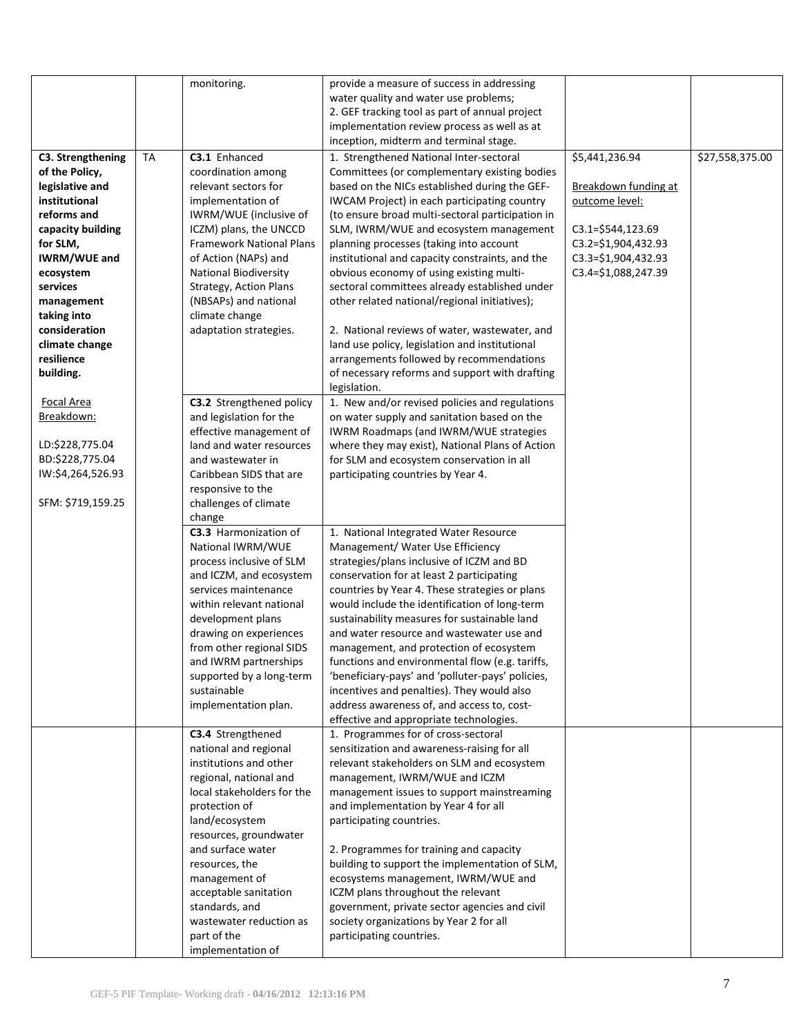|                     |           | monitoring.                     | provide a measure of success in addressing       |                       |                 |
|---------------------|-----------|---------------------------------|--------------------------------------------------|-----------------------|-----------------|
|                     |           |                                 | water quality and water use problems;            |                       |                 |
|                     |           |                                 | 2. GEF tracking tool as part of annual project   |                       |                 |
|                     |           |                                 | implementation review process as well as at      |                       |                 |
|                     |           |                                 | inception, midterm and terminal stage.           |                       |                 |
| C3. Strengthening   | <b>TA</b> | C3.1 Enhanced                   | 1. Strengthened National Inter-sectoral          | \$5,441,236.94        | \$27,558,375.00 |
| of the Policy,      |           | coordination among              | Committees (or complementary existing bodies     |                       |                 |
| legislative and     |           | relevant sectors for            | based on the NICs established during the GEF-    | Breakdown funding at  |                 |
| institutional       |           | implementation of               | IWCAM Project) in each participating country     | outcome level:        |                 |
| reforms and         |           | IWRM/WUE (inclusive of          | (to ensure broad multi-sectoral participation in |                       |                 |
| capacity building   |           | ICZM) plans, the UNCCD          | SLM, IWRM/WUE and ecosystem management           | $C3.1 = $544, 123.69$ |                 |
| for SLM,            |           | <b>Framework National Plans</b> | planning processes (taking into account          | C3.2=\$1,904,432.93   |                 |
| <b>IWRM/WUE and</b> |           | of Action (NAPs) and            | institutional and capacity constraints, and the  | C3.3=\$1,904,432.93   |                 |
| ecosystem           |           | <b>National Biodiversity</b>    | obvious economy of using existing multi-         | C3.4=\$1,088,247.39   |                 |
| services            |           | Strategy, Action Plans          | sectoral committees already established under    |                       |                 |
| management          |           | (NBSAPs) and national           | other related national/regional initiatives);    |                       |                 |
| taking into         |           | climate change                  |                                                  |                       |                 |
| consideration       |           | adaptation strategies.          | 2. National reviews of water, wastewater, and    |                       |                 |
| climate change      |           |                                 | land use policy, legislation and institutional   |                       |                 |
| resilience          |           |                                 | arrangements followed by recommendations         |                       |                 |
| building.           |           |                                 | of necessary reforms and support with drafting   |                       |                 |
|                     |           |                                 | legislation.                                     |                       |                 |
| <b>Focal Area</b>   |           | C3.2 Strengthened policy        | 1. New and/or revised policies and regulations   |                       |                 |
| Breakdown:          |           | and legislation for the         | on water supply and sanitation based on the      |                       |                 |
|                     |           | effective management of         | IWRM Roadmaps (and IWRM/WUE strategies           |                       |                 |
| LD:\$228,775.04     |           | land and water resources        | where they may exist), National Plans of Action  |                       |                 |
| BD:\$228,775.04     |           | and wastewater in               | for SLM and ecosystem conservation in all        |                       |                 |
| IW:\$4,264,526.93   |           | Caribbean SIDS that are         | participating countries by Year 4.               |                       |                 |
|                     |           | responsive to the               |                                                  |                       |                 |
| SFM: \$719,159.25   |           | challenges of climate           |                                                  |                       |                 |
|                     |           | change                          |                                                  |                       |                 |
|                     |           | C3.3 Harmonization of           | 1. National Integrated Water Resource            |                       |                 |
|                     |           | National IWRM/WUE               | Management/ Water Use Efficiency                 |                       |                 |
|                     |           | process inclusive of SLM        | strategies/plans inclusive of ICZM and BD        |                       |                 |
|                     |           | and ICZM, and ecosystem         | conservation for at least 2 participating        |                       |                 |
|                     |           | services maintenance            | countries by Year 4. These strategies or plans   |                       |                 |
|                     |           | within relevant national        | would include the identification of long-term    |                       |                 |
|                     |           | development plans               | sustainability measures for sustainable land     |                       |                 |
|                     |           | drawing on experiences          | and water resource and wastewater use and        |                       |                 |
|                     |           | from other regional SIDS        | management, and protection of ecosystem          |                       |                 |
|                     |           | and IWRM partnerships           | functions and environmental flow (e.g. tariffs,  |                       |                 |
|                     |           | supported by a long-term        | 'beneficiary-pays' and 'polluter-pays' policies, |                       |                 |
|                     |           | sustainable                     | incentives and penalties). They would also       |                       |                 |
|                     |           | implementation plan.            | address awareness of, and access to, cost-       |                       |                 |
|                     |           |                                 | effective and appropriate technologies.          |                       |                 |
|                     |           | C3.4 Strengthened               | 1. Programmes for of cross-sectoral              |                       |                 |
|                     |           | national and regional           | sensitization and awareness-raising for all      |                       |                 |
|                     |           | institutions and other          | relevant stakeholders on SLM and ecosystem       |                       |                 |
|                     |           | regional, national and          | management, IWRM/WUE and ICZM                    |                       |                 |
|                     |           | local stakeholders for the      | management issues to support mainstreaming       |                       |                 |
|                     |           | protection of                   | and implementation by Year 4 for all             |                       |                 |
|                     |           | land/ecosystem                  | participating countries.                         |                       |                 |
|                     |           | resources, groundwater          |                                                  |                       |                 |
|                     |           | and surface water               | 2. Programmes for training and capacity          |                       |                 |
|                     |           | resources, the                  | building to support the implementation of SLM,   |                       |                 |
|                     |           | management of                   | ecosystems management, IWRM/WUE and              |                       |                 |
|                     |           | acceptable sanitation           | ICZM plans throughout the relevant               |                       |                 |
|                     |           | standards, and                  | government, private sector agencies and civil    |                       |                 |
|                     |           | wastewater reduction as         | society organizations by Year 2 for all          |                       |                 |
|                     |           | part of the                     | participating countries.                         |                       |                 |
|                     |           | implementation of               |                                                  |                       |                 |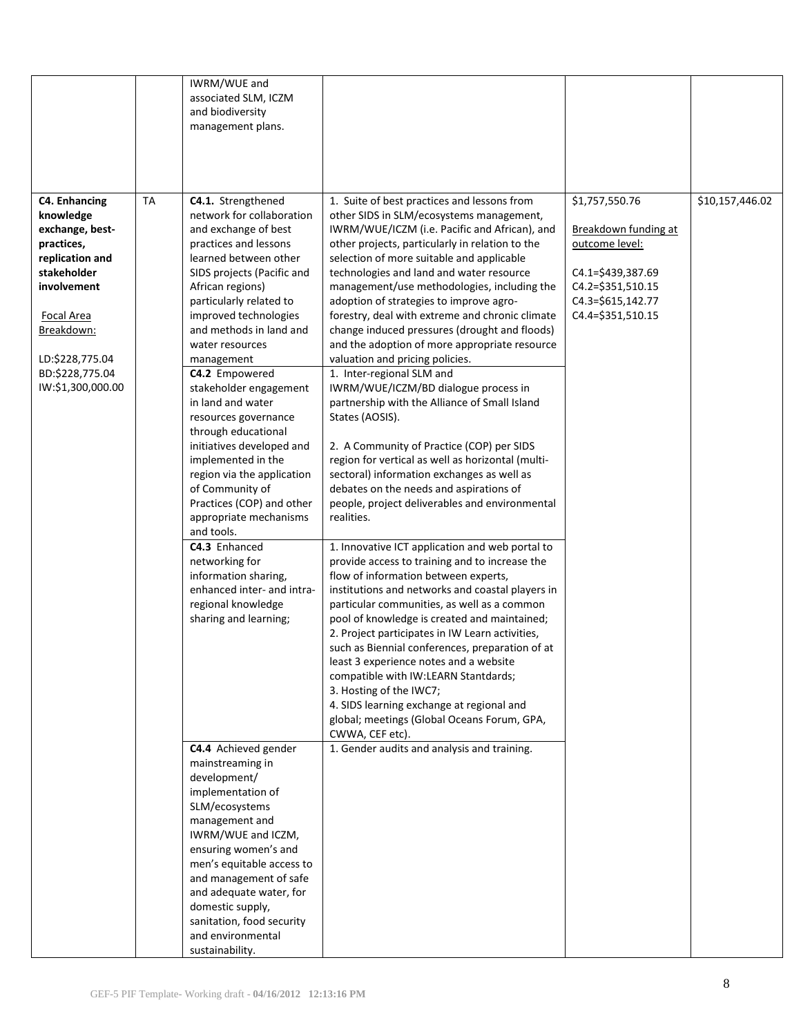|                                                                                                                                                                                                                   |           | IWRM/WUE and<br>associated SLM, ICZM<br>and biodiversity<br>management plans.                                                                                                                                                                                                                                                                                                                                                                                                                                                                                                                                                                                                                                                |                                                                                                                                                                                                                                                                                                                                                                                                                                                                                                                                                                                                                                                                                                                                                                                                                                                                                                                                                                                                                                                                                                                                                                                                                                                                                                                                                                                                                                                                                                                                                                                                              |                                                                                                                                              |                 |
|-------------------------------------------------------------------------------------------------------------------------------------------------------------------------------------------------------------------|-----------|------------------------------------------------------------------------------------------------------------------------------------------------------------------------------------------------------------------------------------------------------------------------------------------------------------------------------------------------------------------------------------------------------------------------------------------------------------------------------------------------------------------------------------------------------------------------------------------------------------------------------------------------------------------------------------------------------------------------------|--------------------------------------------------------------------------------------------------------------------------------------------------------------------------------------------------------------------------------------------------------------------------------------------------------------------------------------------------------------------------------------------------------------------------------------------------------------------------------------------------------------------------------------------------------------------------------------------------------------------------------------------------------------------------------------------------------------------------------------------------------------------------------------------------------------------------------------------------------------------------------------------------------------------------------------------------------------------------------------------------------------------------------------------------------------------------------------------------------------------------------------------------------------------------------------------------------------------------------------------------------------------------------------------------------------------------------------------------------------------------------------------------------------------------------------------------------------------------------------------------------------------------------------------------------------------------------------------------------------|----------------------------------------------------------------------------------------------------------------------------------------------|-----------------|
| <b>C4. Enhancing</b><br>knowledge<br>exchange, best-<br>practices,<br>replication and<br>stakeholder<br>involvement<br><b>Focal Area</b><br>Breakdown:<br>LD:\$228,775.04<br>BD:\$228,775.04<br>IW:\$1,300,000.00 | <b>TA</b> | C4.1. Strengthened<br>network for collaboration<br>and exchange of best<br>practices and lessons<br>learned between other<br>SIDS projects (Pacific and<br>African regions)<br>particularly related to<br>improved technologies<br>and methods in land and<br>water resources<br>management<br>C4.2 Empowered<br>stakeholder engagement<br>in land and water<br>resources governance<br>through educational<br>initiatives developed and<br>implemented in the<br>region via the application<br>of Community of<br>Practices (COP) and other<br>appropriate mechanisms<br>and tools.<br>C4.3 Enhanced<br>networking for<br>information sharing,<br>enhanced inter- and intra-<br>regional knowledge<br>sharing and learning; | 1. Suite of best practices and lessons from<br>other SIDS in SLM/ecosystems management,<br>IWRM/WUE/ICZM (i.e. Pacific and African), and<br>other projects, particularly in relation to the<br>selection of more suitable and applicable<br>technologies and land and water resource<br>management/use methodologies, including the<br>adoption of strategies to improve agro-<br>forestry, deal with extreme and chronic climate<br>change induced pressures (drought and floods)<br>and the adoption of more appropriate resource<br>valuation and pricing policies.<br>1. Inter-regional SLM and<br>IWRM/WUE/ICZM/BD dialogue process in<br>partnership with the Alliance of Small Island<br>States (AOSIS).<br>2. A Community of Practice (COP) per SIDS<br>region for vertical as well as horizontal (multi-<br>sectoral) information exchanges as well as<br>debates on the needs and aspirations of<br>people, project deliverables and environmental<br>realities.<br>1. Innovative ICT application and web portal to<br>provide access to training and to increase the<br>flow of information between experts,<br>institutions and networks and coastal players in<br>particular communities, as well as a common<br>pool of knowledge is created and maintained;<br>2. Project participates in IW Learn activities,<br>such as Biennial conferences, preparation of at<br>least 3 experience notes and a website<br>compatible with IW:LEARN Stantdards;<br>3. Hosting of the IWC7;<br>4. SIDS learning exchange at regional and<br>global; meetings (Global Oceans Forum, GPA,<br>CWWA, CEF etc). | \$1,757,550.76<br>Breakdown funding at<br>outcome level:<br>C4.1=\$439,387.69<br>C4.2=\$351,510.15<br>C4.3=\$615,142.77<br>C4.4=\$351,510.15 | \$10,157,446.02 |
|                                                                                                                                                                                                                   |           | C4.4 Achieved gender<br>mainstreaming in<br>development/<br>implementation of<br>SLM/ecosystems<br>management and<br>IWRM/WUE and ICZM,<br>ensuring women's and<br>men's equitable access to<br>and management of safe<br>and adequate water, for<br>domestic supply,<br>sanitation, food security<br>and environmental<br>sustainability.                                                                                                                                                                                                                                                                                                                                                                                   | 1. Gender audits and analysis and training.                                                                                                                                                                                                                                                                                                                                                                                                                                                                                                                                                                                                                                                                                                                                                                                                                                                                                                                                                                                                                                                                                                                                                                                                                                                                                                                                                                                                                                                                                                                                                                  |                                                                                                                                              |                 |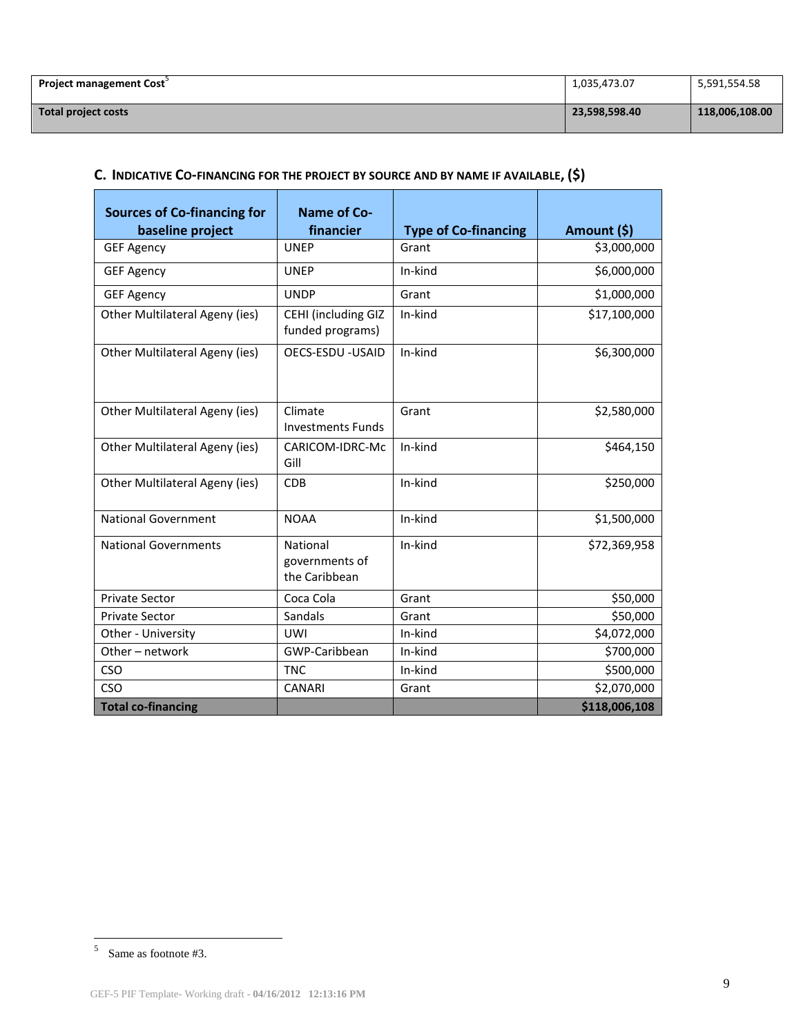| <b>Project management Cost</b> | 1,035,473.07  | 5,591,554.58   |
|--------------------------------|---------------|----------------|
| Total project costs            | 23,598,598.40 | 118,006,108.00 |

# **C. INDICATIVE CO-[FINANCING](http://gefweb.org/Documents/Council_Documents/GEF_C21/C.20.6.Rev.1.pdf) FOR THE PROJECT BY SOURCE AND BY NAME IF AVAILABLE, (\$)**

| <b>Sources of Co-financing for</b><br>baseline project | Name of Co-<br>financier                    | <b>Type of Co-financing</b> | Amount (\$)   |
|--------------------------------------------------------|---------------------------------------------|-----------------------------|---------------|
| <b>GEF Agency</b>                                      | <b>UNEP</b>                                 | Grant                       | \$3,000,000   |
| <b>GEF Agency</b>                                      | <b>UNEP</b>                                 | In-kind                     | \$6,000,000   |
| <b>GEF Agency</b>                                      | <b>UNDP</b>                                 | Grant                       | \$1,000,000   |
| Other Multilateral Ageny (ies)                         | CEHI (including GIZ<br>funded programs)     | In-kind                     | \$17,100,000  |
| Other Multilateral Ageny (ies)                         | <b>OECS-ESDU - USAID</b>                    | In-kind                     | \$6,300,000   |
| Other Multilateral Ageny (ies)                         | Climate<br><b>Investments Funds</b>         | Grant                       | \$2,580,000   |
| Other Multilateral Ageny (ies)                         | CARICOM-IDRC-Mc<br>Gill                     | In-kind                     | \$464,150     |
| Other Multilateral Ageny (ies)                         | <b>CDB</b>                                  | In-kind                     | \$250,000     |
| <b>National Government</b>                             | <b>NOAA</b>                                 | In-kind                     | \$1,500,000   |
| <b>National Governments</b>                            | National<br>governments of<br>the Caribbean | In-kind                     | \$72,369,958  |
| <b>Private Sector</b>                                  | Coca Cola                                   | Grant                       | \$50,000      |
| <b>Private Sector</b>                                  | Sandals                                     | Grant                       | \$50,000      |
| Other - University                                     | <b>UWI</b>                                  | In-kind                     | \$4,072,000   |
| Other-network                                          | GWP-Caribbean                               | In-kind                     | \$700,000     |
| <b>CSO</b>                                             | <b>TNC</b>                                  | In-kind                     | \$500,000     |
| CSO                                                    | <b>CANARI</b>                               | Grant                       | \$2,070,000   |
| <b>Total co-financing</b>                              |                                             |                             | \$118,006,108 |

 $5$  Same as footnote #3.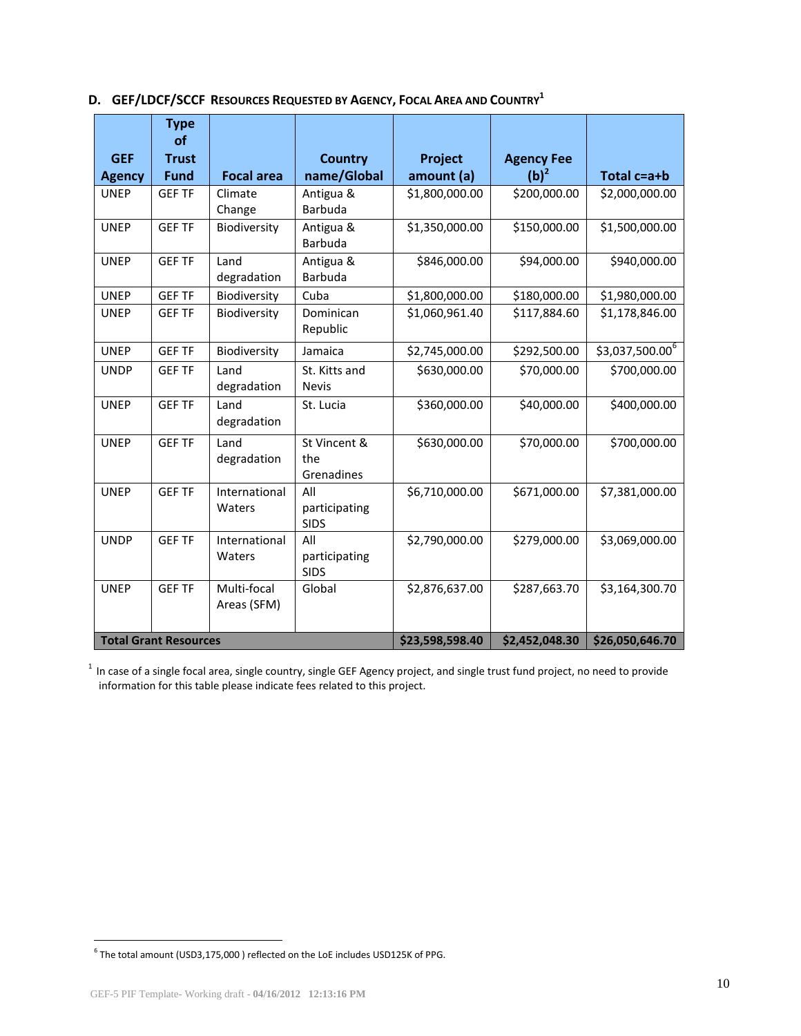|  |  | D. GEF/LDCF/SCCF RESOURCES REQUESTED BY AGENCY, FOCAL AREA AND COUNTRY <sup>1</sup> |
|--|--|-------------------------------------------------------------------------------------|
|--|--|-------------------------------------------------------------------------------------|

|                              | <b>Type</b><br><b>of</b> |                            |                                     |                |                   |                   |
|------------------------------|--------------------------|----------------------------|-------------------------------------|----------------|-------------------|-------------------|
| <b>GEF</b>                   | <b>Trust</b>             |                            | <b>Country</b>                      | Project        | <b>Agency Fee</b> |                   |
| <b>Agency</b>                | <b>Fund</b>              | <b>Focal area</b>          | name/Global                         | amount (a)     | $(b)^2$           | Total c=a+b       |
| <b>UNEP</b>                  | <b>GEF TF</b>            | Climate<br>Change          | Antigua &<br>Barbuda                | \$1,800,000.00 | \$200,000.00      | \$2,000,000.00    |
| <b>UNEP</b>                  | <b>GEF TF</b>            | Biodiversity               | Antigua &<br>Barbuda                | \$1,350,000.00 | \$150,000.00      | \$1,500,000.00    |
| <b>UNEP</b>                  | <b>GEF TF</b>            | Land<br>degradation        | Antigua &<br>Barbuda                | \$846,000.00   | \$94,000.00       | \$940,000.00      |
| <b>UNEP</b>                  | <b>GEF TF</b>            | Biodiversity               | Cuba                                | \$1,800,000.00 | \$180,000.00      | \$1,980,000.00    |
| <b>UNEP</b>                  | <b>GEF TF</b>            | Biodiversity               | Dominican<br>Republic               | \$1,060,961.40 | \$117,884.60      | \$1,178,846.00    |
| <b>UNEP</b>                  | <b>GEF TF</b>            | Biodiversity               | Jamaica                             | \$2,745,000.00 | \$292,500.00      | $$3,037,500.00^6$ |
| <b>UNDP</b>                  | <b>GEF TF</b>            | Land<br>degradation        | St. Kitts and<br><b>Nevis</b>       | \$630,000.00   | \$70,000.00       | \$700,000.00      |
| <b>UNEP</b>                  | <b>GEF TF</b>            | Land<br>degradation        | St. Lucia                           | \$360,000.00   | \$40,000.00       | \$400,000.00      |
| <b>UNEP</b>                  | <b>GEF TF</b>            | Land<br>degradation        | St Vincent &<br>the<br>Grenadines   | \$630,000.00   | \$70,000.00       | \$700,000.00      |
| <b>UNEP</b>                  | <b>GEF TF</b>            | International<br>Waters    | All<br>participating<br><b>SIDS</b> | \$6,710,000.00 | \$671,000.00      | \$7,381,000.00    |
| <b>UNDP</b>                  | <b>GEF TF</b>            | International<br>Waters    | All<br>participating<br><b>SIDS</b> | \$2,790,000.00 | \$279,000.00      | \$3,069,000.00    |
| <b>UNEP</b>                  | <b>GEF TF</b>            | Multi-focal<br>Areas (SFM) | Global                              | \$2,876,637.00 | \$287,663.70      | \$3,164,300.70    |
| <b>Total Grant Resources</b> |                          |                            | \$23,598,598.40                     | \$2,452,048.30 | \$26,050,646.70   |                   |

 $1$  In case of a single focal area, single country, single GEF Agency project, and single trust fund project, no need to provide information for this table please indicate fees related to this project.

 6 The total amount (USD3,175,000 ) reflected on the LoE includes USD125K of PPG.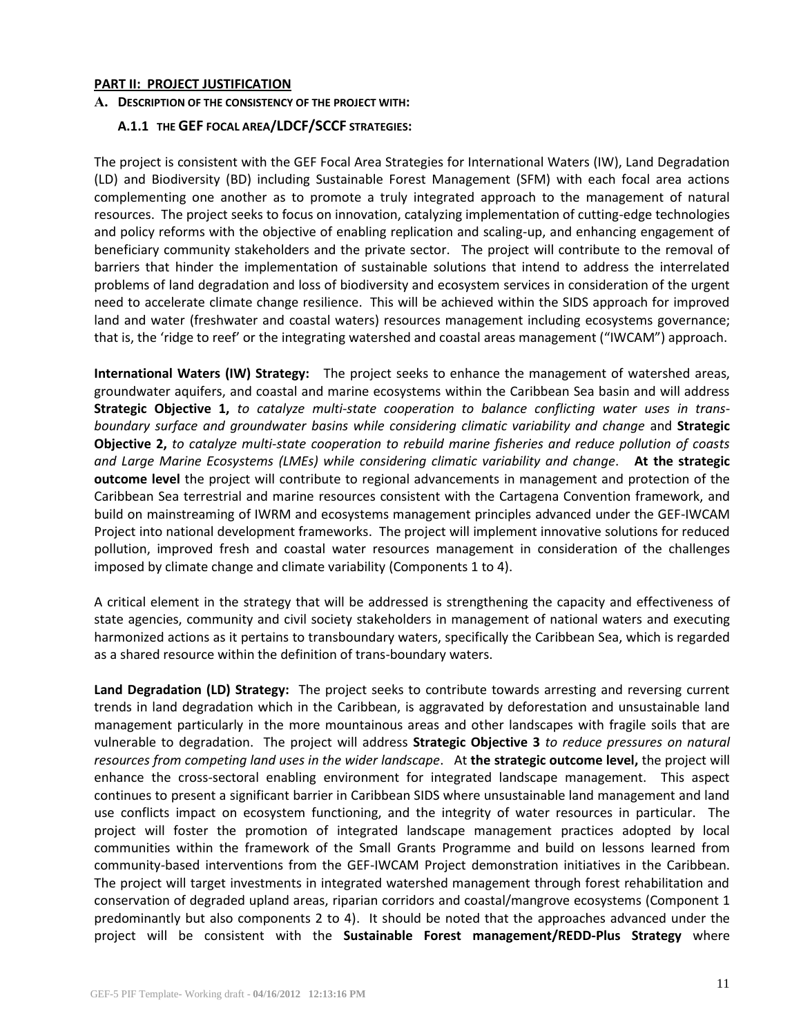#### **PART II: PROJECT JUSTIFICATION**

#### **A. DESCRIPTION OF THE CONSISTENCY OF THE PROJECT WITH:**

### **A.1.1 THE GEF [FOCAL AREA](http://www.thegef.org/gef/sites/thegef.org/files/documents/GEF.R.5.19.Rev_.1.2009.pdf)/[LDCF/SCCF](http://www.thegef.org/gef/sites/thegef.org/files/documents/Program%20strategy%20V.2.pdf) STRATEGIES:**

The project is consistent with the GEF Focal Area Strategies for International Waters (IW), Land Degradation (LD) and Biodiversity (BD) including Sustainable Forest Management (SFM) with each focal area actions complementing one another as to promote a truly integrated approach to the management of natural resources. The project seeks to focus on innovation, catalyzing implementation of cutting-edge technologies and policy reforms with the objective of enabling replication and scaling-up, and enhancing engagement of beneficiary community stakeholders and the private sector. The project will contribute to the removal of barriers that hinder the implementation of sustainable solutions that intend to address the interrelated problems of land degradation and loss of biodiversity and ecosystem services in consideration of the urgent need to accelerate climate change resilience. This will be achieved within the SIDS approach for improved land and water (freshwater and coastal waters) resources management including ecosystems governance; that is, the 'ridge to reef' or the integrating watershed and coastal areas management ("IWCAM") approach.

**International Waters (IW) Strategy:** The project seeks to enhance the management of watershed areas, groundwater aquifers, and coastal and marine ecosystems within the Caribbean Sea basin and will address **Strategic Objective 1,** *to catalyze multi-state cooperation to balance conflicting water uses in transboundary surface and groundwater basins while considering climatic variability and change* and **Strategic Objective 2,** *to catalyze multi-state cooperation to rebuild marine fisheries and reduce pollution of coasts and Large Marine Ecosystems (LMEs) while considering climatic variability and change*. **At the strategic outcome level** the project will contribute to regional advancements in management and protection of the Caribbean Sea terrestrial and marine resources consistent with the Cartagena Convention framework, and build on mainstreaming of IWRM and ecosystems management principles advanced under the GEF-IWCAM Project into national development frameworks. The project will implement innovative solutions for reduced pollution, improved fresh and coastal water resources management in consideration of the challenges imposed by climate change and climate variability (Components 1 to 4).

A critical element in the strategy that will be addressed is strengthening the capacity and effectiveness of state agencies, community and civil society stakeholders in management of national waters and executing harmonized actions as it pertains to transboundary waters, specifically the Caribbean Sea, which is regarded as a shared resource within the definition of trans-boundary waters.

**Land Degradation (LD) Strategy:** The project seeks to contribute towards arresting and reversing current trends in land degradation which in the Caribbean, is aggravated by deforestation and unsustainable land management particularly in the more mountainous areas and other landscapes with fragile soils that are vulnerable to degradation. The project will address **Strategic Objective 3** *to reduce pressures on natural resources from competing land uses in the wider landscape*. At **the strategic outcome level,** the project will enhance the cross-sectoral enabling environment for integrated landscape management. This aspect continues to present a significant barrier in Caribbean SIDS where unsustainable land management and land use conflicts impact on ecosystem functioning, and the integrity of water resources in particular. The project will foster the promotion of integrated landscape management practices adopted by local communities within the framework of the Small Grants Programme and build on lessons learned from community-based interventions from the GEF-IWCAM Project demonstration initiatives in the Caribbean. The project will target investments in integrated watershed management through forest rehabilitation and conservation of degraded upland areas, riparian corridors and coastal/mangrove ecosystems (Component 1 predominantly but also components 2 to 4). It should be noted that the approaches advanced under the project will be consistent with the **Sustainable Forest management/REDD-Plus Strategy** where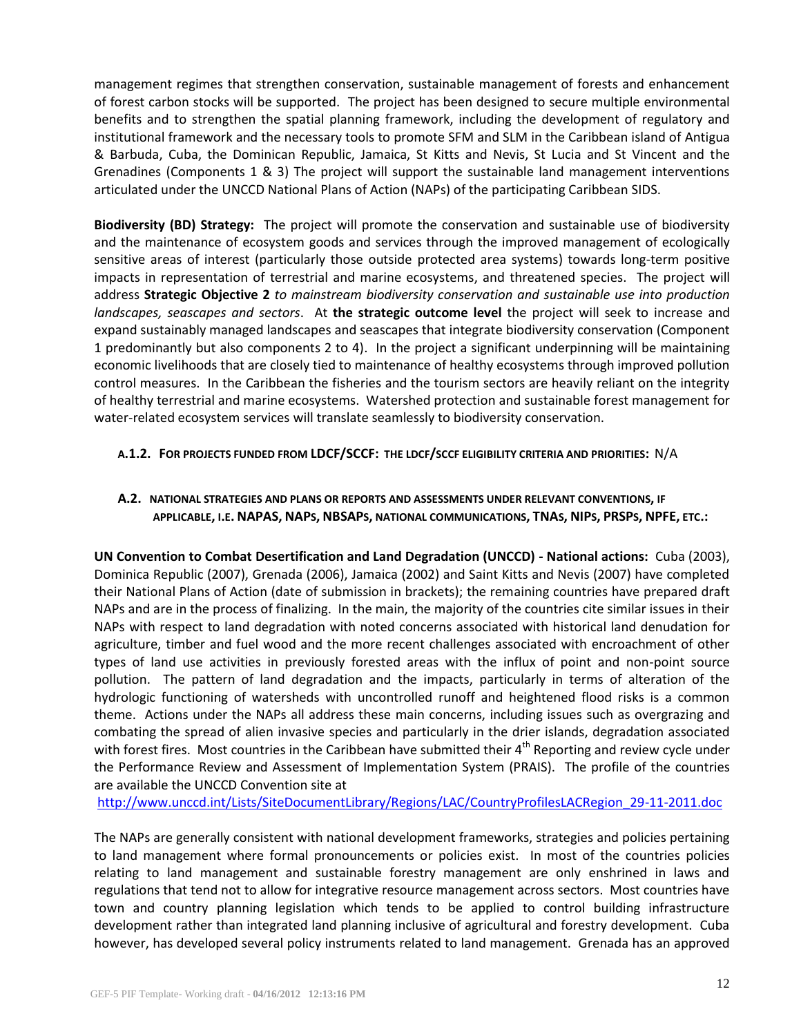management regimes that strengthen conservation, sustainable management of forests and enhancement of forest carbon stocks will be supported. The project has been designed to secure multiple environmental benefits and to strengthen the spatial planning framework, including the development of regulatory and institutional framework and the necessary tools to promote SFM and SLM in the Caribbean island of Antigua & Barbuda, Cuba, the Dominican Republic, Jamaica, St Kitts and Nevis, St Lucia and St Vincent and the Grenadines (Components 1 & 3) The project will support the sustainable land management interventions articulated under the UNCCD National Plans of Action (NAPs) of the participating Caribbean SIDS.

**Biodiversity (BD) Strategy:** The project will promote the conservation and sustainable use of biodiversity and the maintenance of ecosystem goods and services through the improved management of ecologically sensitive areas of interest (particularly those outside protected area systems) towards long-term positive impacts in representation of terrestrial and marine ecosystems, and threatened species. The project will address **Strategic Objective 2** *to mainstream biodiversity conservation and sustainable use into production landscapes, seascapes and sectors*. At **the strategic outcome level** the project will seek to increase and expand sustainably managed landscapes and seascapes that integrate biodiversity conservation (Component 1 predominantly but also components 2 to 4). In the project a significant underpinning will be maintaining economic livelihoods that are closely tied to maintenance of healthy ecosystems through improved pollution control measures. In the Caribbean the fisheries and the tourism sectors are heavily reliant on the integrity of healthy terrestrial and marine ecosystems. Watershed protection and sustainable forest management for water-related ecosystem services will translate seamlessly to biodiversity conservation.

# **A.1.2. FOR PROJECTS FUNDED FROM LDCF/SCCF: THE LDCF/SCCF ELIGIBILITY CRITERIA AND PRIORITIES:** N/A

# **A.2. NATIONAL STRATEGIES AND PLANS OR REPORTS AND ASSESSMENTS UNDER RELEVANT CONVENTIONS, IF**  APPLICABLE, I.E. NAPAS, NAPs, NBSAPs, NATIONAL COMMUNICATIONS, TNAS, NIPS, PRSPS, NPFE, ETC.:

**UN Convention to Combat Desertification and Land Degradation (UNCCD) - National actions:** Cuba (2003), Dominica Republic (2007), Grenada (2006), Jamaica (2002) and Saint Kitts and Nevis (2007) have completed their National Plans of Action (date of submission in brackets); the remaining countries have prepared draft NAPs and are in the process of finalizing. In the main, the majority of the countries cite similar issues in their NAPs with respect to land degradation with noted concerns associated with historical land denudation for agriculture, timber and fuel wood and the more recent challenges associated with encroachment of other types of land use activities in previously forested areas with the influx of point and non-point source pollution. The pattern of land degradation and the impacts, particularly in terms of alteration of the hydrologic functioning of watersheds with uncontrolled runoff and heightened flood risks is a common theme. Actions under the NAPs all address these main concerns, including issues such as overgrazing and combating the spread of alien invasive species and particularly in the drier islands, degradation associated with forest fires. Most countries in the Caribbean have submitted their  $4<sup>th</sup>$  Reporting and review cycle under the Performance Review and Assessment of Implementation System (PRAIS). The profile of the countries are available the UNCCD Convention site at

[http://www.unccd.int/Lists/SiteDocumentLibrary/Regions/LAC/CountryProfilesLACRegion\\_29-11-2011.doc](http://www.unccd.int/Lists/SiteDocumentLibrary/Regions/LAC/CountryProfilesLACRegion_29-11-2011.doc)

The NAPs are generally consistent with national development frameworks, strategies and policies pertaining to land management where formal pronouncements or policies exist. In most of the countries policies relating to land management and sustainable forestry management are only enshrined in laws and regulations that tend not to allow for integrative resource management across sectors. Most countries have town and country planning legislation which tends to be applied to control building infrastructure development rather than integrated land planning inclusive of agricultural and forestry development. Cuba however, has developed several policy instruments related to land management. Grenada has an approved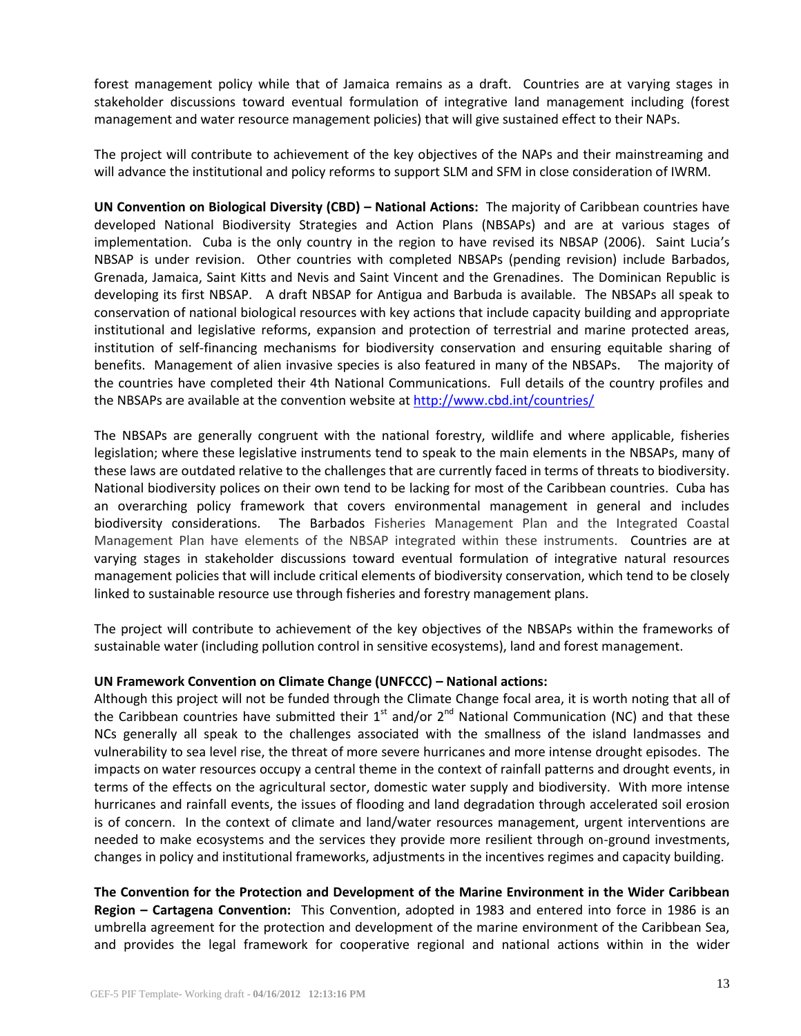forest management policy while that of Jamaica remains as a draft. Countries are at varying stages in stakeholder discussions toward eventual formulation of integrative land management including (forest management and water resource management policies) that will give sustained effect to their NAPs.

The project will contribute to achievement of the key objectives of the NAPs and their mainstreaming and will advance the institutional and policy reforms to support SLM and SFM in close consideration of IWRM.

**UN Convention on Biological Diversity (CBD) – National Actions:** The majority of Caribbean countries have developed National Biodiversity Strategies and Action Plans (NBSAPs) and are at various stages of implementation. Cuba is the only country in the region to have revised its NBSAP (2006). Saint Lucia's NBSAP is under revision. Other countries with completed NBSAPs (pending revision) include Barbados, Grenada, Jamaica, Saint Kitts and Nevis and Saint Vincent and the Grenadines. The Dominican Republic is developing its first NBSAP. A draft NBSAP for Antigua and Barbuda is available. The NBSAPs all speak to conservation of national biological resources with key actions that include capacity building and appropriate institutional and legislative reforms, expansion and protection of terrestrial and marine protected areas, institution of self-financing mechanisms for biodiversity conservation and ensuring equitable sharing of benefits. Management of alien invasive species is also featured in many of the NBSAPs. The majority of the countries have completed their 4th National Communications. Full details of the country profiles and the NBSAPs are available at the convention website at <http://www.cbd.int/countries/>

The NBSAPs are generally congruent with the national forestry, wildlife and where applicable, fisheries legislation; where these legislative instruments tend to speak to the main elements in the NBSAPs, many of these laws are outdated relative to the challenges that are currently faced in terms of threats to biodiversity. National biodiversity polices on their own tend to be lacking for most of the Caribbean countries. Cuba has an overarching policy framework that covers environmental management in general and includes biodiversity considerations. The Barbados Fisheries Management Plan and the Integrated Coastal Management Plan have elements of the NBSAP integrated within these instruments. Countries are at varying stages in stakeholder discussions toward eventual formulation of integrative natural resources management policies that will include critical elements of biodiversity conservation, which tend to be closely linked to sustainable resource use through fisheries and forestry management plans.

The project will contribute to achievement of the key objectives of the NBSAPs within the frameworks of sustainable water (including pollution control in sensitive ecosystems), land and forest management.

#### **UN Framework Convention on Climate Change (UNFCCC) – National actions:**

Although this project will not be funded through the Climate Change focal area, it is worth noting that all of the Caribbean countries have submitted their  $1^{st}$  and/or  $2^{nd}$  National Communication (NC) and that these NCs generally all speak to the challenges associated with the smallness of the island landmasses and vulnerability to sea level rise, the threat of more severe hurricanes and more intense drought episodes. The impacts on water resources occupy a central theme in the context of rainfall patterns and drought events, in terms of the effects on the agricultural sector, domestic water supply and biodiversity. With more intense hurricanes and rainfall events, the issues of flooding and land degradation through accelerated soil erosion is of concern. In the context of climate and land/water resources management, urgent interventions are needed to make ecosystems and the services they provide more resilient through on-ground investments, changes in policy and institutional frameworks, adjustments in the incentives regimes and capacity building.

**The Convention for the Protection and Development of the Marine Environment in the Wider Caribbean Region – Cartagena Convention:** This Convention, adopted in 1983 and entered into force in 1986 is an umbrella agreement for the protection and development of the marine environment of the Caribbean Sea, and provides the legal framework for cooperative regional and national actions within in the wider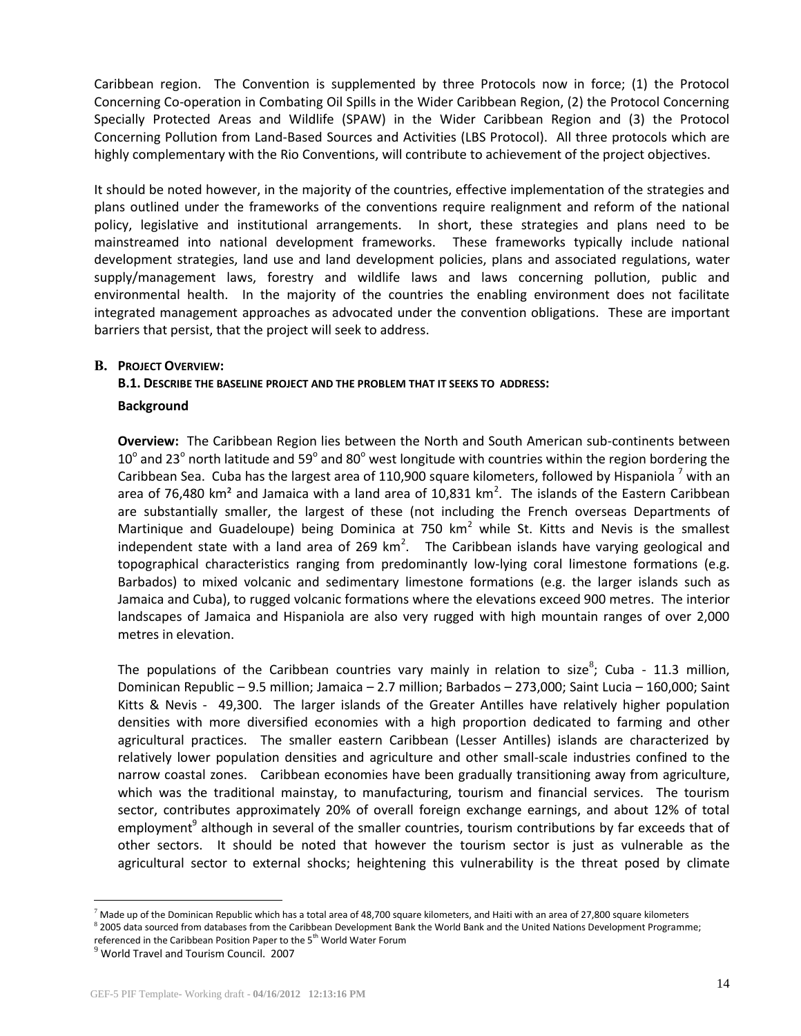Caribbean region. The Convention is supplemented by three Protocols now in force; (1) the Protocol Concerning Co-operation in Combating Oil Spills in the Wider Caribbean Region, (2) the Protocol Concerning Specially Protected Areas and Wildlife (SPAW) in the Wider Caribbean Region and (3) the Protocol Concerning Pollution from Land-Based Sources and Activities (LBS Protocol). All three protocols which are highly complementary with the Rio Conventions, will contribute to achievement of the project objectives.

It should be noted however, in the majority of the countries, effective implementation of the strategies and plans outlined under the frameworks of the conventions require realignment and reform of the national policy, legislative and institutional arrangements. In short, these strategies and plans need to be mainstreamed into national development frameworks. These frameworks typically include national development strategies, land use and land development policies, plans and associated regulations, water supply/management laws, forestry and wildlife laws and laws concerning pollution, public and environmental health. In the majority of the countries the enabling environment does not facilitate integrated management approaches as advocated under the convention obligations. These are important barriers that persist, that the project will seek to address.

## **B. PROJECT OVERVIEW:**

## **B.1. DESCRIBE THE BASELINE PROJECT AND THE PROBLEM THAT IT SEEKS TO ADDRESS:**

#### **Background**

**Overview:** The Caribbean Region lies between the North and South American sub-continents between 10 $^{\circ}$  and 23 $^{\circ}$  north latitude and 59 $^{\circ}$  and 80 $^{\circ}$  west longitude with countries within the region bordering the Caribbean Sea. Cuba has the largest area of 110,900 square kilometers, followed by Hispaniola  $<sup>7</sup>$  with an</sup> area of 76,480 km<sup>2</sup> and Jamaica with a land area of 10,831 km<sup>2</sup>. The islands of the Eastern Caribbean are substantially smaller, the largest of these (not including the French overseas Departments of Martinique and Guadeloupe) being Dominica at 750  $km^2$  while St. Kitts and Nevis is the smallest independent state with a land area of 269  $km^2$ . The Caribbean islands have varying geological and topographical characteristics ranging from predominantly low-lying coral limestone formations (e.g. Barbados) to mixed volcanic and sedimentary limestone formations (e.g. the larger islands such as Jamaica and Cuba), to rugged volcanic formations where the elevations exceed 900 metres. The interior landscapes of Jamaica and Hispaniola are also very rugged with high mountain ranges of over 2,000 metres in elevation.

The populations of the Caribbean countries vary mainly in relation to size<sup>8</sup>; Cuba - 11.3 million, Dominican Republic – 9.5 million; Jamaica – 2.7 million; Barbados – 273,000; Saint Lucia – 160,000; Saint Kitts & Nevis - 49,300. The larger islands of the Greater Antilles have relatively higher population densities with more diversified economies with a high proportion dedicated to farming and other agricultural practices. The smaller eastern Caribbean (Lesser Antilles) islands are characterized by relatively lower population densities and agriculture and other small-scale industries confined to the narrow coastal zones. Caribbean economies have been gradually transitioning away from agriculture, which was the traditional mainstay, to manufacturing, tourism and financial services. The tourism sector, contributes approximately 20% of overall foreign exchange earnings, and about 12% of total employment<sup>9</sup> although in several of the smaller countries, tourism contributions by far exceeds that of other sectors. It should be noted that however the tourism sector is just as vulnerable as the agricultural sector to external shocks; heightening this vulnerability is the threat posed by climate

 $\overline{a}$ 

 $^7$  Made up of the Dominican Republic which has a total area of 48,700 square kilometers, and Haiti with an area of 27,800 square kilometers

<sup>&</sup>lt;sup>8</sup> 2005 data sourced from databases from the Caribbean Development Bank the World Bank and the United Nations Development Programme;

referenced in the Caribbean Position Paper to the 5<sup>th</sup> World Water Forum

<sup>&</sup>lt;sup>9</sup> World Travel and Tourism Council. 2007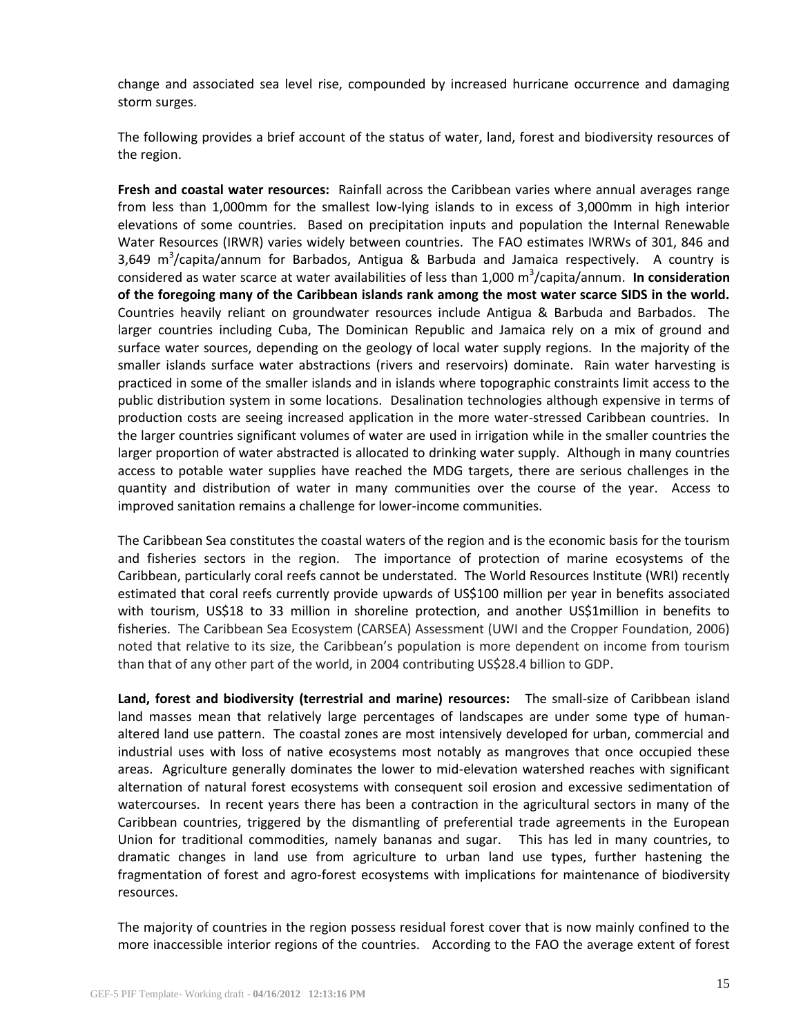change and associated sea level rise, compounded by increased hurricane occurrence and damaging storm surges.

The following provides a brief account of the status of water, land, forest and biodiversity resources of the region.

**Fresh and coastal water resources:** Rainfall across the Caribbean varies where annual averages range from less than 1,000mm for the smallest low-lying islands to in excess of 3,000mm in high interior elevations of some countries. Based on precipitation inputs and population the Internal Renewable Water Resources (IRWR) varies widely between countries. The FAO estimates IWRWs of 301, 846 and 3,649 m<sup>3</sup>/capita/annum for Barbados, Antigua & Barbuda and Jamaica respectively. A country is considered as water scarce at water availabilities of less than 1,000 m<sup>3</sup>/capita/annum. In consideration **of the foregoing many of the Caribbean islands rank among the most water scarce SIDS in the world.** Countries heavily reliant on groundwater resources include Antigua & Barbuda and Barbados. The larger countries including Cuba, The Dominican Republic and Jamaica rely on a mix of ground and surface water sources, depending on the geology of local water supply regions. In the majority of the smaller islands surface water abstractions (rivers and reservoirs) dominate. Rain water harvesting is practiced in some of the smaller islands and in islands where topographic constraints limit access to the public distribution system in some locations. Desalination technologies although expensive in terms of production costs are seeing increased application in the more water-stressed Caribbean countries. In the larger countries significant volumes of water are used in irrigation while in the smaller countries the larger proportion of water abstracted is allocated to drinking water supply. Although in many countries access to potable water supplies have reached the MDG targets, there are serious challenges in the quantity and distribution of water in many communities over the course of the year. Access to improved sanitation remains a challenge for lower-income communities.

The Caribbean Sea constitutes the coastal waters of the region and is the economic basis for the tourism and fisheries sectors in the region. The importance of protection of marine ecosystems of the Caribbean, particularly coral reefs cannot be understated. The World Resources Institute (WRI) recently estimated that coral reefs currently provide upwards of US\$100 million per year in benefits associated with tourism, US\$18 to 33 million in shoreline protection, and another US\$1million in benefits to fisheries. The Caribbean Sea Ecosystem (CARSEA) Assessment (UWI and the Cropper Foundation, 2006) noted that relative to its size, the Caribbean's population is more dependent on income from tourism than that of any other part of the world, in 2004 contributing US\$28.4 billion to GDP.

**Land, forest and biodiversity (terrestrial and marine) resources:** The small-size of Caribbean island land masses mean that relatively large percentages of landscapes are under some type of humanaltered land use pattern. The coastal zones are most intensively developed for urban, commercial and industrial uses with loss of native ecosystems most notably as mangroves that once occupied these areas. Agriculture generally dominates the lower to mid-elevation watershed reaches with significant alternation of natural forest ecosystems with consequent soil erosion and excessive sedimentation of watercourses. In recent years there has been a contraction in the agricultural sectors in many of the Caribbean countries, triggered by the dismantling of preferential trade agreements in the European Union for traditional commodities, namely bananas and sugar. This has led in many countries, to dramatic changes in land use from agriculture to urban land use types, further hastening the fragmentation of forest and agro-forest ecosystems with implications for maintenance of biodiversity resources.

The majority of countries in the region possess residual forest cover that is now mainly confined to the more inaccessible interior regions of the countries. According to the FAO the average extent of forest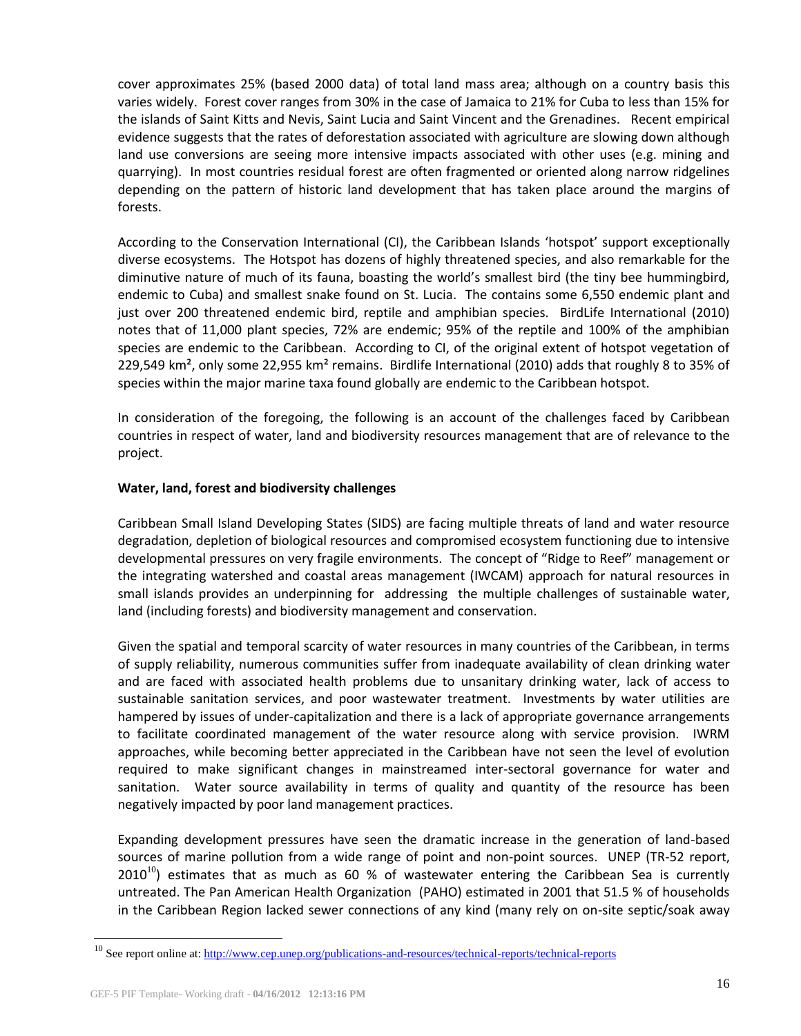cover approximates 25% (based 2000 data) of total land mass area; although on a country basis this varies widely. Forest cover ranges from 30% in the case of Jamaica to 21% for Cuba to less than 15% for the islands of Saint Kitts and Nevis, Saint Lucia and Saint Vincent and the Grenadines. Recent empirical evidence suggests that the rates of deforestation associated with agriculture are slowing down although land use conversions are seeing more intensive impacts associated with other uses (e.g. mining and quarrying). In most countries residual forest are often fragmented or oriented along narrow ridgelines depending on the pattern of historic land development that has taken place around the margins of forests.

According to the Conservation International (CI), the Caribbean Islands 'hotspot' support exceptionally diverse ecosystems. The Hotspot has dozens of highly threatened species, and also remarkable for the diminutive nature of much of its fauna, boasting the world's smallest bird (the tiny bee hummingbird, endemic to Cuba) and smallest snake found on St. Lucia. The contains some 6,550 endemic plant and just over 200 threatened endemic bird, reptile and amphibian species. BirdLife International (2010) notes that of 11,000 plant species, 72% are endemic; 95% of the reptile and 100% of the amphibian species are endemic to the Caribbean. According to CI, of the original extent of hotspot vegetation of 229,549 km<sup>2</sup>, only some 22,955 km<sup>2</sup> remains. Birdlife International (2010) adds that roughly 8 to 35% of species within the major marine taxa found globally are endemic to the Caribbean hotspot.

In consideration of the foregoing, the following is an account of the challenges faced by Caribbean countries in respect of water, land and biodiversity resources management that are of relevance to the project.

# **Water, land, forest and biodiversity challenges**

Caribbean Small Island Developing States (SIDS) are facing multiple threats of land and water resource degradation, depletion of biological resources and compromised ecosystem functioning due to intensive developmental pressures on very fragile environments. The concept of "Ridge to Reef" management or the integrating watershed and coastal areas management (IWCAM) approach for natural resources in small islands provides an underpinning for addressing the multiple challenges of sustainable water, land (including forests) and biodiversity management and conservation.

Given the spatial and temporal scarcity of water resources in many countries of the Caribbean, in terms of supply reliability, numerous communities suffer from inadequate availability of clean drinking water and are faced with associated health problems due to unsanitary drinking water, lack of access to sustainable sanitation services, and poor wastewater treatment. Investments by water utilities are hampered by issues of under-capitalization and there is a lack of appropriate governance arrangements to facilitate coordinated management of the water resource along with service provision. IWRM approaches, while becoming better appreciated in the Caribbean have not seen the level of evolution required to make significant changes in mainstreamed inter-sectoral governance for water and sanitation. Water source availability in terms of quality and quantity of the resource has been negatively impacted by poor land management practices.

Expanding development pressures have seen the dramatic increase in the generation of land-based sources of marine pollution from a wide range of point and non-point sources. UNEP (TR-52 report,  $2010^{10}$ ) estimates that as much as 60 % of wastewater entering the Caribbean Sea is currently untreated. The Pan American Health Organization (PAHO) estimated in 2001 that 51.5 % of households in the Caribbean Region lacked sewer connections of any kind (many rely on on-site septic/soak away

 $\overline{a}$ 

<sup>&</sup>lt;sup>10</sup> See report online at:<http://www.cep.unep.org/publications-and-resources/technical-reports/technical-reports>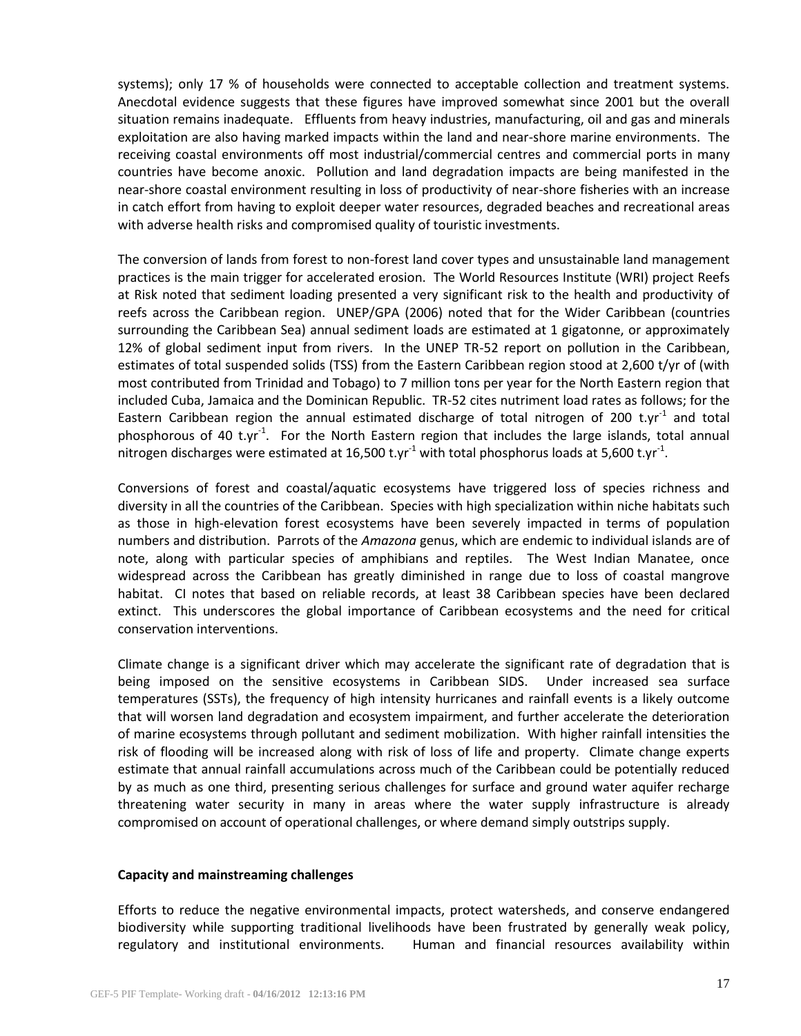systems); only 17 % of households were connected to acceptable collection and treatment systems. Anecdotal evidence suggests that these figures have improved somewhat since 2001 but the overall situation remains inadequate. Effluents from heavy industries, manufacturing, oil and gas and minerals exploitation are also having marked impacts within the land and near-shore marine environments. The receiving coastal environments off most industrial/commercial centres and commercial ports in many countries have become anoxic. Pollution and land degradation impacts are being manifested in the near-shore coastal environment resulting in loss of productivity of near-shore fisheries with an increase in catch effort from having to exploit deeper water resources, degraded beaches and recreational areas with adverse health risks and compromised quality of touristic investments.

The conversion of lands from forest to non-forest land cover types and unsustainable land management practices is the main trigger for accelerated erosion. The World Resources Institute (WRI) project Reefs at Risk noted that sediment loading presented a very significant risk to the health and productivity of reefs across the Caribbean region. UNEP/GPA (2006) noted that for the Wider Caribbean (countries surrounding the Caribbean Sea) annual sediment loads are estimated at 1 gigatonne, or approximately 12% of global sediment input from rivers. In the UNEP TR-52 report on pollution in the Caribbean, estimates of total suspended solids (TSS) from the Eastern Caribbean region stood at 2,600 t/yr of (with most contributed from Trinidad and Tobago) to 7 million tons per year for the North Eastern region that included Cuba, Jamaica and the Dominican Republic. TR-52 cites nutriment load rates as follows; for the Eastern Caribbean region the annual estimated discharge of total nitrogen of 200 t.yr<sup>-1</sup> and total phosphorous of 40 t.yr<sup>-1</sup>. For the North Eastern region that includes the large islands, total annual nitrogen discharges were estimated at 16,500 t.yr<sup>-1</sup> with total phosphorus loads at 5,600 t.yr<sup>-1</sup>.

Conversions of forest and coastal/aquatic ecosystems have triggered loss of species richness and diversity in all the countries of the Caribbean. Species with high specialization within niche habitats such as those in high-elevation forest ecosystems have been severely impacted in terms of population numbers and distribution. Parrots of the *Amazona* genus, which are endemic to individual islands are of note, along with particular species of amphibians and reptiles. The West Indian Manatee, once widespread across the Caribbean has greatly diminished in range due to loss of coastal mangrove habitat. CI notes that based on reliable records, at least 38 Caribbean species have been declared extinct. This underscores the global importance of Caribbean ecosystems and the need for critical conservation interventions.

Climate change is a significant driver which may accelerate the significant rate of degradation that is being imposed on the sensitive ecosystems in Caribbean SIDS. Under increased sea surface temperatures (SSTs), the frequency of high intensity hurricanes and rainfall events is a likely outcome that will worsen land degradation and ecosystem impairment, and further accelerate the deterioration of marine ecosystems through pollutant and sediment mobilization. With higher rainfall intensities the risk of flooding will be increased along with risk of loss of life and property. Climate change experts estimate that annual rainfall accumulations across much of the Caribbean could be potentially reduced by as much as one third, presenting serious challenges for surface and ground water aquifer recharge threatening water security in many in areas where the water supply infrastructure is already compromised on account of operational challenges, or where demand simply outstrips supply.

#### **Capacity and mainstreaming challenges**

Efforts to reduce the negative environmental impacts, protect watersheds, and conserve endangered biodiversity while supporting traditional livelihoods have been frustrated by generally weak policy, regulatory and institutional environments. Human and financial resources availability within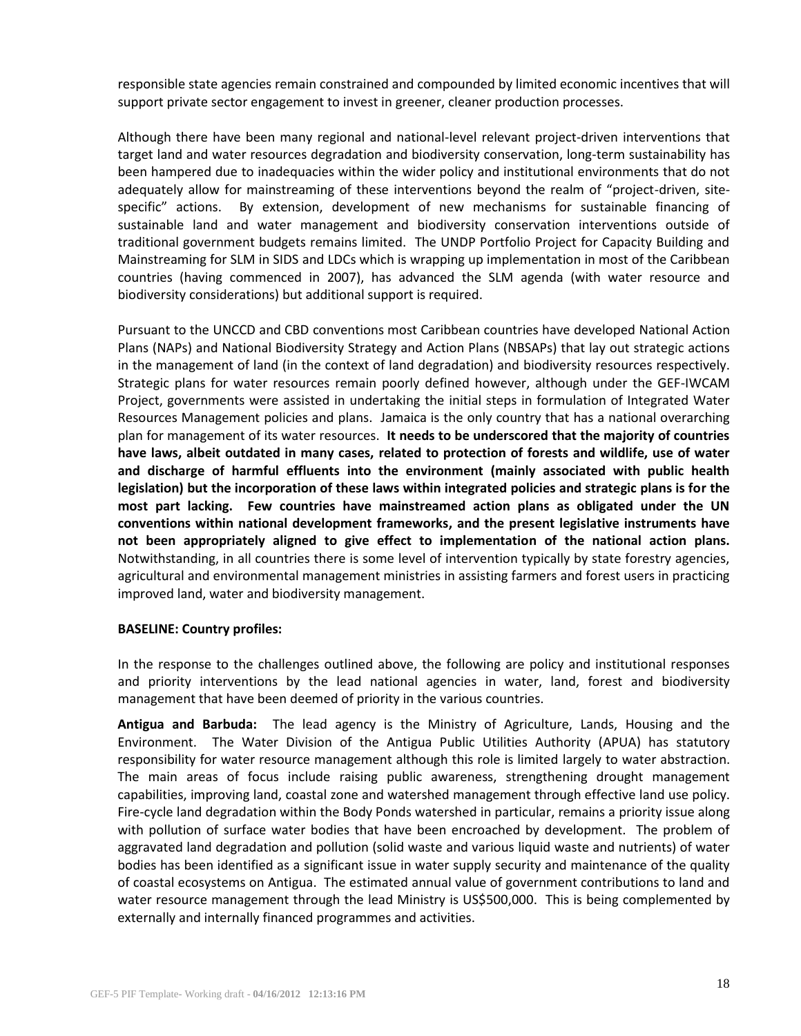responsible state agencies remain constrained and compounded by limited economic incentives that will support private sector engagement to invest in greener, cleaner production processes.

Although there have been many regional and national-level relevant project-driven interventions that target land and water resources degradation and biodiversity conservation, long-term sustainability has been hampered due to inadequacies within the wider policy and institutional environments that do not adequately allow for mainstreaming of these interventions beyond the realm of "project-driven, sitespecific" actions. By extension, development of new mechanisms for sustainable financing of sustainable land and water management and biodiversity conservation interventions outside of traditional government budgets remains limited. The UNDP Portfolio Project for Capacity Building and Mainstreaming for SLM in SIDS and LDCs which is wrapping up implementation in most of the Caribbean countries (having commenced in 2007), has advanced the SLM agenda (with water resource and biodiversity considerations) but additional support is required.

Pursuant to the UNCCD and CBD conventions most Caribbean countries have developed National Action Plans (NAPs) and National Biodiversity Strategy and Action Plans (NBSAPs) that lay out strategic actions in the management of land (in the context of land degradation) and biodiversity resources respectively. Strategic plans for water resources remain poorly defined however, although under the GEF-IWCAM Project, governments were assisted in undertaking the initial steps in formulation of Integrated Water Resources Management policies and plans. Jamaica is the only country that has a national overarching plan for management of its water resources. **It needs to be underscored that the majority of countries have laws, albeit outdated in many cases, related to protection of forests and wildlife, use of water and discharge of harmful effluents into the environment (mainly associated with public health legislation) but the incorporation of these laws within integrated policies and strategic plans is for the most part lacking. Few countries have mainstreamed action plans as obligated under the UN conventions within national development frameworks, and the present legislative instruments have not been appropriately aligned to give effect to implementation of the national action plans.** Notwithstanding, in all countries there is some level of intervention typically by state forestry agencies, agricultural and environmental management ministries in assisting farmers and forest users in practicing improved land, water and biodiversity management.

#### **BASELINE: Country profiles:**

In the response to the challenges outlined above, the following are policy and institutional responses and priority interventions by the lead national agencies in water, land, forest and biodiversity management that have been deemed of priority in the various countries.

**Antigua and Barbuda:** The lead agency is the Ministry of Agriculture, Lands, Housing and the Environment. The Water Division of the Antigua Public Utilities Authority (APUA) has statutory responsibility for water resource management although this role is limited largely to water abstraction. The main areas of focus include raising public awareness, strengthening drought management capabilities, improving land, coastal zone and watershed management through effective land use policy. Fire-cycle land degradation within the Body Ponds watershed in particular, remains a priority issue along with pollution of surface water bodies that have been encroached by development. The problem of aggravated land degradation and pollution (solid waste and various liquid waste and nutrients) of water bodies has been identified as a significant issue in water supply security and maintenance of the quality of coastal ecosystems on Antigua. The estimated annual value of government contributions to land and water resource management through the lead Ministry is US\$500,000. This is being complemented by externally and internally financed programmes and activities.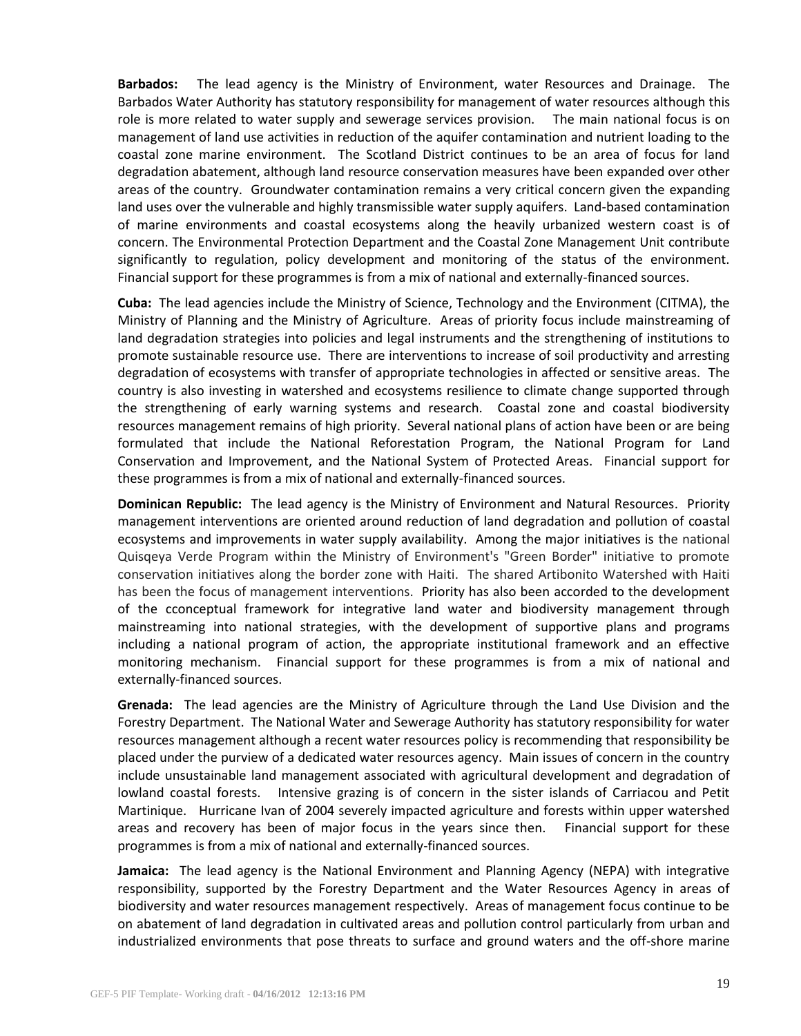**Barbados:** The lead agency is the Ministry of Environment, water Resources and Drainage. The Barbados Water Authority has statutory responsibility for management of water resources although this role is more related to water supply and sewerage services provision. The main national focus is on management of land use activities in reduction of the aquifer contamination and nutrient loading to the coastal zone marine environment. The Scotland District continues to be an area of focus for land degradation abatement, although land resource conservation measures have been expanded over other areas of the country. Groundwater contamination remains a very critical concern given the expanding land uses over the vulnerable and highly transmissible water supply aquifers. Land-based contamination of marine environments and coastal ecosystems along the heavily urbanized western coast is of concern. The Environmental Protection Department and the Coastal Zone Management Unit contribute significantly to regulation, policy development and monitoring of the status of the environment. Financial support for these programmes is from a mix of national and externally-financed sources.

**Cuba:** The lead agencies include the Ministry of Science, Technology and the Environment (CITMA), the Ministry of Planning and the Ministry of Agriculture. Areas of priority focus include mainstreaming of land degradation strategies into policies and legal instruments and the strengthening of institutions to promote sustainable resource use. There are interventions to increase of soil productivity and arresting degradation of ecosystems with transfer of appropriate technologies in affected or sensitive areas. The country is also investing in watershed and ecosystems resilience to climate change supported through the strengthening of early warning systems and research. Coastal zone and coastal biodiversity resources management remains of high priority. Several national plans of action have been or are being formulated that include the National Reforestation Program, the National Program for Land Conservation and Improvement, and the National System of Protected Areas. Financial support for these programmes is from a mix of national and externally-financed sources.

**Dominican Republic:** The lead agency is the Ministry of Environment and Natural Resources. Priority management interventions are oriented around reduction of land degradation and pollution of coastal ecosystems and improvements in water supply availability. Among the major initiatives is the national Quisqeya Verde Program within the Ministry of Environment's "Green Border" initiative to promote conservation initiatives along the border zone with Haiti. The shared Artibonito Watershed with Haiti has been the focus of management interventions. Priority has also been accorded to the development of the cconceptual framework for integrative land water and biodiversity management through mainstreaming into national strategies, with the development of supportive plans and programs including a national program of action, the appropriate institutional framework and an effective monitoring mechanism. Financial support for these programmes is from a mix of national and externally-financed sources.

**Grenada:** The lead agencies are the Ministry of Agriculture through the Land Use Division and the Forestry Department. The National Water and Sewerage Authority has statutory responsibility for water resources management although a recent water resources policy is recommending that responsibility be placed under the purview of a dedicated water resources agency. Main issues of concern in the country include unsustainable land management associated with agricultural development and degradation of lowland coastal forests. Intensive grazing is of concern in the sister islands of Carriacou and Petit Martinique. Hurricane Ivan of 2004 severely impacted agriculture and forests within upper watershed areas and recovery has been of major focus in the years since then. Financial support for these programmes is from a mix of national and externally-financed sources.

**Jamaica:** The lead agency is the National Environment and Planning Agency (NEPA) with integrative responsibility, supported by the Forestry Department and the Water Resources Agency in areas of biodiversity and water resources management respectively. Areas of management focus continue to be on abatement of land degradation in cultivated areas and pollution control particularly from urban and industrialized environments that pose threats to surface and ground waters and the off-shore marine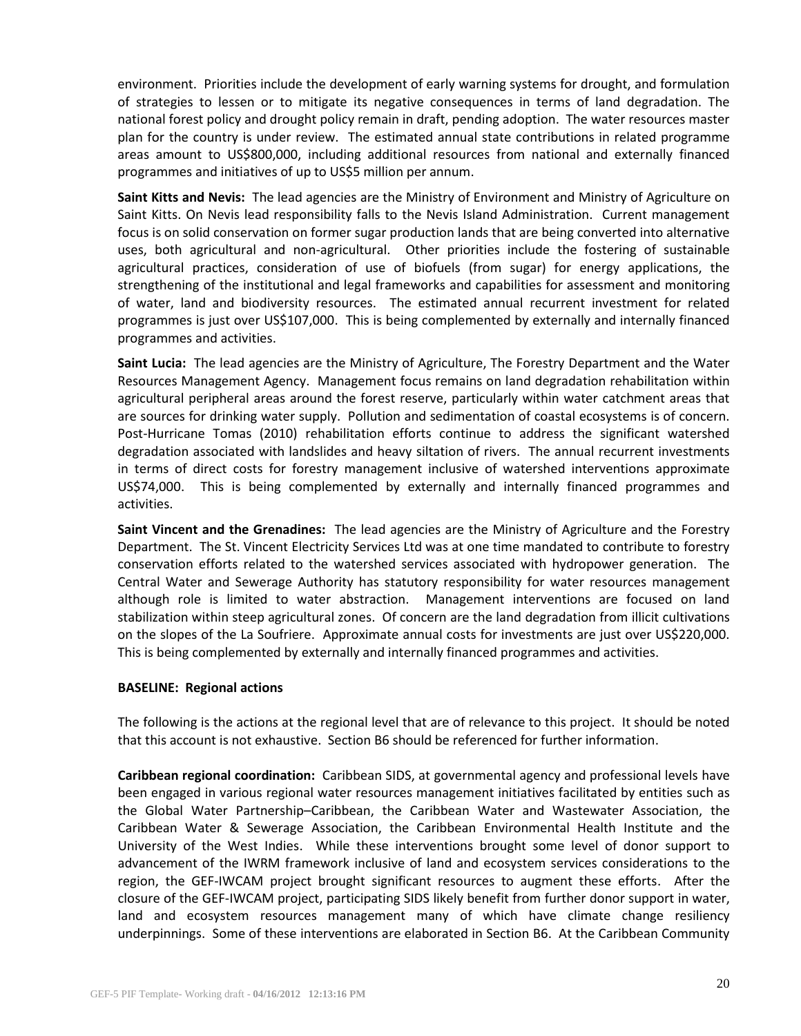environment. Priorities include the development of early warning systems for drought, and formulation of strategies to lessen or to mitigate its negative consequences in terms of land degradation. The national forest policy and drought policy remain in draft, pending adoption. The water resources master plan for the country is under review. The estimated annual state contributions in related programme areas amount to US\$800,000, including additional resources from national and externally financed programmes and initiatives of up to US\$5 million per annum.

**Saint Kitts and Nevis:** The lead agencies are the Ministry of Environment and Ministry of Agriculture on Saint Kitts. On Nevis lead responsibility falls to the Nevis Island Administration. Current management focus is on solid conservation on former sugar production lands that are being converted into alternative uses, both agricultural and non-agricultural. Other priorities include the fostering of sustainable agricultural practices, consideration of use of biofuels (from sugar) for energy applications, the strengthening of the institutional and legal frameworks and capabilities for assessment and monitoring of water, land and biodiversity resources. The estimated annual recurrent investment for related programmes is just over US\$107,000. This is being complemented by externally and internally financed programmes and activities.

**Saint Lucia:** The lead agencies are the Ministry of Agriculture, The Forestry Department and the Water Resources Management Agency. Management focus remains on land degradation rehabilitation within agricultural peripheral areas around the forest reserve, particularly within water catchment areas that are sources for drinking water supply. Pollution and sedimentation of coastal ecosystems is of concern. Post-Hurricane Tomas (2010) rehabilitation efforts continue to address the significant watershed degradation associated with landslides and heavy siltation of rivers. The annual recurrent investments in terms of direct costs for forestry management inclusive of watershed interventions approximate US\$74,000. This is being complemented by externally and internally financed programmes and activities.

**Saint Vincent and the Grenadines:** The lead agencies are the Ministry of Agriculture and the Forestry Department. The St. Vincent Electricity Services Ltd was at one time mandated to contribute to forestry conservation efforts related to the watershed services associated with hydropower generation. The Central Water and Sewerage Authority has statutory responsibility for water resources management although role is limited to water abstraction. Management interventions are focused on land stabilization within steep agricultural zones. Of concern are the land degradation from illicit cultivations on the slopes of the La Soufriere. Approximate annual costs for investments are just over US\$220,000. This is being complemented by externally and internally financed programmes and activities.

# **BASELINE: Regional actions**

The following is the actions at the regional level that are of relevance to this project. It should be noted that this account is not exhaustive. Section B6 should be referenced for further information.

**Caribbean regional coordination:** Caribbean SIDS, at governmental agency and professional levels have been engaged in various regional water resources management initiatives facilitated by entities such as the Global Water Partnership–Caribbean, the Caribbean Water and Wastewater Association, the Caribbean Water & Sewerage Association, the Caribbean Environmental Health Institute and the University of the West Indies. While these interventions brought some level of donor support to advancement of the IWRM framework inclusive of land and ecosystem services considerations to the region, the GEF-IWCAM project brought significant resources to augment these efforts. After the closure of the GEF-IWCAM project, participating SIDS likely benefit from further donor support in water, land and ecosystem resources management many of which have climate change resiliency underpinnings. Some of these interventions are elaborated in Section B6. At the Caribbean Community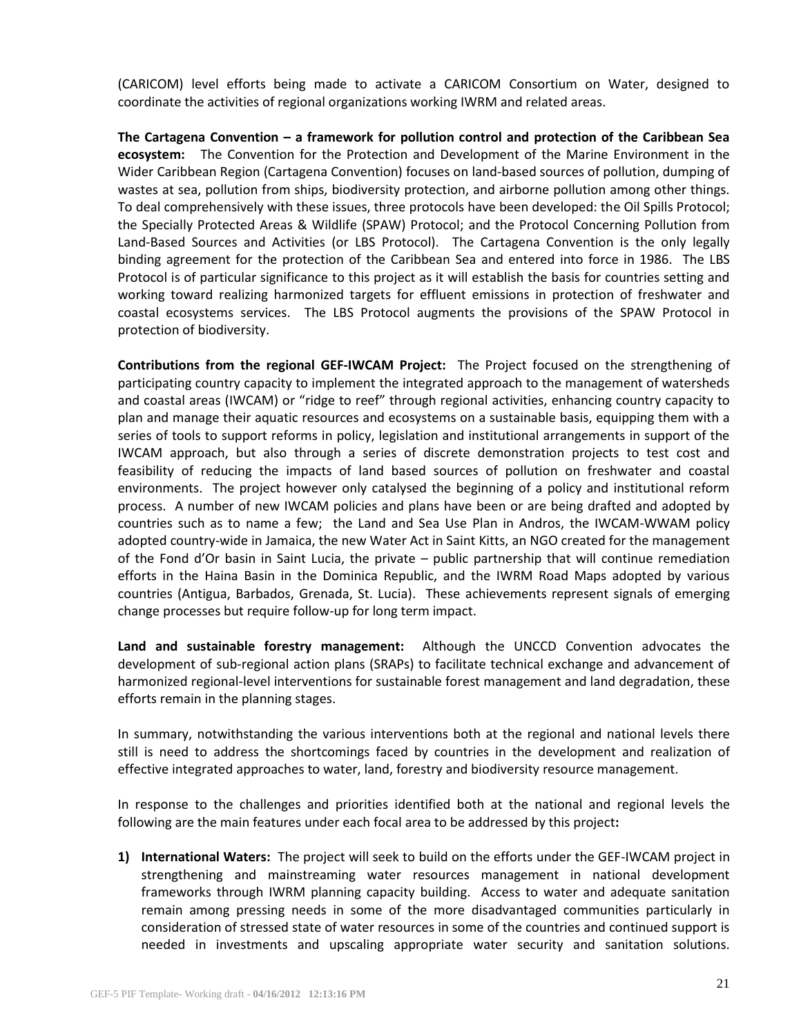(CARICOM) level efforts being made to activate a CARICOM Consortium on Water, designed to coordinate the activities of regional organizations working IWRM and related areas.

**The Cartagena Convention – a framework for pollution control and protection of the Caribbean Sea ecosystem:** The Convention for the Protection and Development of the Marine Environment in the Wider Caribbean Region (Cartagena Convention) focuses on land-based sources of pollution, dumping of wastes at sea, pollution from ships, biodiversity protection, and airborne pollution among other things. To deal comprehensively with these issues, three protocols have been developed: the Oil Spills Protocol; the Specially Protected Areas & Wildlife (SPAW) Protocol; and the Protocol Concerning Pollution from Land-Based Sources and Activities (or LBS Protocol). The Cartagena Convention is the only legally binding agreement for the protection of the Caribbean Sea and entered into force in 1986. The LBS Protocol is of particular significance to this project as it will establish the basis for countries setting and working toward realizing harmonized targets for effluent emissions in protection of freshwater and coastal ecosystems services. The LBS Protocol augments the provisions of the SPAW Protocol in protection of biodiversity.

**Contributions from the regional GEF-IWCAM Project:** The Project focused on the strengthening of participating country capacity to implement the integrated approach to the management of watersheds and coastal areas (IWCAM) or "ridge to reef" through regional activities, enhancing country capacity to plan and manage their aquatic resources and ecosystems on a sustainable basis, equipping them with a series of tools to support reforms in policy, legislation and institutional arrangements in support of the IWCAM approach, but also through a series of discrete demonstration projects to test cost and feasibility of reducing the impacts of land based sources of pollution on freshwater and coastal environments. The project however only catalysed the beginning of a policy and institutional reform process. A number of new IWCAM policies and plans have been or are being drafted and adopted by countries such as to name a few; the Land and Sea Use Plan in Andros, the IWCAM-WWAM policy adopted country-wide in Jamaica, the new Water Act in Saint Kitts, an NGO created for the management of the Fond d'Or basin in Saint Lucia, the private – public partnership that will continue remediation efforts in the Haina Basin in the Dominica Republic, and the IWRM Road Maps adopted by various countries (Antigua, Barbados, Grenada, St. Lucia). These achievements represent signals of emerging change processes but require follow-up for long term impact.

**Land and sustainable forestry management:** Although the UNCCD Convention advocates the development of sub-regional action plans (SRAPs) to facilitate technical exchange and advancement of harmonized regional-level interventions for sustainable forest management and land degradation, these efforts remain in the planning stages.

In summary, notwithstanding the various interventions both at the regional and national levels there still is need to address the shortcomings faced by countries in the development and realization of effective integrated approaches to water, land, forestry and biodiversity resource management.

In response to the challenges and priorities identified both at the national and regional levels the following are the main features under each focal area to be addressed by this project**:**

**1) International Waters:** The project will seek to build on the efforts under the GEF-IWCAM project in strengthening and mainstreaming water resources management in national development frameworks through IWRM planning capacity building. Access to water and adequate sanitation remain among pressing needs in some of the more disadvantaged communities particularly in consideration of stressed state of water resources in some of the countries and continued support is needed in investments and upscaling appropriate water security and sanitation solutions.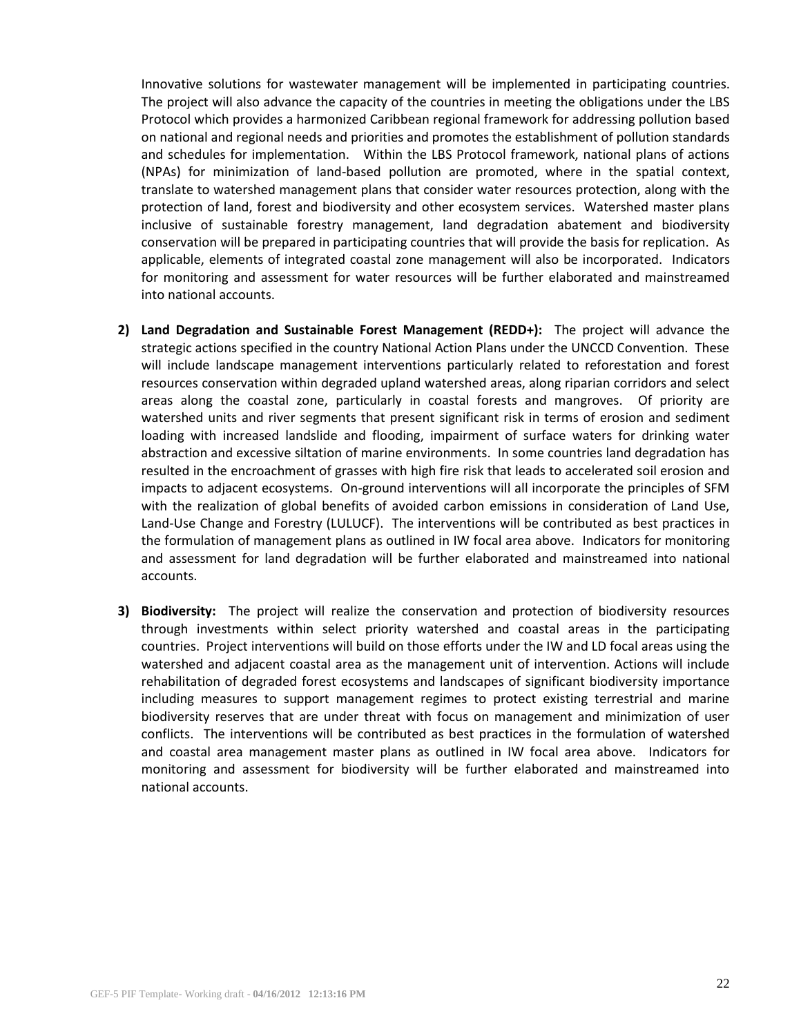Innovative solutions for wastewater management will be implemented in participating countries. The project will also advance the capacity of the countries in meeting the obligations under the LBS Protocol which provides a harmonized Caribbean regional framework for addressing pollution based on national and regional needs and priorities and promotes the establishment of pollution standards and schedules for implementation. Within the LBS Protocol framework, national plans of actions (NPAs) for minimization of land-based pollution are promoted, where in the spatial context, translate to watershed management plans that consider water resources protection, along with the protection of land, forest and biodiversity and other ecosystem services. Watershed master plans inclusive of sustainable forestry management, land degradation abatement and biodiversity conservation will be prepared in participating countries that will provide the basis for replication. As applicable, elements of integrated coastal zone management will also be incorporated. Indicators for monitoring and assessment for water resources will be further elaborated and mainstreamed into national accounts.

- **2) Land Degradation and Sustainable Forest Management (REDD+):** The project will advance the strategic actions specified in the country National Action Plans under the UNCCD Convention. These will include landscape management interventions particularly related to reforestation and forest resources conservation within degraded upland watershed areas, along riparian corridors and select areas along the coastal zone, particularly in coastal forests and mangroves. Of priority are watershed units and river segments that present significant risk in terms of erosion and sediment loading with increased landslide and flooding, impairment of surface waters for drinking water abstraction and excessive siltation of marine environments. In some countries land degradation has resulted in the encroachment of grasses with high fire risk that leads to accelerated soil erosion and impacts to adjacent ecosystems. On-ground interventions will all incorporate the principles of SFM with the realization of global benefits of avoided carbon emissions in consideration of Land Use, Land-Use Change and Forestry (LULUCF). The interventions will be contributed as best practices in the formulation of management plans as outlined in IW focal area above. Indicators for monitoring and assessment for land degradation will be further elaborated and mainstreamed into national accounts.
- **3) Biodiversity:** The project will realize the conservation and protection of biodiversity resources through investments within select priority watershed and coastal areas in the participating countries. Project interventions will build on those efforts under the IW and LD focal areas using the watershed and adjacent coastal area as the management unit of intervention. Actions will include rehabilitation of degraded forest ecosystems and landscapes of significant biodiversity importance including measures to support management regimes to protect existing terrestrial and marine biodiversity reserves that are under threat with focus on management and minimization of user conflicts. The interventions will be contributed as best practices in the formulation of watershed and coastal area management master plans as outlined in IW focal area above. Indicators for monitoring and assessment for biodiversity will be further elaborated and mainstreamed into national accounts.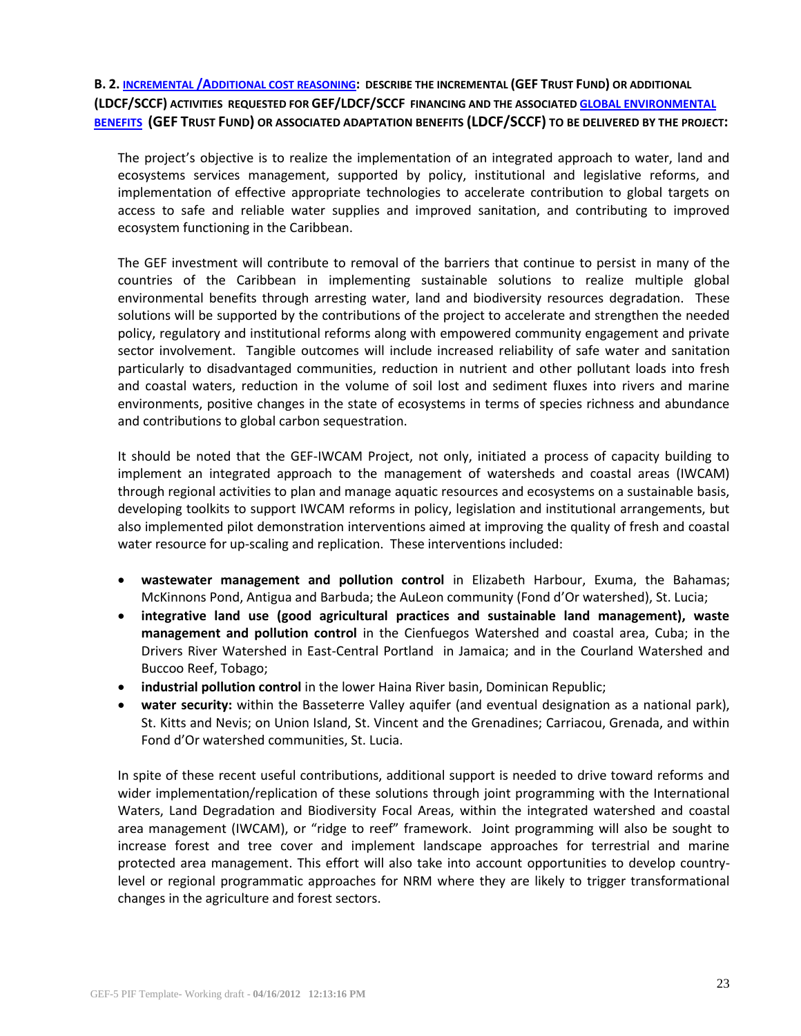**B. 2. INCREMENTAL /A[DDITIONAL COST REASONING](file:///C:/Users/ivanderbeck.UNEP/Documents/My%20Dropbox/Emails/IWCAM/Users/wb12456/Documents/C.31.12%20Executive%20Summary.pdf): DESCRIBE THE INCREMENTAL (GEF TRUST FUND) OR ADDITIONAL (LDCF/SCCF) ACTIVITIES REQUESTED FOR GEF/LDCF/SCCF FINANCING AND THE ASSOCIATED [GLOBAL ENVIRONMENTAL](http://www.thegef.org/gef/sites/thegef.org/files/documents/CPE-Global_Environmental_Benefits_Assessment_Outline.pdf) [BENEFITS](http://www.thegef.org/gef/sites/thegef.org/files/documents/CPE-Global_Environmental_Benefits_Assessment_Outline.pdf) (GEF TRUST FUND) OR ASSOCIATED ADAPTATION BENEFITS (LDCF/SCCF) TO BE DELIVERED BY THE PROJECT:** 

The project's objective is to realize the implementation of an integrated approach to water, land and ecosystems services management, supported by policy, institutional and legislative reforms, and implementation of effective appropriate technologies to accelerate contribution to global targets on access to safe and reliable water supplies and improved sanitation, and contributing to improved ecosystem functioning in the Caribbean.

The GEF investment will contribute to removal of the barriers that continue to persist in many of the countries of the Caribbean in implementing sustainable solutions to realize multiple global environmental benefits through arresting water, land and biodiversity resources degradation. These solutions will be supported by the contributions of the project to accelerate and strengthen the needed policy, regulatory and institutional reforms along with empowered community engagement and private sector involvement. Tangible outcomes will include increased reliability of safe water and sanitation particularly to disadvantaged communities, reduction in nutrient and other pollutant loads into fresh and coastal waters, reduction in the volume of soil lost and sediment fluxes into rivers and marine environments, positive changes in the state of ecosystems in terms of species richness and abundance and contributions to global carbon sequestration.

It should be noted that the GEF-IWCAM Project, not only, initiated a process of capacity building to implement an integrated approach to the management of watersheds and coastal areas (IWCAM) through regional activities to plan and manage aquatic resources and ecosystems on a sustainable basis, developing toolkits to support IWCAM reforms in policy, legislation and institutional arrangements, but also implemented pilot demonstration interventions aimed at improving the quality of fresh and coastal water resource for up-scaling and replication. These interventions included:

- **wastewater management and pollution control** in Elizabeth Harbour, Exuma, the Bahamas; McKinnons Pond, Antigua and Barbuda; the AuLeon community (Fond d'Or watershed), St. Lucia;
- **integrative land use (good agricultural practices and sustainable land management), waste management and pollution control** in the Cienfuegos Watershed and coastal area, Cuba; in the Drivers River Watershed in East-Central Portland in Jamaica; and in the Courland Watershed and Buccoo Reef, Tobago;
- **industrial pollution control** in the lower Haina River basin, Dominican Republic;
- **water security:** within the Basseterre Valley aquifer (and eventual designation as a national park), St. Kitts and Nevis; on Union Island, St. Vincent and the Grenadines; Carriacou, Grenada, and within Fond d'Or watershed communities, St. Lucia.

In spite of these recent useful contributions, additional support is needed to drive toward reforms and wider implementation/replication of these solutions through joint programming with the International Waters, Land Degradation and Biodiversity Focal Areas, within the integrated watershed and coastal area management (IWCAM), or "ridge to reef" framework. Joint programming will also be sought to increase forest and tree cover and implement landscape approaches for terrestrial and marine protected area management. This effort will also take into account opportunities to develop countrylevel or regional programmatic approaches for NRM where they are likely to trigger transformational changes in the agriculture and forest sectors.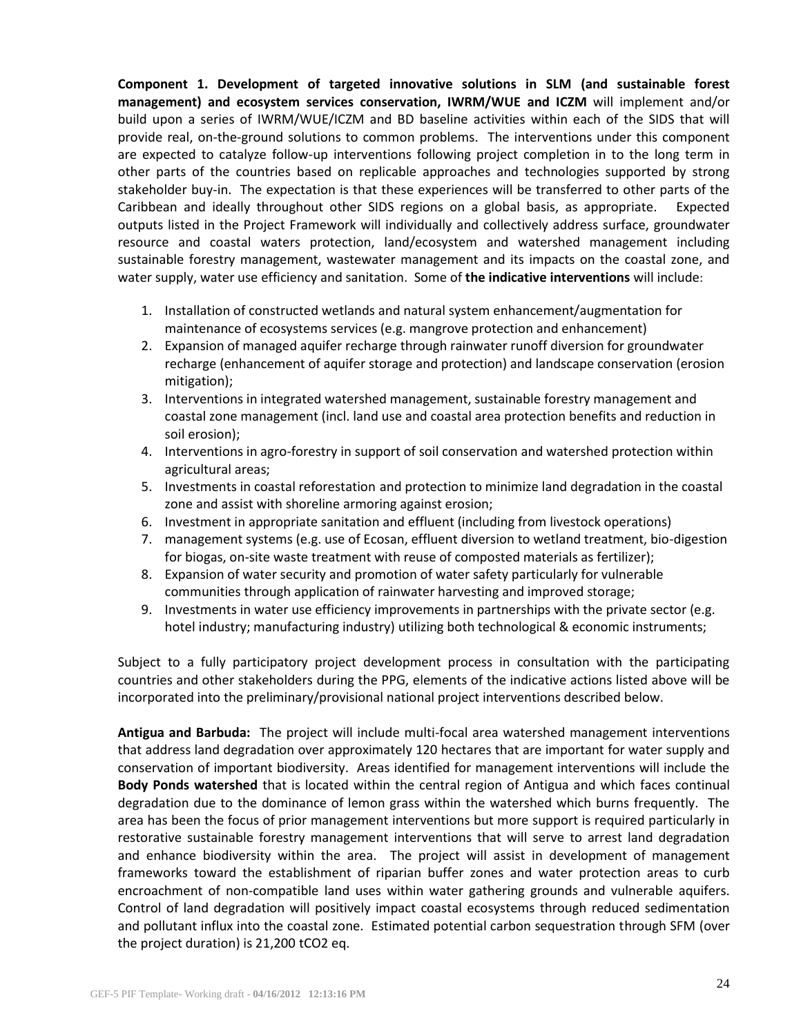**Component 1. Development of targeted innovative solutions in SLM (and sustainable forest management) and ecosystem services conservation, IWRM/WUE and ICZM** will implement and/or build upon a series of IWRM/WUE/ICZM and BD baseline activities within each of the SIDS that will provide real, on-the-ground solutions to common problems. The interventions under this component are expected to catalyze follow-up interventions following project completion in to the long term in other parts of the countries based on replicable approaches and technologies supported by strong stakeholder buy-in. The expectation is that these experiences will be transferred to other parts of the Caribbean and ideally throughout other SIDS regions on a global basis, as appropriate. Expected outputs listed in the Project Framework will individually and collectively address surface, groundwater resource and coastal waters protection, land/ecosystem and watershed management including sustainable forestry management, wastewater management and its impacts on the coastal zone, and water supply, water use efficiency and sanitation. Some of **the indicative interventions** will include:

- 1. Installation of constructed wetlands and natural system enhancement/augmentation for maintenance of ecosystems services (e.g. mangrove protection and enhancement)
- 2. Expansion of managed aquifer recharge through rainwater runoff diversion for groundwater recharge (enhancement of aquifer storage and protection) and landscape conservation (erosion mitigation);
- 3. Interventions in integrated watershed management, sustainable forestry management and coastal zone management (incl. land use and coastal area protection benefits and reduction in soil erosion);
- 4. Interventions in agro-forestry in support of soil conservation and watershed protection within agricultural areas;
- 5. Investments in coastal reforestation and protection to minimize land degradation in the coastal zone and assist with shoreline armoring against erosion;
- 6. Investment in appropriate sanitation and effluent (including from livestock operations)
- 7. management systems (e.g. use of Ecosan, effluent diversion to wetland treatment, bio-digestion for biogas, on-site waste treatment with reuse of composted materials as fertilizer);
- 8. Expansion of water security and promotion of water safety particularly for vulnerable communities through application of rainwater harvesting and improved storage;
- 9. Investments in water use efficiency improvements in partnerships with the private sector (e.g. hotel industry; manufacturing industry) utilizing both technological & economic instruments;

Subject to a fully participatory project development process in consultation with the participating countries and other stakeholders during the PPG, elements of the indicative actions listed above will be incorporated into the preliminary/provisional national project interventions described below.

**Antigua and Barbuda:** The project will include multi-focal area watershed management interventions that address land degradation over approximately 120 hectares that are important for water supply and conservation of important biodiversity. Areas identified for management interventions will include the **Body Ponds watershed** that is located within the central region of Antigua and which faces continual degradation due to the dominance of lemon grass within the watershed which burns frequently. The area has been the focus of prior management interventions but more support is required particularly in restorative sustainable forestry management interventions that will serve to arrest land degradation and enhance biodiversity within the area. The project will assist in development of management frameworks toward the establishment of riparian buffer zones and water protection areas to curb encroachment of non-compatible land uses within water gathering grounds and vulnerable aquifers. Control of land degradation will positively impact coastal ecosystems through reduced sedimentation and pollutant influx into the coastal zone. Estimated potential carbon sequestration through SFM (over the project duration) is 21,200 tCO2 eq.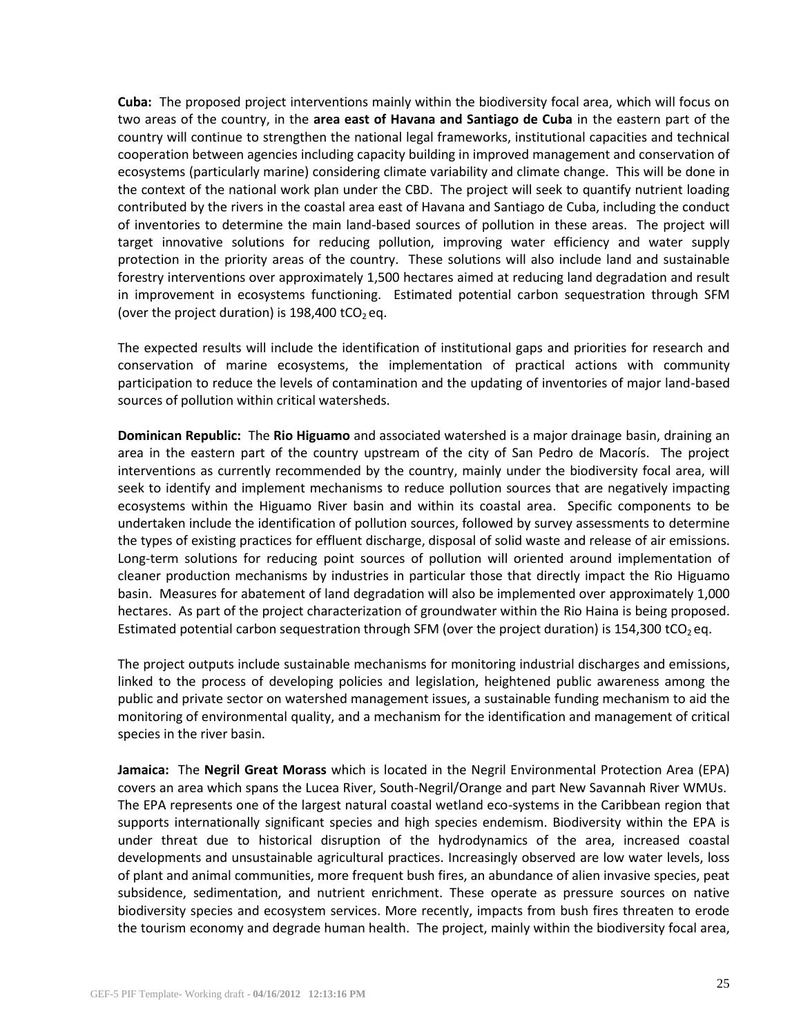**Cuba:** The proposed project interventions mainly within the biodiversity focal area, which will focus on two areas of the country, in the **area east of Havana and Santiago de Cuba** in the eastern part of the country will continue to strengthen the national legal frameworks, institutional capacities and technical cooperation between agencies including capacity building in improved management and conservation of ecosystems (particularly marine) considering climate variability and climate change. This will be done in the context of the national work plan under the CBD. The project will seek to quantify nutrient loading contributed by the rivers in the coastal area east of Havana and Santiago de Cuba, including the conduct of inventories to determine the main land-based sources of pollution in these areas. The project will target innovative solutions for reducing pollution, improving water efficiency and water supply protection in the priority areas of the country. These solutions will also include land and sustainable forestry interventions over approximately 1,500 hectares aimed at reducing land degradation and result in improvement in ecosystems functioning. Estimated potential carbon sequestration through SFM (over the project duration) is 198,400 tCO<sub>2</sub> eq.

The expected results will include the identification of institutional gaps and priorities for research and conservation of marine ecosystems, the implementation of practical actions with community participation to reduce the levels of contamination and the updating of inventories of major land-based sources of pollution within critical watersheds.

**Dominican Republic:** The **Rio Higuamo** and associated watershed is a major drainage basin, draining an area in the eastern part of the country upstream of the city of San Pedro de Macorís. The project interventions as currently recommended by the country, mainly under the biodiversity focal area, will seek to identify and implement mechanisms to reduce pollution sources that are negatively impacting ecosystems within the Higuamo River basin and within its coastal area. Specific components to be undertaken include the identification of pollution sources, followed by survey assessments to determine the types of existing practices for effluent discharge, disposal of solid waste and release of air emissions. Long-term solutions for reducing point sources of pollution will oriented around implementation of cleaner production mechanisms by industries in particular those that directly impact the Rio Higuamo basin. Measures for abatement of land degradation will also be implemented over approximately 1,000 hectares. As part of the project characterization of groundwater within the Rio Haina is being proposed. Estimated potential carbon sequestration through SFM (over the project duration) is 154,300 tCO<sub>2</sub> eq.

The project outputs include sustainable mechanisms for monitoring industrial discharges and emissions, linked to the process of developing policies and legislation, heightened public awareness among the public and private sector on watershed management issues, a sustainable funding mechanism to aid the monitoring of environmental quality, and a mechanism for the identification and management of critical species in the river basin.

**Jamaica:** The **Negril Great Morass** which is located in the Negril Environmental Protection Area (EPA) covers an area which spans the Lucea River, South-Negril/Orange and part New Savannah River WMUs. The EPA represents one of the largest natural coastal wetland eco-systems in the Caribbean region that supports internationally significant species and high species endemism. Biodiversity within the EPA is under threat due to historical disruption of the hydrodynamics of the area, increased coastal developments and unsustainable agricultural practices. Increasingly observed are low water levels, loss of plant and animal communities, more frequent bush fires, an abundance of alien invasive species, peat subsidence, sedimentation, and nutrient enrichment. These operate as pressure sources on native biodiversity species and ecosystem services. More recently, impacts from bush fires threaten to erode the tourism economy and degrade human health. The project, mainly within the biodiversity focal area,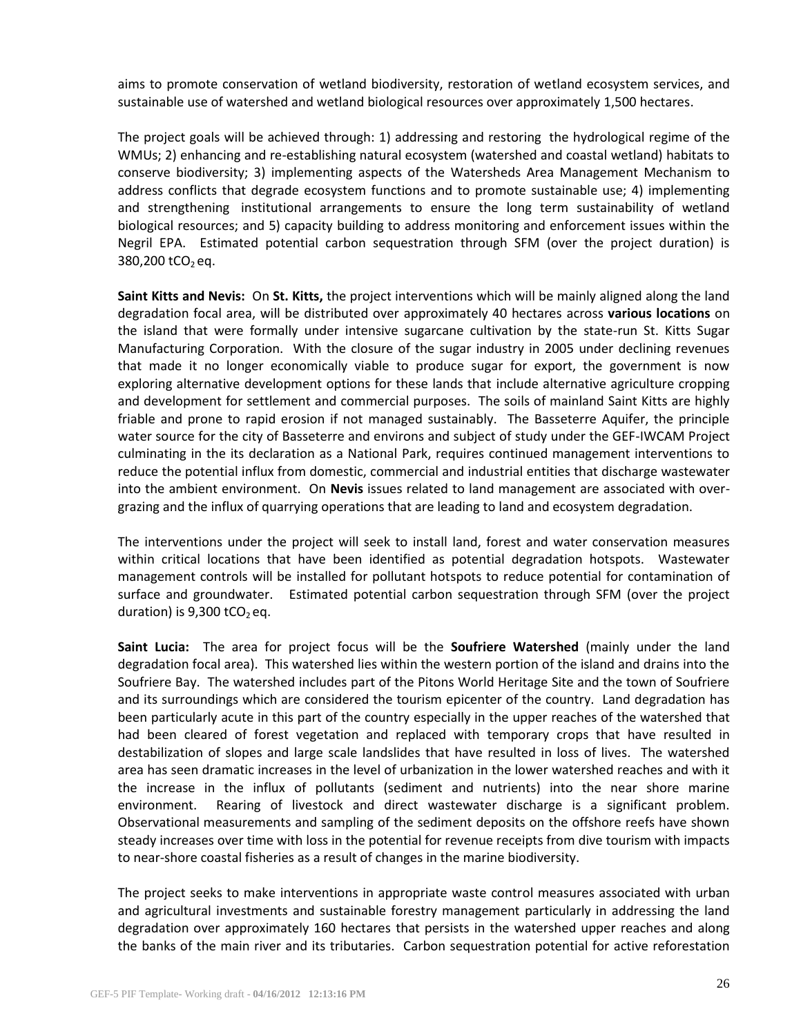aims to promote conservation of wetland biodiversity, restoration of wetland ecosystem services, and sustainable use of watershed and wetland biological resources over approximately 1,500 hectares.

The project goals will be achieved through: 1) addressing and restoring the hydrological regime of the WMUs; 2) enhancing and re-establishing natural ecosystem (watershed and coastal wetland) habitats to conserve biodiversity; 3) implementing aspects of the Watersheds Area Management Mechanism to address conflicts that degrade ecosystem functions and to promote sustainable use; 4) implementing and strengthening institutional arrangements to ensure the long term sustainability of wetland biological resources; and 5) capacity building to address monitoring and enforcement issues within the Negril EPA. Estimated potential carbon sequestration through SFM (over the project duration) is 380,200  $tCO<sub>2</sub>$ eq.

**Saint Kitts and Nevis:** On **St. Kitts,** the project interventions which will be mainly aligned along the land degradation focal area, will be distributed over approximately 40 hectares across **various locations** on the island that were formally under intensive sugarcane cultivation by the state-run St. Kitts Sugar Manufacturing Corporation. With the closure of the sugar industry in 2005 under declining revenues that made it no longer economically viable to produce sugar for export, the government is now exploring alternative development options for these lands that include alternative agriculture cropping and development for settlement and commercial purposes. The soils of mainland Saint Kitts are highly friable and prone to rapid erosion if not managed sustainably. The Basseterre Aquifer, the principle water source for the city of Basseterre and environs and subject of study under the GEF-IWCAM Project culminating in the its declaration as a National Park, requires continued management interventions to reduce the potential influx from domestic, commercial and industrial entities that discharge wastewater into the ambient environment. On **Nevis** issues related to land management are associated with overgrazing and the influx of quarrying operations that are leading to land and ecosystem degradation.

The interventions under the project will seek to install land, forest and water conservation measures within critical locations that have been identified as potential degradation hotspots. Wastewater management controls will be installed for pollutant hotspots to reduce potential for contamination of surface and groundwater. Estimated potential carbon sequestration through SFM (over the project duration) is 9,300 tCO<sub>2</sub> eq.

**Saint Lucia:** The area for project focus will be the **Soufriere Watershed** (mainly under the land degradation focal area). This watershed lies within the western portion of the island and drains into the Soufriere Bay. The watershed includes part of the Pitons World Heritage Site and the town of Soufriere and its surroundings which are considered the tourism epicenter of the country. Land degradation has been particularly acute in this part of the country especially in the upper reaches of the watershed that had been cleared of forest vegetation and replaced with temporary crops that have resulted in destabilization of slopes and large scale landslides that have resulted in loss of lives. The watershed area has seen dramatic increases in the level of urbanization in the lower watershed reaches and with it the increase in the influx of pollutants (sediment and nutrients) into the near shore marine environment. Rearing of livestock and direct wastewater discharge is a significant problem. Observational measurements and sampling of the sediment deposits on the offshore reefs have shown steady increases over time with loss in the potential for revenue receipts from dive tourism with impacts to near-shore coastal fisheries as a result of changes in the marine biodiversity.

The project seeks to make interventions in appropriate waste control measures associated with urban and agricultural investments and sustainable forestry management particularly in addressing the land degradation over approximately 160 hectares that persists in the watershed upper reaches and along the banks of the main river and its tributaries. Carbon sequestration potential for active reforestation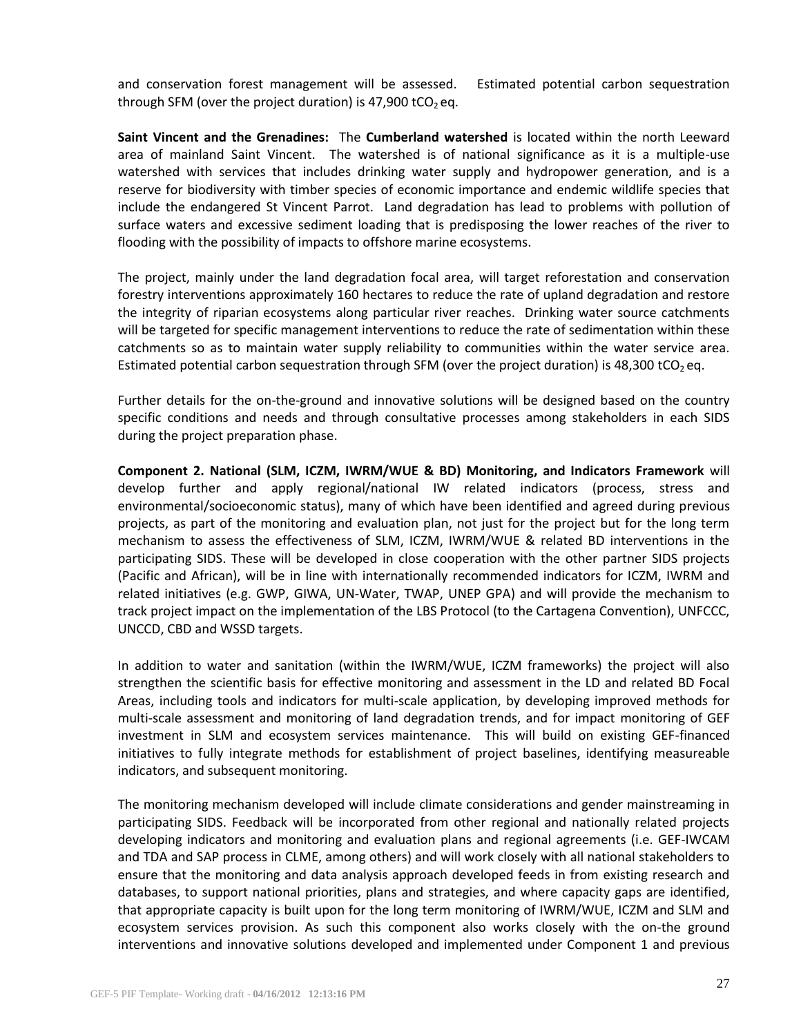and conservation forest management will be assessed. Estimated potential carbon sequestration through SFM (over the project duration) is 47,900 tCO<sub>2</sub> eq.

**Saint Vincent and the Grenadines:** The **Cumberland watershed** is located within the north Leeward area of mainland Saint Vincent. The watershed is of national significance as it is a multiple-use watershed with services that includes drinking water supply and hydropower generation, and is a reserve for biodiversity with timber species of economic importance and endemic wildlife species that include the endangered St Vincent Parrot. Land degradation has lead to problems with pollution of surface waters and excessive sediment loading that is predisposing the lower reaches of the river to flooding with the possibility of impacts to offshore marine ecosystems.

The project, mainly under the land degradation focal area, will target reforestation and conservation forestry interventions approximately 160 hectares to reduce the rate of upland degradation and restore the integrity of riparian ecosystems along particular river reaches. Drinking water source catchments will be targeted for specific management interventions to reduce the rate of sedimentation within these catchments so as to maintain water supply reliability to communities within the water service area. Estimated potential carbon sequestration through SFM (over the project duration) is 48,300 tCO<sub>2</sub> eq.

Further details for the on-the-ground and innovative solutions will be designed based on the country specific conditions and needs and through consultative processes among stakeholders in each SIDS during the project preparation phase.

**Component 2. National (SLM, ICZM, IWRM/WUE & BD) Monitoring, and Indicators Framework** will develop further and apply regional/national IW related indicators (process, stress and environmental/socioeconomic status), many of which have been identified and agreed during previous projects, as part of the monitoring and evaluation plan, not just for the project but for the long term mechanism to assess the effectiveness of SLM, ICZM, IWRM/WUE & related BD interventions in the participating SIDS. These will be developed in close cooperation with the other partner SIDS projects (Pacific and African), will be in line with internationally recommended indicators for ICZM, IWRM and related initiatives (e.g. GWP, GIWA, UN-Water, TWAP, UNEP GPA) and will provide the mechanism to track project impact on the implementation of the LBS Protocol (to the Cartagena Convention), UNFCCC, UNCCD, CBD and WSSD targets.

In addition to water and sanitation (within the IWRM/WUE, ICZM frameworks) the project will also strengthen the scientific basis for effective monitoring and assessment in the LD and related BD Focal Areas, including tools and indicators for multi-scale application, by developing improved methods for multi-scale assessment and monitoring of land degradation trends, and for impact monitoring of GEF investment in SLM and ecosystem services maintenance. This will build on existing GEF-financed initiatives to fully integrate methods for establishment of project baselines, identifying measureable indicators, and subsequent monitoring.

The monitoring mechanism developed will include climate considerations and gender mainstreaming in participating SIDS. Feedback will be incorporated from other regional and nationally related projects developing indicators and monitoring and evaluation plans and regional agreements (i.e. GEF-IWCAM and TDA and SAP process in CLME, among others) and will work closely with all national stakeholders to ensure that the monitoring and data analysis approach developed feeds in from existing research and databases, to support national priorities, plans and strategies, and where capacity gaps are identified, that appropriate capacity is built upon for the long term monitoring of IWRM/WUE, ICZM and SLM and ecosystem services provision. As such this component also works closely with the on-the ground interventions and innovative solutions developed and implemented under Component 1 and previous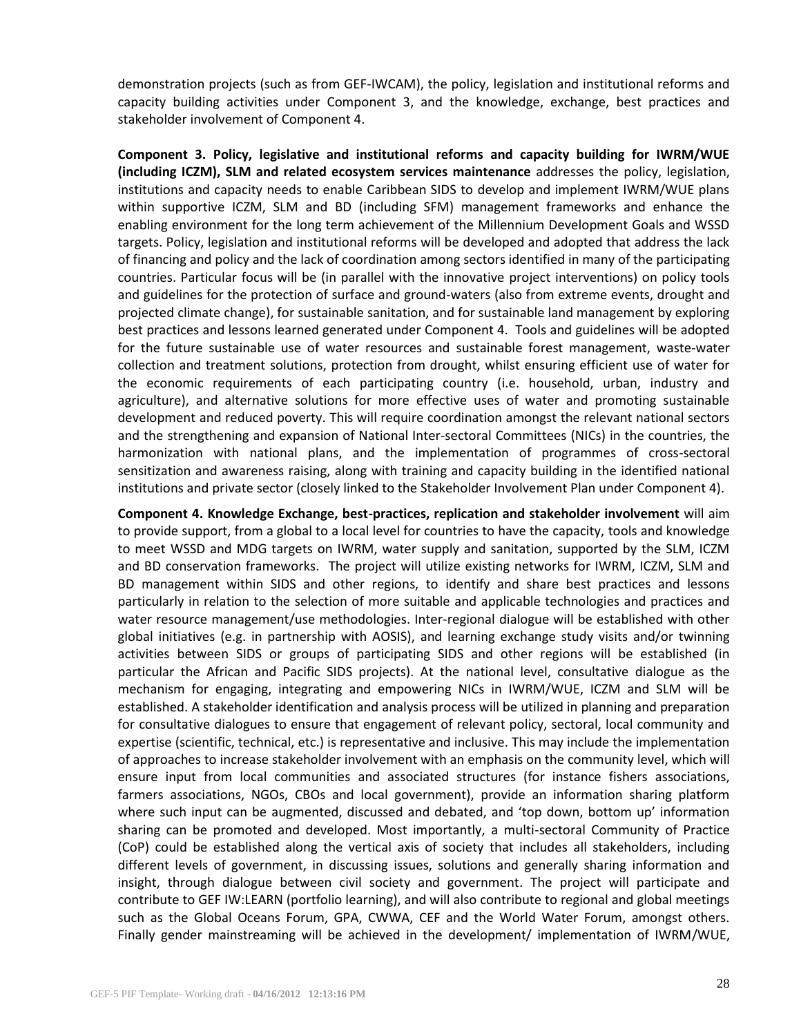demonstration projects (such as from GEF-IWCAM), the policy, legislation and institutional reforms and capacity building activities under Component 3, and the knowledge, exchange, best practices and stakeholder involvement of Component 4.

**Component 3. Policy, legislative and institutional reforms and capacity building for IWRM/WUE (including ICZM), SLM and related ecosystem services maintenance** addresses the policy, legislation, institutions and capacity needs to enable Caribbean SIDS to develop and implement IWRM/WUE plans within supportive ICZM, SLM and BD (including SFM) management frameworks and enhance the enabling environment for the long term achievement of the Millennium Development Goals and WSSD targets. Policy, legislation and institutional reforms will be developed and adopted that address the lack of financing and policy and the lack of coordination among sectors identified in many of the participating countries. Particular focus will be (in parallel with the innovative project interventions) on policy tools and guidelines for the protection of surface and ground-waters (also from extreme events, drought and projected climate change), for sustainable sanitation, and for sustainable land management by exploring best practices and lessons learned generated under Component 4. Tools and guidelines will be adopted for the future sustainable use of water resources and sustainable forest management, waste-water collection and treatment solutions, protection from drought, whilst ensuring efficient use of water for the economic requirements of each participating country (i.e. household, urban, industry and agriculture), and alternative solutions for more effective uses of water and promoting sustainable development and reduced poverty. This will require coordination amongst the relevant national sectors and the strengthening and expansion of National Inter-sectoral Committees (NICs) in the countries, the harmonization with national plans, and the implementation of programmes of cross-sectoral sensitization and awareness raising, along with training and capacity building in the identified national institutions and private sector (closely linked to the Stakeholder Involvement Plan under Component 4).

**Component 4. Knowledge Exchange, best-practices, replication and stakeholder involvement** will aim to provide support, from a global to a local level for countries to have the capacity, tools and knowledge to meet WSSD and MDG targets on IWRM, water supply and sanitation, supported by the SLM, ICZM and BD conservation frameworks. The project will utilize existing networks for IWRM, ICZM, SLM and BD management within SIDS and other regions, to identify and share best practices and lessons particularly in relation to the selection of more suitable and applicable technologies and practices and water resource management/use methodologies. Inter-regional dialogue will be established with other global initiatives (e.g. in partnership with AOSIS), and learning exchange study visits and/or twinning activities between SIDS or groups of participating SIDS and other regions will be established (in particular the African and Pacific SIDS projects). At the national level, consultative dialogue as the mechanism for engaging, integrating and empowering NICs in IWRM/WUE, ICZM and SLM will be established. A stakeholder identification and analysis process will be utilized in planning and preparation for consultative dialogues to ensure that engagement of relevant policy, sectoral, local community and expertise (scientific, technical, etc.) is representative and inclusive. This may include the implementation of approaches to increase stakeholder involvement with an emphasis on the community level, which will ensure input from local communities and associated structures (for instance fishers associations, farmers associations, NGOs, CBOs and local government), provide an information sharing platform where such input can be augmented, discussed and debated, and 'top down, bottom up' information sharing can be promoted and developed. Most importantly, a multi-sectoral Community of Practice (CoP) could be established along the vertical axis of society that includes all stakeholders, including different levels of government, in discussing issues, solutions and generally sharing information and insight, through dialogue between civil society and government. The project will participate and contribute to GEF IW:LEARN (portfolio learning), and will also contribute to regional and global meetings such as the Global Oceans Forum, GPA, CWWA, CEF and the World Water Forum, amongst others. Finally gender mainstreaming will be achieved in the development/ implementation of IWRM/WUE,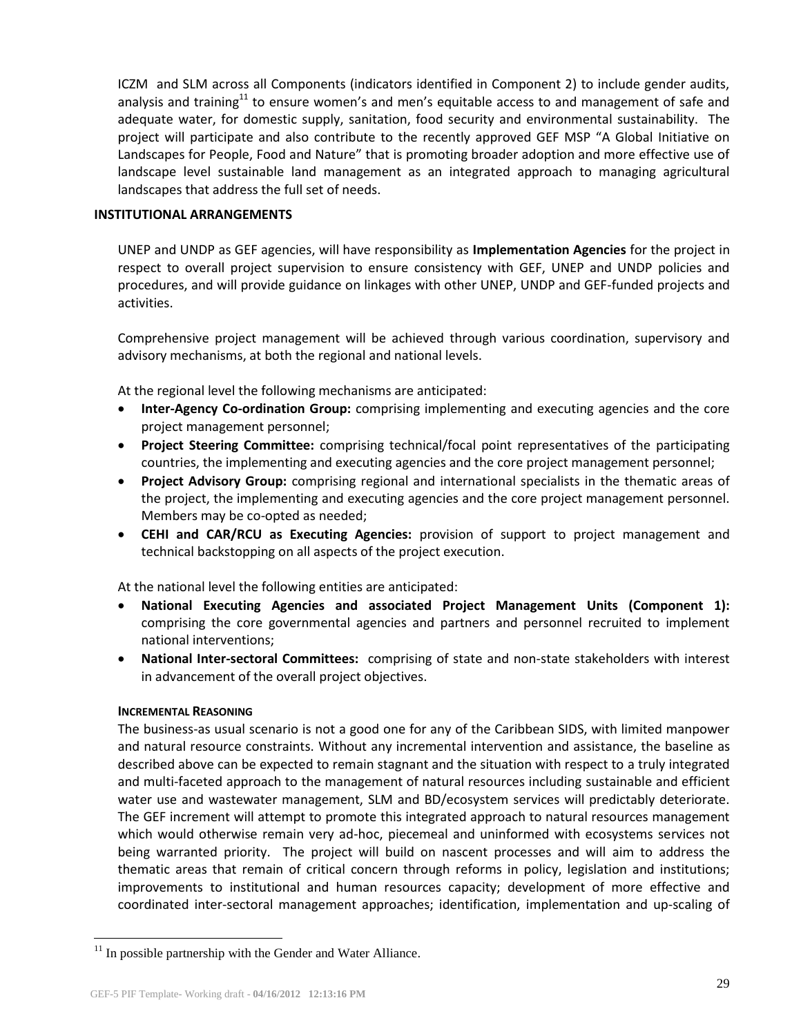ICZM and SLM across all Components (indicators identified in Component 2) to include gender audits, analysis and training<sup>11</sup> to ensure women's and men's equitable access to and management of safe and adequate water, for domestic supply, sanitation, food security and environmental sustainability. The project will participate and also contribute to the recently approved GEF MSP "A Global Initiative on Landscapes for People, Food and Nature" that is promoting broader adoption and more effective use of landscape level sustainable land management as an integrated approach to managing agricultural landscapes that address the full set of needs.

## **INSTITUTIONAL ARRANGEMENTS**

UNEP and UNDP as GEF agencies, will have responsibility as **Implementation Agencies** for the project in respect to overall project supervision to ensure consistency with GEF, UNEP and UNDP policies and procedures, and will provide guidance on linkages with other UNEP, UNDP and GEF-funded projects and activities.

Comprehensive project management will be achieved through various coordination, supervisory and advisory mechanisms, at both the regional and national levels.

At the regional level the following mechanisms are anticipated:

- **Inter-Agency Co-ordination Group:** comprising implementing and executing agencies and the core project management personnel;
- **Project Steering Committee:** comprising technical/focal point representatives of the participating countries, the implementing and executing agencies and the core project management personnel;
- **Project Advisory Group:** comprising regional and international specialists in the thematic areas of the project, the implementing and executing agencies and the core project management personnel. Members may be co-opted as needed;
- **CEHI and CAR/RCU as Executing Agencies:** provision of support to project management and technical backstopping on all aspects of the project execution.

At the national level the following entities are anticipated:

- **National Executing Agencies and associated Project Management Units (Component 1):** comprising the core governmental agencies and partners and personnel recruited to implement national interventions;
- **National Inter-sectoral Committees:** comprising of state and non-state stakeholders with interest in advancement of the overall project objectives.

#### **INCREMENTAL REASONING**

 $\overline{a}$ 

The business-as usual scenario is not a good one for any of the Caribbean SIDS, with limited manpower and natural resource constraints. Without any incremental intervention and assistance, the baseline as described above can be expected to remain stagnant and the situation with respect to a truly integrated and multi-faceted approach to the management of natural resources including sustainable and efficient water use and wastewater management, SLM and BD/ecosystem services will predictably deteriorate. The GEF increment will attempt to promote this integrated approach to natural resources management which would otherwise remain very ad-hoc, piecemeal and uninformed with ecosystems services not being warranted priority. The project will build on nascent processes and will aim to address the thematic areas that remain of critical concern through reforms in policy, legislation and institutions; improvements to institutional and human resources capacity; development of more effective and coordinated inter-sectoral management approaches; identification, implementation and up-scaling of

 $11$  In possible partnership with the Gender and Water Alliance.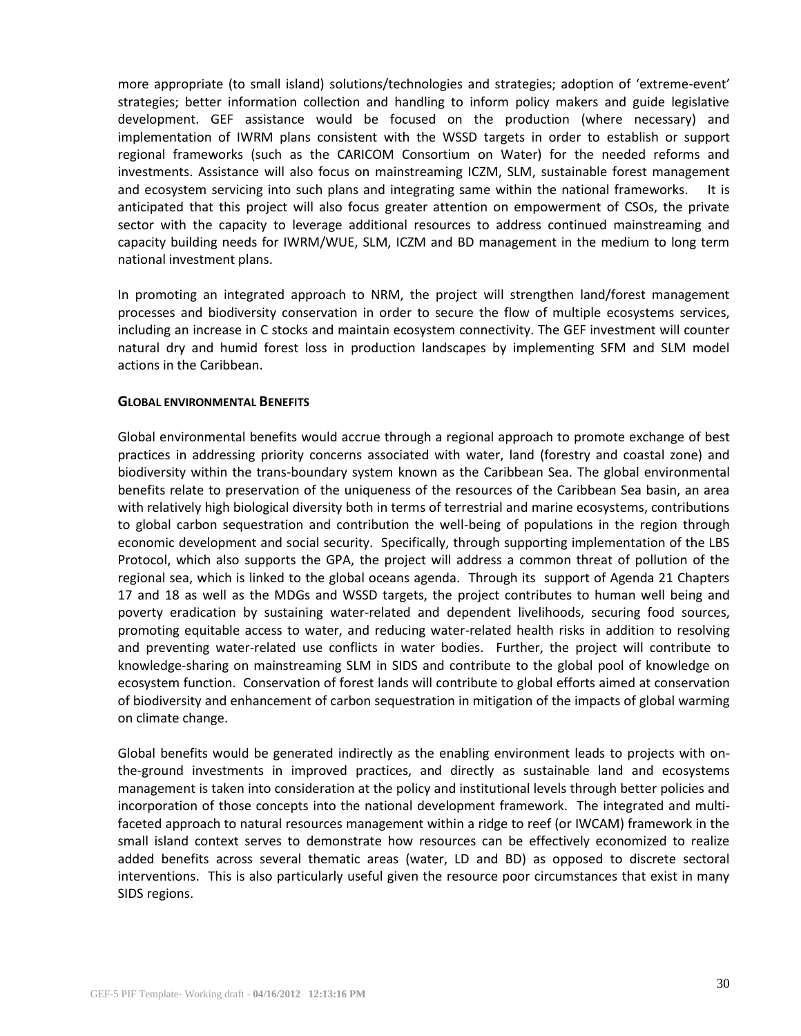more appropriate (to small island) solutions/technologies and strategies; adoption of 'extreme-event' strategies; better information collection and handling to inform policy makers and guide legislative development. GEF assistance would be focused on the production (where necessary) and implementation of IWRM plans consistent with the WSSD targets in order to establish or support regional frameworks (such as the CARICOM Consortium on Water) for the needed reforms and investments. Assistance will also focus on mainstreaming ICZM, SLM, sustainable forest management and ecosystem servicing into such plans and integrating same within the national frameworks. It is anticipated that this project will also focus greater attention on empowerment of CSOs, the private sector with the capacity to leverage additional resources to address continued mainstreaming and capacity building needs for IWRM/WUE, SLM, ICZM and BD management in the medium to long term national investment plans.

In promoting an integrated approach to NRM, the project will strengthen land/forest management processes and biodiversity conservation in order to secure the flow of multiple ecosystems services, including an increase in C stocks and maintain ecosystem connectivity. The GEF investment will counter natural dry and humid forest loss in production landscapes by implementing SFM and SLM model actions in the Caribbean.

## **GLOBAL ENVIRONMENTAL BENEFITS**

Global environmental benefits would accrue through a regional approach to promote exchange of best practices in addressing priority concerns associated with water, land (forestry and coastal zone) and biodiversity within the trans-boundary system known as the Caribbean Sea. The global environmental benefits relate to preservation of the uniqueness of the resources of the Caribbean Sea basin, an area with relatively high biological diversity both in terms of terrestrial and marine ecosystems, contributions to global carbon sequestration and contribution the well-being of populations in the region through economic development and social security. Specifically, through supporting implementation of the LBS Protocol, which also supports the GPA, the project will address a common threat of pollution of the regional sea, which is linked to the global oceans agenda. Through its support of Agenda 21 Chapters 17 and 18 as well as the MDGs and WSSD targets, the project contributes to human well being and poverty eradication by sustaining water-related and dependent livelihoods, securing food sources, promoting equitable access to water, and reducing water-related health risks in addition to resolving and preventing water-related use conflicts in water bodies. Further, the project will contribute to knowledge-sharing on mainstreaming SLM in SIDS and contribute to the global pool of knowledge on ecosystem function. Conservation of forest lands will contribute to global efforts aimed at conservation of biodiversity and enhancement of carbon sequestration in mitigation of the impacts of global warming on climate change.

Global benefits would be generated indirectly as the enabling environment leads to projects with onthe-ground investments in improved practices, and directly as sustainable land and ecosystems management is taken into consideration at the policy and institutional levels through better policies and incorporation of those concepts into the national development framework. The integrated and multifaceted approach to natural resources management within a ridge to reef (or IWCAM) framework in the small island context serves to demonstrate how resources can be effectively economized to realize added benefits across several thematic areas (water, LD and BD) as opposed to discrete sectoral interventions. This is also particularly useful given the resource poor circumstances that exist in many SIDS regions.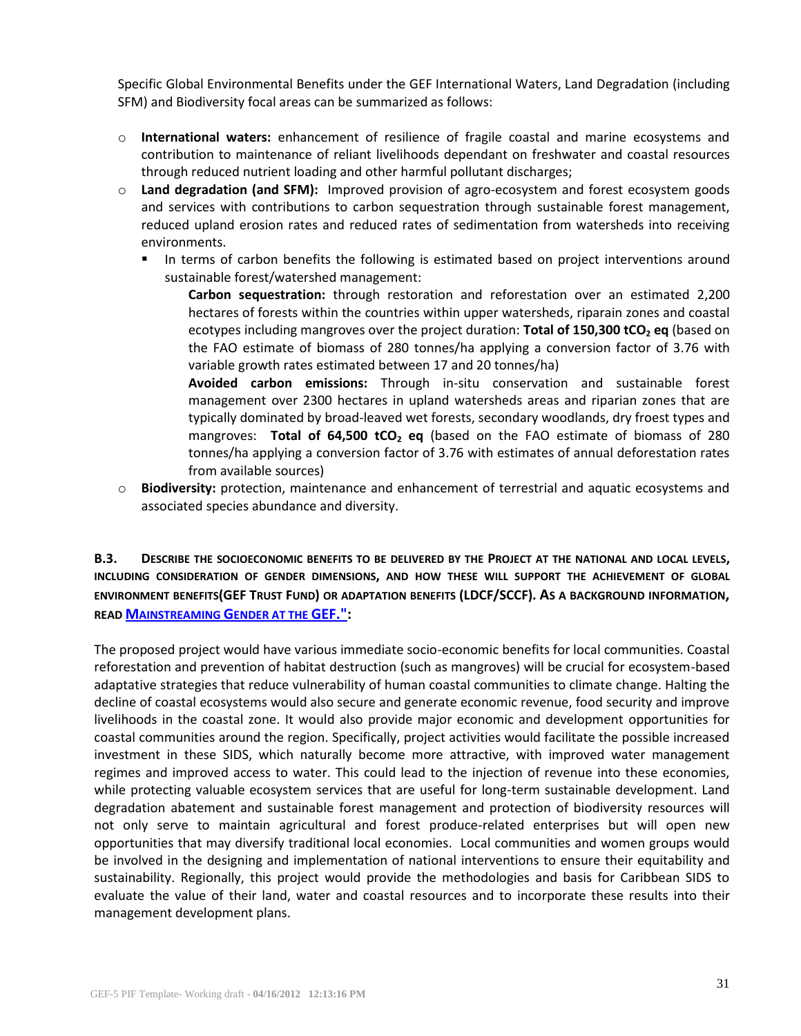Specific Global Environmental Benefits under the GEF International Waters, Land Degradation (including SFM) and Biodiversity focal areas can be summarized as follows:

- o **International waters:** enhancement of resilience of fragile coastal and marine ecosystems and contribution to maintenance of reliant livelihoods dependant on freshwater and coastal resources through reduced nutrient loading and other harmful pollutant discharges;
- o **Land degradation (and SFM):** Improved provision of agro-ecosystem and forest ecosystem goods and services with contributions to carbon sequestration through sustainable forest management, reduced upland erosion rates and reduced rates of sedimentation from watersheds into receiving environments.
	- In terms of carbon benefits the following is estimated based on project interventions around sustainable forest/watershed management:

**Carbon sequestration:** through restoration and reforestation over an estimated 2,200 hectares of forests within the countries within upper watersheds, riparain zones and coastal ecotypes including mangroves over the project duration: **Total of 150,300 tCO<sup>2</sup> eq** (based on the FAO estimate of biomass of 280 tonnes/ha applying a conversion factor of 3.76 with variable growth rates estimated between 17 and 20 tonnes/ha)

**Avoided carbon emissions:** Through in-situ conservation and sustainable forest management over 2300 hectares in upland watersheds areas and riparian zones that are typically dominated by broad-leaved wet forests, secondary woodlands, dry froest types and mangroves: **Total of 64,500 tCO<sup>2</sup> eq** (based on the FAO estimate of biomass of 280 tonnes/ha applying a conversion factor of 3.76 with estimates of annual deforestation rates from available sources)

o **Biodiversity:** protection, maintenance and enhancement of terrestrial and aquatic ecosystems and associated species abundance and diversity.

**B.3. DESCRIBE THE SOCIOECONOMIC BENEFITS TO BE DELIVERED BY THE PROJECT AT THE NATIONAL AND LOCAL LEVELS, INCLUDING CONSIDERATION OF GENDER DIMENSIONS, AND HOW THESE WILL SUPPORT THE ACHIEVEMENT OF GLOBAL ENVIRONMENT BENEFITS(GEF TRUST FUND) OR ADAPTATION BENEFITS (LDCF/SCCF). AS A BACKGROUND INFORMATION, READ M[AINSTREAMING](http://www.thegef.org/gef/sites/thegef.org/files/publication/mainstreaming-gender-at-the-GEF.pdf) GENDER AT THE GEF.":**

The proposed project would have various immediate socio-economic benefits for local communities. Coastal reforestation and prevention of habitat destruction (such as mangroves) will be crucial for ecosystem-based adaptative strategies that reduce vulnerability of human coastal communities to climate change. Halting the decline of coastal ecosystems would also secure and generate economic revenue, food security and improve livelihoods in the coastal zone. It would also provide major economic and development opportunities for coastal communities around the region. Specifically, project activities would facilitate the possible increased investment in these SIDS, which naturally become more attractive, with improved water management regimes and improved access to water. This could lead to the injection of revenue into these economies, while protecting valuable ecosystem services that are useful for long-term sustainable development. Land degradation abatement and sustainable forest management and protection of biodiversity resources will not only serve to maintain agricultural and forest produce-related enterprises but will open new opportunities that may diversify traditional local economies. Local communities and women groups would be involved in the designing and implementation of national interventions to ensure their equitability and sustainability. Regionally, this project would provide the methodologies and basis for Caribbean SIDS to evaluate the value of their land, water and coastal resources and to incorporate these results into their management development plans.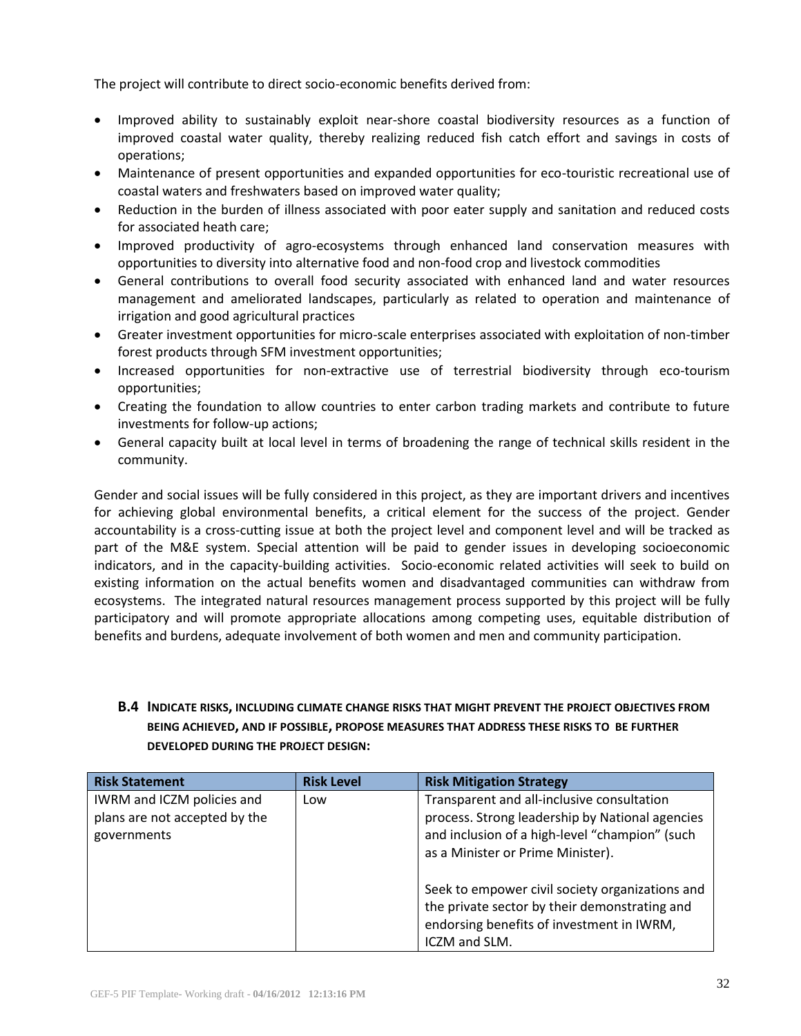The project will contribute to direct socio-economic benefits derived from:

- Improved ability to sustainably exploit near-shore coastal biodiversity resources as a function of improved coastal water quality, thereby realizing reduced fish catch effort and savings in costs of operations;
- Maintenance of present opportunities and expanded opportunities for eco-touristic recreational use of coastal waters and freshwaters based on improved water quality;
- Reduction in the burden of illness associated with poor eater supply and sanitation and reduced costs for associated heath care;
- Improved productivity of agro-ecosystems through enhanced land conservation measures with opportunities to diversity into alternative food and non-food crop and livestock commodities
- General contributions to overall food security associated with enhanced land and water resources management and ameliorated landscapes, particularly as related to operation and maintenance of irrigation and good agricultural practices
- Greater investment opportunities for micro-scale enterprises associated with exploitation of non-timber forest products through SFM investment opportunities;
- Increased opportunities for non-extractive use of terrestrial biodiversity through eco-tourism opportunities;
- Creating the foundation to allow countries to enter carbon trading markets and contribute to future investments for follow-up actions;
- General capacity built at local level in terms of broadening the range of technical skills resident in the community.

Gender and social issues will be fully considered in this project, as they are important drivers and incentives for achieving global environmental benefits, a critical element for the success of the project. Gender accountability is a cross-cutting issue at both the project level and component level and will be tracked as part of the M&E system. Special attention will be paid to gender issues in developing socioeconomic indicators, and in the capacity-building activities. Socio-economic related activities will seek to build on existing information on the actual benefits women and disadvantaged communities can withdraw from ecosystems. The integrated natural resources management process supported by this project will be fully participatory and will promote appropriate allocations among competing uses, equitable distribution of benefits and burdens, adequate involvement of both women and men and community participation.

# **B.4 INDICATE RISKS, INCLUDING CLIMATE CHANGE RISKS THAT MIGHT PREVENT THE PROJECT OBJECTIVES FROM BEING ACHIEVED, AND IF POSSIBLE, PROPOSE MEASURES THAT ADDRESS THESE RISKS TO BE FURTHER DEVELOPED DURING THE PROJECT DESIGN:**

| <b>Risk Statement</b>                                                      | <b>Risk Level</b> | <b>Risk Mitigation Strategy</b>                                                                                                                                                      |
|----------------------------------------------------------------------------|-------------------|--------------------------------------------------------------------------------------------------------------------------------------------------------------------------------------|
| IWRM and ICZM policies and<br>plans are not accepted by the<br>governments | Low               | Transparent and all-inclusive consultation<br>process. Strong leadership by National agencies<br>and inclusion of a high-level "champion" (such<br>as a Minister or Prime Minister). |
|                                                                            |                   | Seek to empower civil society organizations and<br>the private sector by their demonstrating and<br>endorsing benefits of investment in IWRM,<br>ICZM and SLM.                       |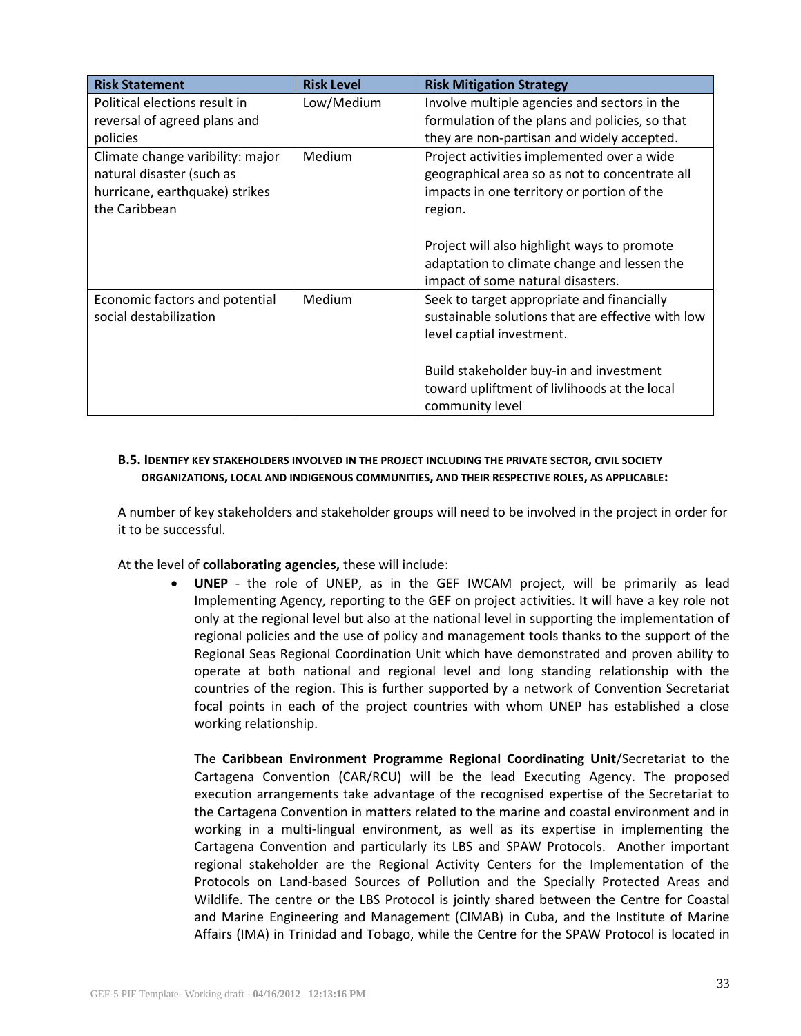| <b>Risk Statement</b>            | <b>Risk Level</b> | <b>Risk Mitigation Strategy</b>                   |  |
|----------------------------------|-------------------|---------------------------------------------------|--|
| Political elections result in    | Low/Medium        | Involve multiple agencies and sectors in the      |  |
| reversal of agreed plans and     |                   | formulation of the plans and policies, so that    |  |
| policies                         |                   | they are non-partisan and widely accepted.        |  |
| Climate change varibility: major | Medium            | Project activities implemented over a wide        |  |
| natural disaster (such as        |                   | geographical area so as not to concentrate all    |  |
| hurricane, earthquake) strikes   |                   | impacts in one territory or portion of the        |  |
| the Caribbean                    |                   | region.                                           |  |
|                                  |                   |                                                   |  |
|                                  |                   | Project will also highlight ways to promote       |  |
|                                  |                   | adaptation to climate change and lessen the       |  |
|                                  |                   | impact of some natural disasters.                 |  |
| Economic factors and potential   | Medium            | Seek to target appropriate and financially        |  |
| social destabilization           |                   | sustainable solutions that are effective with low |  |
|                                  |                   | level captial investment.                         |  |
|                                  |                   |                                                   |  |
|                                  |                   | Build stakeholder buy-in and investment           |  |
|                                  |                   | toward upliftment of livlihoods at the local      |  |
|                                  |                   | community level                                   |  |

# **B.5. IDENTIFY KEY STAKEHOLDERS INVOLVED IN THE PROJECT INCLUDING THE PRIVATE SECTOR, CIVIL SOCIETY ORGANIZATIONS, LOCAL AND INDIGENOUS COMMUNITIES, AND THEIR RESPECTIVE ROLES, AS APPLICABLE:**

A number of key stakeholders and stakeholder groups will need to be involved in the project in order for it to be successful.

At the level of **collaborating agencies,** these will include:

 **UNEP** - the role of UNEP, as in the GEF IWCAM project, will be primarily as lead Implementing Agency, reporting to the GEF on project activities. It will have a key role not only at the regional level but also at the national level in supporting the implementation of regional policies and the use of policy and management tools thanks to the support of the Regional Seas Regional Coordination Unit which have demonstrated and proven ability to operate at both national and regional level and long standing relationship with the countries of the region. This is further supported by a network of Convention Secretariat focal points in each of the project countries with whom UNEP has established a close working relationship.

The **Caribbean Environment Programme Regional Coordinating Unit**/Secretariat to the Cartagena Convention (CAR/RCU) will be the lead Executing Agency. The proposed execution arrangements take advantage of the recognised expertise of the Secretariat to the Cartagena Convention in matters related to the marine and coastal environment and in working in a multi-lingual environment, as well as its expertise in implementing the Cartagena Convention and particularly its LBS and SPAW Protocols. Another important regional stakeholder are the Regional Activity Centers for the Implementation of the Protocols on Land-based Sources of Pollution and the Specially Protected Areas and Wildlife. The centre or the LBS Protocol is jointly shared between the Centre for Coastal and Marine Engineering and Management (CIMAB) in Cuba, and the Institute of Marine Affairs (IMA) in Trinidad and Tobago, while the Centre for the SPAW Protocol is located in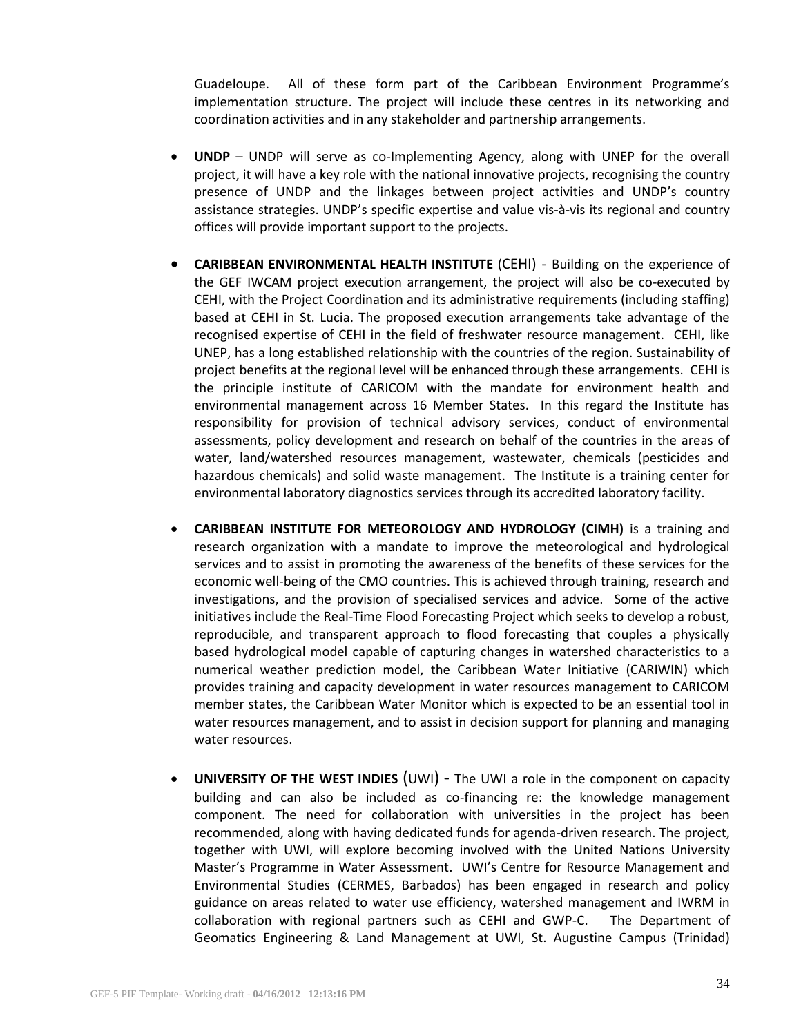Guadeloupe. All of these form part of the Caribbean Environment Programme's implementation structure. The project will include these centres in its networking and coordination activities and in any stakeholder and partnership arrangements.

- **UNDP** UNDP will serve as co-Implementing Agency, along with UNEP for the overall project, it will have a key role with the national innovative projects, recognising the country presence of UNDP and the linkages between project activities and UNDP's country assistance strategies. UNDP's specific expertise and value vis-à-vis its regional and country offices will provide important support to the projects.
- **CARIBBEAN ENVIRONMENTAL HEALTH INSTITUTE** (CEHI) Building on the experience of the GEF IWCAM project execution arrangement, the project will also be co-executed by CEHI, with the Project Coordination and its administrative requirements (including staffing) based at CEHI in St. Lucia. The proposed execution arrangements take advantage of the recognised expertise of CEHI in the field of freshwater resource management. CEHI, like UNEP, has a long established relationship with the countries of the region. Sustainability of project benefits at the regional level will be enhanced through these arrangements. CEHI is the principle institute of CARICOM with the mandate for environment health and environmental management across 16 Member States. In this regard the Institute has responsibility for provision of technical advisory services, conduct of environmental assessments, policy development and research on behalf of the countries in the areas of water, land/watershed resources management, wastewater, chemicals (pesticides and hazardous chemicals) and solid waste management. The Institute is a training center for environmental laboratory diagnostics services through its accredited laboratory facility.
- **CARIBBEAN INSTITUTE FOR METEOROLOGY AND HYDROLOGY (CIMH)** is a training and research organization with a mandate to improve the meteorological and hydrological services and to assist in promoting the awareness of the benefits of these services for the economic well-being of the CMO countries. This is achieved through training, research and investigations, and the provision of specialised services and advice. Some of the active initiatives include the Real-Time Flood Forecasting Project which seeks to develop a robust, reproducible, and transparent approach to flood forecasting that couples a physically based hydrological model capable of capturing changes in watershed characteristics to a numerical weather prediction model, the Caribbean Water Initiative (CARIWIN) which provides training and capacity development in water resources management to CARICOM member states, the Caribbean Water Monitor which is expected to be an essential tool in water resources management, and to assist in decision support for planning and managing water resources.
- **UNIVERSITY OF THE WEST INDIES** (UWI) The UWI a role in the component on capacity building and can also be included as co-financing re: the knowledge management component. The need for collaboration with universities in the project has been recommended, along with having dedicated funds for agenda-driven research. The project, together with UWI, will explore becoming involved with the United Nations University Master's Programme in Water Assessment. UWI's Centre for Resource Management and Environmental Studies (CERMES, Barbados) has been engaged in research and policy guidance on areas related to water use efficiency, watershed management and IWRM in collaboration with regional partners such as CEHI and GWP-C. The Department of Geomatics Engineering & Land Management at UWI, St. Augustine Campus (Trinidad)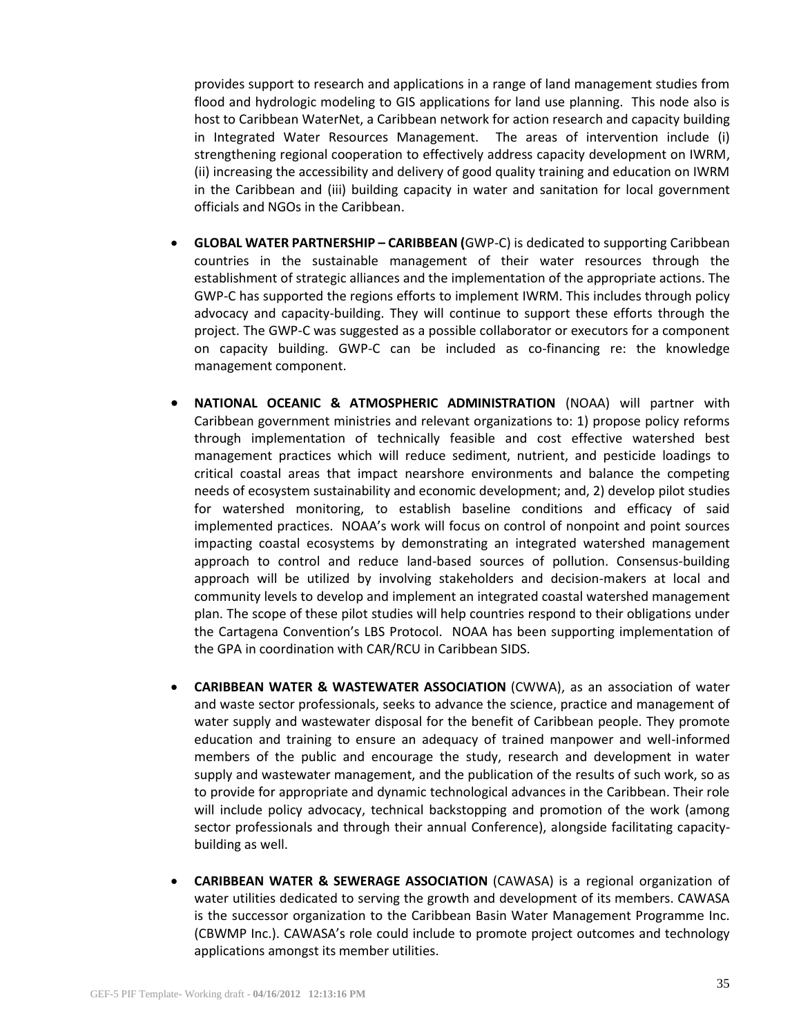provides support to research and applications in a range of land management studies from flood and hydrologic modeling to GIS applications for land use planning. This node also is host to Caribbean WaterNet, a Caribbean network for action research and capacity building in Integrated Water Resources Management. The areas of intervention include (i) strengthening regional cooperation to effectively address capacity development on IWRM, (ii) increasing the accessibility and delivery of good quality training and education on IWRM in the Caribbean and (iii) building capacity in water and sanitation for local government officials and NGOs in the Caribbean.

- **GLOBAL WATER PARTNERSHIP – CARIBBEAN (**GWP-C) is dedicated to supporting Caribbean countries in the sustainable management of their water resources through the establishment of strategic alliances and the implementation of the appropriate actions. The GWP-C has supported the regions efforts to implement IWRM. This includes through policy advocacy and capacity-building. They will continue to support these efforts through the project. The GWP-C was suggested as a possible collaborator or executors for a component on capacity building. GWP-C can be included as co-financing re: the knowledge management component.
- **NATIONAL OCEANIC & ATMOSPHERIC ADMINISTRATION** (NOAA) will partner with Caribbean government ministries and relevant organizations to: 1) propose policy reforms through implementation of technically feasible and cost effective watershed best management practices which will reduce sediment, nutrient, and pesticide loadings to critical coastal areas that impact nearshore environments and balance the competing needs of ecosystem sustainability and economic development; and, 2) develop pilot studies for watershed monitoring, to establish baseline conditions and efficacy of said implemented practices. NOAA's work will focus on control of nonpoint and point sources impacting coastal ecosystems by demonstrating an integrated watershed management approach to control and reduce land-based sources of pollution. Consensus-building approach will be utilized by involving stakeholders and decision-makers at local and community levels to develop and implement an integrated coastal watershed management plan. The scope of these pilot studies will help countries respond to their obligations under the Cartagena Convention's LBS Protocol. NOAA has been supporting implementation of the GPA in coordination with CAR/RCU in Caribbean SIDS.
- **CARIBBEAN WATER & WASTEWATER ASSOCIATION** (CWWA), as an association of water and waste sector professionals, seeks to advance the science, practice and management of water supply and wastewater disposal for the benefit of Caribbean people. They promote education and training to ensure an adequacy of trained manpower and well-informed members of the public and encourage the study, research and development in water supply and wastewater management, and the publication of the results of such work, so as to provide for appropriate and dynamic technological advances in the Caribbean. Their role will include policy advocacy, technical backstopping and promotion of the work (among sector professionals and through their annual Conference), alongside facilitating capacitybuilding as well.
- **CARIBBEAN WATER & SEWERAGE ASSOCIATION** (CAWASA) is a regional organization of water utilities dedicated to serving the growth and development of its members. CAWASA is the successor organization to the Caribbean Basin Water Management Programme Inc. (CBWMP Inc.). CAWASA's role could include to promote project outcomes and technology applications amongst its member utilities.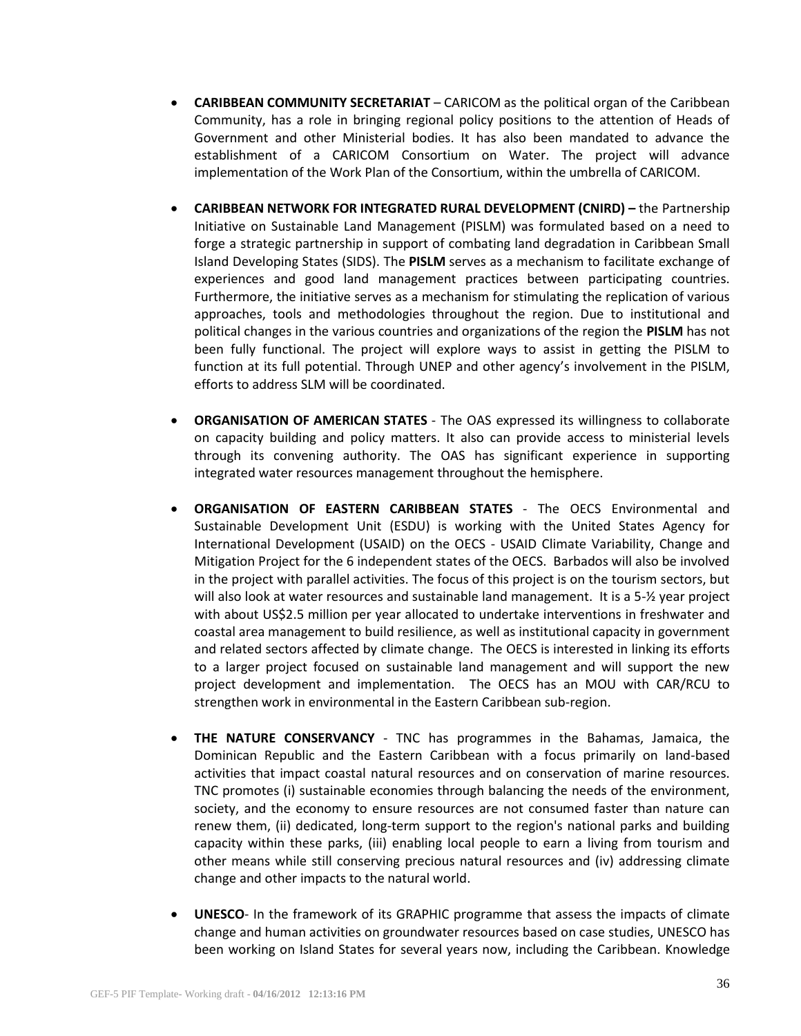- **CARIBBEAN COMMUNITY SECRETARIAT** CARICOM as the political organ of the Caribbean Community, has a role in bringing regional policy positions to the attention of Heads of Government and other Ministerial bodies. It has also been mandated to advance the establishment of a CARICOM Consortium on Water. The project will advance implementation of the Work Plan of the Consortium, within the umbrella of CARICOM.
- **CARIBBEAN NETWORK FOR INTEGRATED RURAL DEVELOPMENT (CNIRD) –** the Partnership Initiative on Sustainable Land Management (PISLM) was formulated based on a need to forge a strategic partnership in support of combating land degradation in Caribbean Small Island Developing States (SIDS). The **PISLM** serves as a mechanism to facilitate exchange of experiences and good land management practices between participating countries. Furthermore, the initiative serves as a mechanism for stimulating the replication of various approaches, tools and methodologies throughout the region. Due to institutional and political changes in the various countries and organizations of the region the **PISLM** has not been fully functional. The project will explore ways to assist in getting the PISLM to function at its full potential. Through UNEP and other agency's involvement in the PISLM, efforts to address SLM will be coordinated.
- **ORGANISATION OF AMERICAN STATES** The OAS expressed its willingness to collaborate on capacity building and policy matters. It also can provide access to ministerial levels through its convening authority. The OAS has significant experience in supporting integrated water resources management throughout the hemisphere.
- **ORGANISATION OF EASTERN CARIBBEAN STATES** The OECS Environmental and Sustainable Development Unit (ESDU) is working with the United States Agency for International Development (USAID) on the OECS - USAID Climate Variability, Change and Mitigation Project for the 6 independent states of the OECS. Barbados will also be involved in the project with parallel activities. The focus of this project is on the tourism sectors, but will also look at water resources and sustainable land management. It is a 5-½ year project with about US\$2.5 million per year allocated to undertake interventions in freshwater and coastal area management to build resilience, as well as institutional capacity in government and related sectors affected by climate change. The OECS is interested in linking its efforts to a larger project focused on sustainable land management and will support the new project development and implementation. The OECS has an MOU with CAR/RCU to strengthen work in environmental in the Eastern Caribbean sub-region.
- **THE NATURE CONSERVANCY** TNC has programmes in the Bahamas, Jamaica, the Dominican Republic and the Eastern Caribbean with a focus primarily on land-based activities that impact coastal natural resources and on conservation of marine resources. TNC promotes (i) sustainable economies through balancing the needs of the environment, society, and the economy to ensure resources are not consumed faster than nature can renew them, (ii) dedicated, long-term support to the region's national parks and building capacity within these parks, (iii) enabling local people to earn a living from tourism and other means while still conserving precious natural resources and (iv) addressing climate change and other impacts to the natural world.
- **UNESCO** In the framework of its GRAPHIC programme that assess the impacts of climate change and human activities on groundwater resources based on case studies, UNESCO has been working on Island States for several years now, including the Caribbean. Knowledge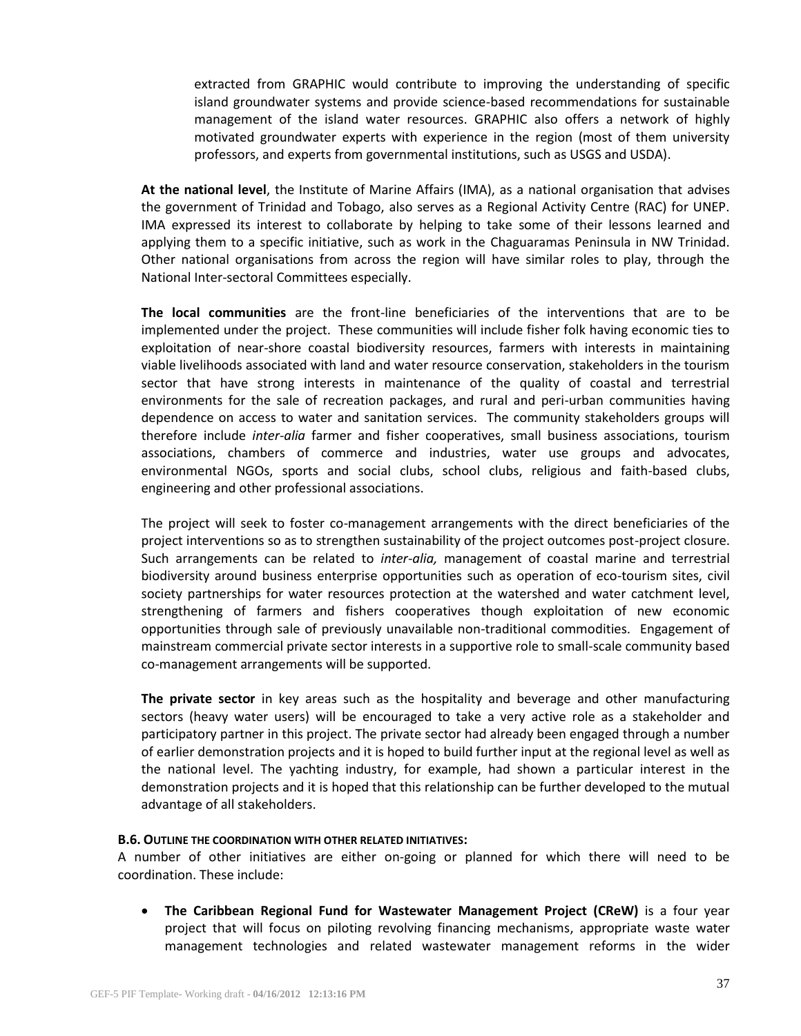extracted from GRAPHIC would contribute to improving the understanding of specific island groundwater systems and provide science-based recommendations for sustainable management of the island water resources. GRAPHIC also offers a network of highly motivated groundwater experts with experience in the region (most of them university professors, and experts from governmental institutions, such as USGS and USDA).

**At the national level**, the Institute of Marine Affairs (IMA), as a national organisation that advises the government of Trinidad and Tobago, also serves as a Regional Activity Centre (RAC) for UNEP. IMA expressed its interest to collaborate by helping to take some of their lessons learned and applying them to a specific initiative, such as work in the Chaguaramas Peninsula in NW Trinidad. Other national organisations from across the region will have similar roles to play, through the National Inter-sectoral Committees especially.

**The local communities** are the front-line beneficiaries of the interventions that are to be implemented under the project. These communities will include fisher folk having economic ties to exploitation of near-shore coastal biodiversity resources, farmers with interests in maintaining viable livelihoods associated with land and water resource conservation, stakeholders in the tourism sector that have strong interests in maintenance of the quality of coastal and terrestrial environments for the sale of recreation packages, and rural and peri-urban communities having dependence on access to water and sanitation services. The community stakeholders groups will therefore include *inter-alia* farmer and fisher cooperatives, small business associations, tourism associations, chambers of commerce and industries, water use groups and advocates, environmental NGOs, sports and social clubs, school clubs, religious and faith-based clubs, engineering and other professional associations.

The project will seek to foster co-management arrangements with the direct beneficiaries of the project interventions so as to strengthen sustainability of the project outcomes post-project closure. Such arrangements can be related to *inter-alia,* management of coastal marine and terrestrial biodiversity around business enterprise opportunities such as operation of eco-tourism sites, civil society partnerships for water resources protection at the watershed and water catchment level, strengthening of farmers and fishers cooperatives though exploitation of new economic opportunities through sale of previously unavailable non-traditional commodities. Engagement of mainstream commercial private sector interests in a supportive role to small-scale community based co-management arrangements will be supported.

**The private sector** in key areas such as the hospitality and beverage and other manufacturing sectors (heavy water users) will be encouraged to take a very active role as a stakeholder and participatory partner in this project. The private sector had already been engaged through a number of earlier demonstration projects and it is hoped to build further input at the regional level as well as the national level. The yachting industry, for example, had shown a particular interest in the demonstration projects and it is hoped that this relationship can be further developed to the mutual advantage of all stakeholders.

#### **B.6. OUTLINE THE COORDINATION WITH OTHER RELATED INITIATIVES:**

A number of other initiatives are either on-going or planned for which there will need to be coordination. These include:

 **The Caribbean Regional Fund for Wastewater Management Project (CReW)** is a four year project that will focus on piloting revolving financing mechanisms, appropriate waste water management technologies and related wastewater management reforms in the wider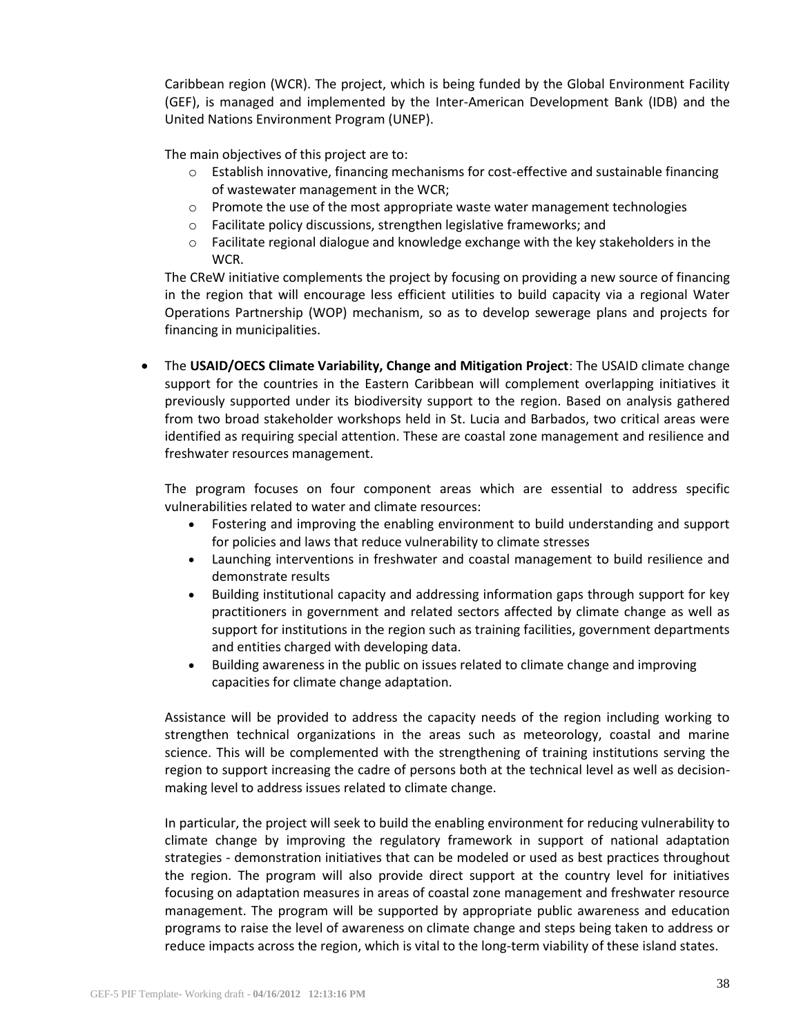Caribbean region (WCR). The project, which is being funded by the Global Environment Facility (GEF), is managed and implemented by the Inter-American Development Bank (IDB) and the United Nations Environment Program (UNEP).

The main objectives of this project are to:

- o Establish innovative, financing mechanisms for cost-effective and sustainable financing of wastewater management in the WCR;
- $\circ$  Promote the use of the most appropriate waste water management technologies
- o Facilitate policy discussions, strengthen legislative frameworks; and
- $\circ$  Facilitate regional dialogue and knowledge exchange with the key stakeholders in the WCR.

The CReW initiative complements the project by focusing on providing a new source of financing in the region that will encourage less efficient utilities to build capacity via a regional Water Operations Partnership (WOP) mechanism, so as to develop sewerage plans and projects for financing in municipalities.

 The **USAID/OECS Climate Variability, Change and Mitigation Project**: The USAID climate change support for the countries in the Eastern Caribbean will complement overlapping initiatives it previously supported under its biodiversity support to the region. Based on analysis gathered from two broad stakeholder workshops held in St. Lucia and Barbados, two critical areas were identified as requiring special attention. These are coastal zone management and resilience and freshwater resources management.

The program focuses on four component areas which are essential to address specific vulnerabilities related to water and climate resources:

- Fostering and improving the enabling environment to build understanding and support for policies and laws that reduce vulnerability to climate stresses
- Launching interventions in freshwater and coastal management to build resilience and demonstrate results
- Building institutional capacity and addressing information gaps through support for key practitioners in government and related sectors affected by climate change as well as support for institutions in the region such as training facilities, government departments and entities charged with developing data.
- Building awareness in the public on issues related to climate change and improving capacities for climate change adaptation.

Assistance will be provided to address the capacity needs of the region including working to strengthen technical organizations in the areas such as meteorology, coastal and marine science. This will be complemented with the strengthening of training institutions serving the region to support increasing the cadre of persons both at the technical level as well as decisionmaking level to address issues related to climate change.

In particular, the project will seek to build the enabling environment for reducing vulnerability to climate change by improving the regulatory framework in support of national adaptation strategies - demonstration initiatives that can be modeled or used as best practices throughout the region. The program will also provide direct support at the country level for initiatives focusing on adaptation measures in areas of coastal zone management and freshwater resource management. The program will be supported by appropriate public awareness and education programs to raise the level of awareness on climate change and steps being taken to address or reduce impacts across the region, which is vital to the long-term viability of these island states.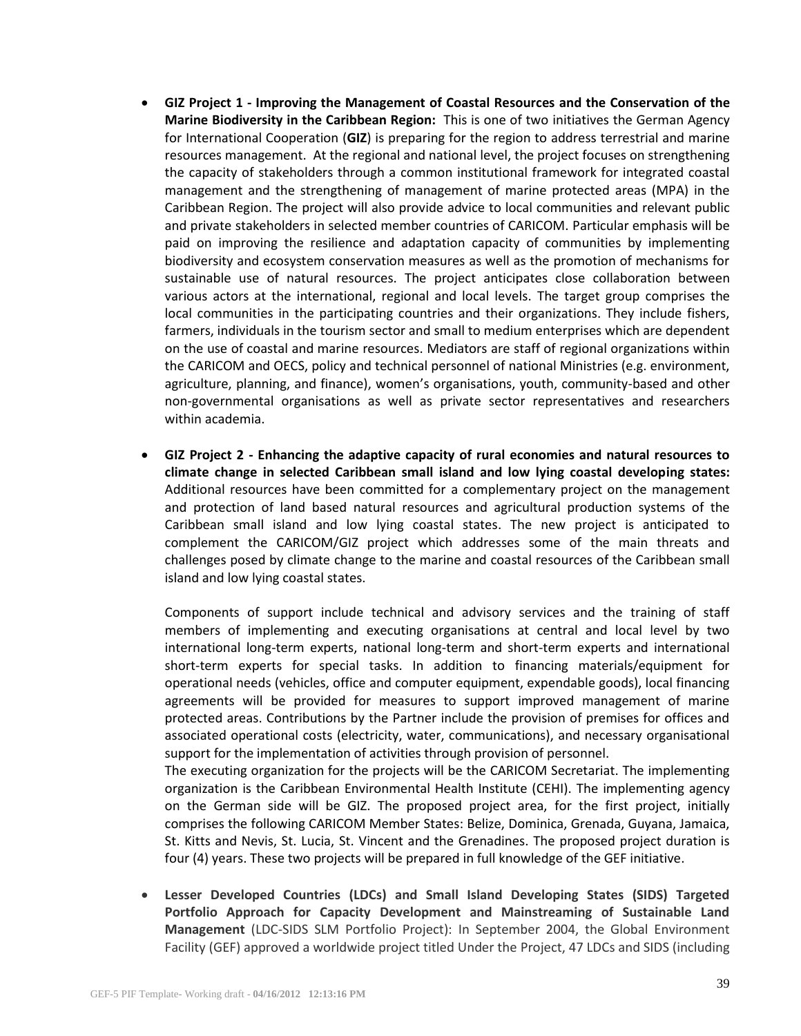- **GIZ Project 1 - Improving the Management of Coastal Resources and the Conservation of the Marine Biodiversity in the Caribbean Region:** This is one of two initiatives the German Agency for International Cooperation (**GIZ**) is preparing for the region to address terrestrial and marine resources management. At the regional and national level, the project focuses on strengthening the capacity of stakeholders through a common institutional framework for integrated coastal management and the strengthening of management of marine protected areas (MPA) in the Caribbean Region. The project will also provide advice to local communities and relevant public and private stakeholders in selected member countries of CARICOM. Particular emphasis will be paid on improving the resilience and adaptation capacity of communities by implementing biodiversity and ecosystem conservation measures as well as the promotion of mechanisms for sustainable use of natural resources. The project anticipates close collaboration between various actors at the international, regional and local levels. The target group comprises the local communities in the participating countries and their organizations. They include fishers, farmers, individuals in the tourism sector and small to medium enterprises which are dependent on the use of coastal and marine resources. Mediators are staff of regional organizations within the CARICOM and OECS, policy and technical personnel of national Ministries (e.g. environment, agriculture, planning, and finance), women's organisations, youth, community-based and other non-governmental organisations as well as private sector representatives and researchers within academia.
- **GIZ Project 2 - Enhancing the adaptive capacity of rural economies and natural resources to climate change in selected Caribbean small island and low lying coastal developing states:** Additional resources have been committed for a complementary project on the management and protection of land based natural resources and agricultural production systems of the Caribbean small island and low lying coastal states. The new project is anticipated to complement the CARICOM/GIZ project which addresses some of the main threats and challenges posed by climate change to the marine and coastal resources of the Caribbean small island and low lying coastal states.

Components of support include technical and advisory services and the training of staff members of implementing and executing organisations at central and local level by two international long-term experts, national long-term and short-term experts and international short-term experts for special tasks. In addition to financing materials/equipment for operational needs (vehicles, office and computer equipment, expendable goods), local financing agreements will be provided for measures to support improved management of marine protected areas. Contributions by the Partner include the provision of premises for offices and associated operational costs (electricity, water, communications), and necessary organisational support for the implementation of activities through provision of personnel.

The executing organization for the projects will be the CARICOM Secretariat. The implementing organization is the Caribbean Environmental Health Institute (CEHI). The implementing agency on the German side will be GIZ. The proposed project area, for the first project, initially comprises the following CARICOM Member States: Belize, Dominica, Grenada, Guyana, Jamaica, St. Kitts and Nevis, St. Lucia, St. Vincent and the Grenadines. The proposed project duration is four (4) years. These two projects will be prepared in full knowledge of the GEF initiative.

 **Lesser Developed Countries (LDCs) and Small Island Developing States (SIDS) Targeted Portfolio Approach for Capacity Development and Mainstreaming of Sustainable Land Management** (LDC-SIDS SLM Portfolio Project): In September 2004, the Global Environment Facility (GEF) approved a worldwide project titled Under the Project, 47 LDCs and SIDS (including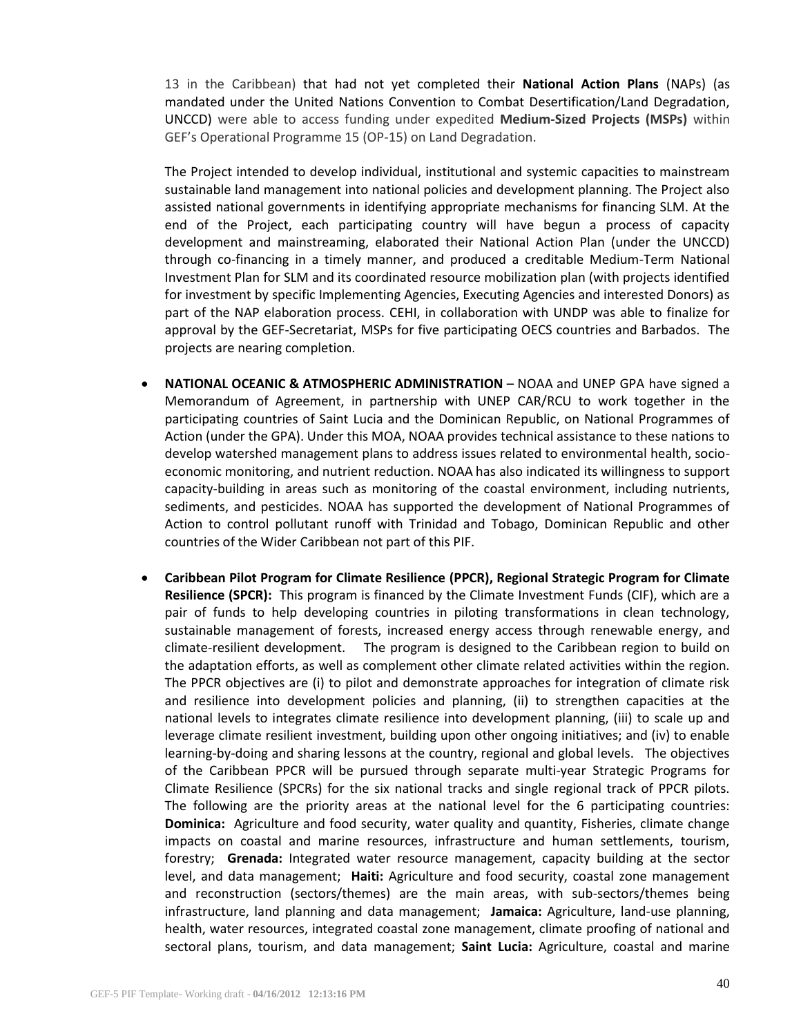13 in the Caribbean) that had not yet completed their **National Action Plans** (NAPs) (as mandated under the United Nations Convention to Combat Desertification/Land Degradation, UNCCD) were able to access funding under expedited **Medium-Sized Projects (MSPs)** within GEF's Operational Programme 15 (OP-15) on Land Degradation.

The Project intended to develop individual, institutional and systemic capacities to mainstream sustainable land management into national policies and development planning. The Project also assisted national governments in identifying appropriate mechanisms for financing SLM. At the end of the Project, each participating country will have begun a process of capacity development and mainstreaming, elaborated their National Action Plan (under the UNCCD) through co-financing in a timely manner, and produced a creditable Medium-Term National Investment Plan for SLM and its coordinated resource mobilization plan (with projects identified for investment by specific Implementing Agencies, Executing Agencies and interested Donors) as part of the NAP elaboration process. CEHI, in collaboration with UNDP was able to finalize for approval by the GEF-Secretariat, MSPs for five participating OECS countries and Barbados. The projects are nearing completion.

- **NATIONAL OCEANIC & ATMOSPHERIC ADMINISTRATION** NOAA and UNEP GPA have signed a Memorandum of Agreement, in partnership with UNEP CAR/RCU to work together in the participating countries of Saint Lucia and the Dominican Republic, on National Programmes of Action (under the GPA). Under this MOA, NOAA provides technical assistance to these nations to develop watershed management plans to address issues related to environmental health, socioeconomic monitoring, and nutrient reduction. NOAA has also indicated its willingness to support capacity-building in areas such as monitoring of the coastal environment, including nutrients, sediments, and pesticides. NOAA has supported the development of National Programmes of Action to control pollutant runoff with Trinidad and Tobago, Dominican Republic and other countries of the Wider Caribbean not part of this PIF.
- **Caribbean Pilot Program for Climate Resilience (PPCR), Regional Strategic Program for Climate Resilience (SPCR):** This program is financed by the Climate Investment Funds (CIF), which are a pair of funds to help developing countries in piloting transformations in clean technology, sustainable management of forests, increased energy access through renewable energy, and climate-resilient development. The program is designed to the Caribbean region to build on the adaptation efforts, as well as complement other climate related activities within the region. The PPCR objectives are (i) to pilot and demonstrate approaches for integration of climate risk and resilience into development policies and planning, (ii) to strengthen capacities at the national levels to integrates climate resilience into development planning, (iii) to scale up and leverage climate resilient investment, building upon other ongoing initiatives; and (iv) to enable learning-by-doing and sharing lessons at the country, regional and global levels. The objectives of the Caribbean PPCR will be pursued through separate multi-year Strategic Programs for Climate Resilience (SPCRs) for the six national tracks and single regional track of PPCR pilots. The following are the priority areas at the national level for the 6 participating countries: **Dominica:** Agriculture and food security, water quality and quantity, Fisheries, climate change impacts on coastal and marine resources, infrastructure and human settlements, tourism, forestry; **Grenada:** Integrated water resource management, capacity building at the sector level, and data management; **Haiti:** Agriculture and food security, coastal zone management and reconstruction (sectors/themes) are the main areas, with sub-sectors/themes being infrastructure, land planning and data management; **Jamaica:** Agriculture, land-use planning, health, water resources, integrated coastal zone management, climate proofing of national and sectoral plans, tourism, and data management; **Saint Lucia:** Agriculture, coastal and marine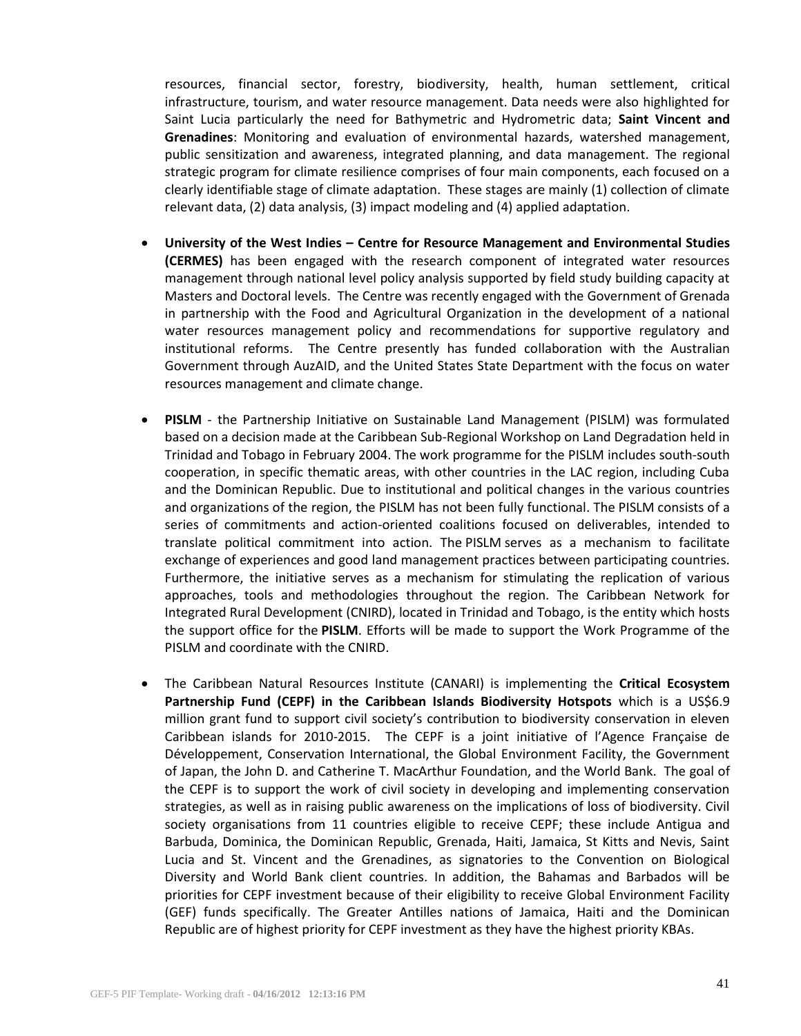resources, financial sector, forestry, biodiversity, health, human settlement, critical infrastructure, tourism, and water resource management. Data needs were also highlighted for Saint Lucia particularly the need for Bathymetric and Hydrometric data; **Saint Vincent and Grenadines**: Monitoring and evaluation of environmental hazards, watershed management, public sensitization and awareness, integrated planning, and data management. The regional strategic program for climate resilience comprises of four main components, each focused on a clearly identifiable stage of climate adaptation. These stages are mainly (1) collection of climate relevant data, (2) data analysis, (3) impact modeling and (4) applied adaptation.

- **University of the West Indies – Centre for Resource Management and Environmental Studies (CERMES)** has been engaged with the research component of integrated water resources management through national level policy analysis supported by field study building capacity at Masters and Doctoral levels. The Centre was recently engaged with the Government of Grenada in partnership with the Food and Agricultural Organization in the development of a national water resources management policy and recommendations for supportive regulatory and institutional reforms. The Centre presently has funded collaboration with the Australian Government through AuzAID, and the United States State Department with the focus on water resources management and climate change.
- **PISLM** the Partnership Initiative on Sustainable Land Management (PISLM) was formulated based on a decision made at the Caribbean Sub-Regional Workshop on Land Degradation held in Trinidad and Tobago in February 2004. The work programme for the PISLM includes south-south cooperation, in specific thematic areas, with other countries in the LAC region, including Cuba and the Dominican Republic. Due to institutional and political changes in the various countries and organizations of the region, the PISLM has not been fully functional. The PISLM consists of a series of commitments and action-oriented coalitions focused on deliverables, intended to translate political commitment into action. The PISLM serves as a mechanism to facilitate exchange of experiences and good land management practices between participating countries. Furthermore, the initiative serves as a mechanism for stimulating the replication of various approaches, tools and methodologies throughout the region. The Caribbean Network for Integrated Rural Development (CNIRD), located in Trinidad and Tobago, is the entity which hosts the support office for the **PISLM**. Efforts will be made to support the Work Programme of the PISLM and coordinate with the CNIRD.
- The Caribbean Natural Resources Institute (CANARI) is implementing the **Critical Ecosystem Partnership Fund (CEPF) in the Caribbean Islands Biodiversity Hotspots** which is a US\$6.9 million grant fund to support civil society's contribution to biodiversity conservation in eleven Caribbean islands for 2010-2015. The CEPF is a joint initiative of l'Agence Française de Développement, Conservation International, the Global Environment Facility, the Government of Japan, the John D. and Catherine T. MacArthur Foundation, and the World Bank. The goal of the CEPF is to support the work of civil society in developing and implementing conservation strategies, as well as in raising public awareness on the implications of loss of biodiversity. Civil society organisations from 11 countries eligible to receive CEPF; these include Antigua and Barbuda, Dominica, the Dominican Republic, Grenada, Haiti, Jamaica, St Kitts and Nevis, Saint Lucia and St. Vincent and the Grenadines, as signatories to the Convention on Biological Diversity and World Bank client countries. In addition, the Bahamas and Barbados will be priorities for CEPF investment because of their eligibility to receive Global Environment Facility (GEF) funds specifically. The Greater Antilles nations of Jamaica, Haiti and the Dominican Republic are of highest priority for CEPF investment as they have the highest priority KBAs.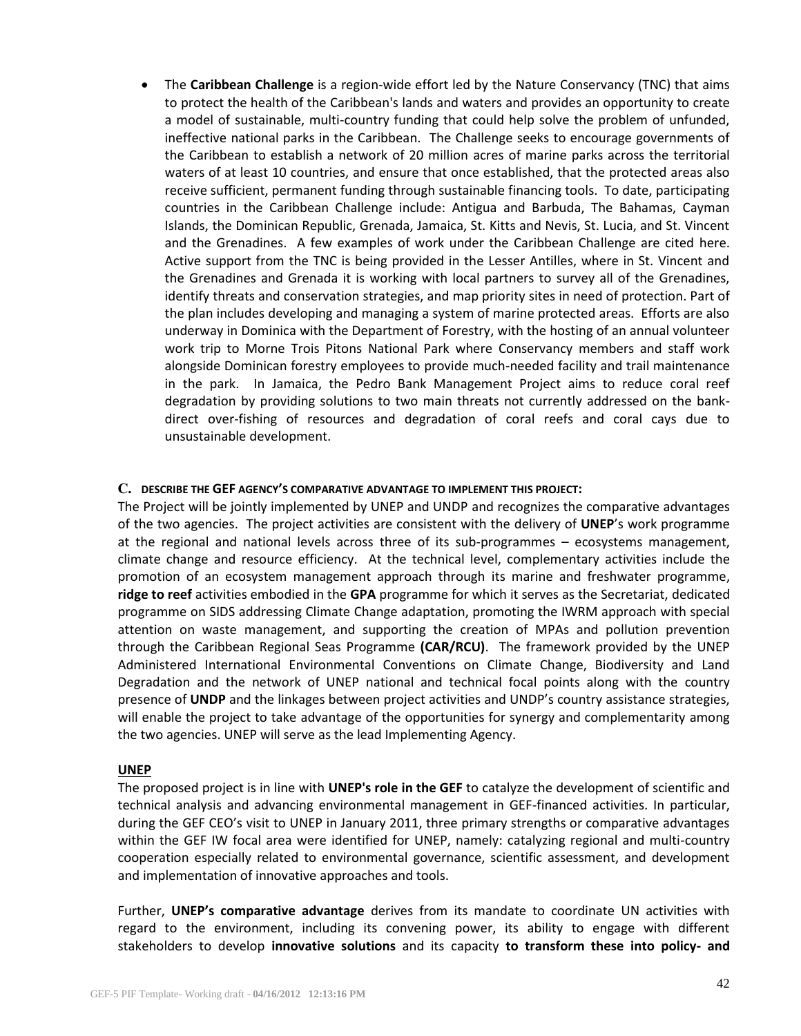The **Caribbean Challenge** is a region-wide effort led by the Nature Conservancy (TNC) that aims to protect the health of the Caribbean's lands and waters and provides an opportunity to create a model of sustainable, multi-country funding that could help solve the problem of unfunded, ineffective national parks in the Caribbean. The Challenge seeks to encourage governments of the Caribbean to establish a network of 20 million acres of marine parks across the territorial waters of at least 10 countries, and ensure that once established, that the protected areas also receive sufficient, permanent funding through sustainable financing tools. To date, participating countries in the Caribbean Challenge include: Antigua and Barbuda, The Bahamas, Cayman Islands, the Dominican Republic, Grenada, Jamaica, St. Kitts and Nevis, St. Lucia, and St. Vincent and the Grenadines. A few examples of work under the Caribbean Challenge are cited here. Active support from the TNC is being provided in the Lesser Antilles, where in St. Vincent and the Grenadines and Grenada it is working with local partners to survey all of the Grenadines, identify threats and conservation strategies, and map priority sites in need of protection. Part of the plan includes developing and managing a system of marine protected areas. Efforts are also underway in Dominica with the Department of Forestry, with the hosting of an annual volunteer work trip to Morne Trois Pitons National Park where Conservancy members and staff work alongside Dominican forestry employees to provide much-needed facility and trail maintenance in the park. In Jamaica, the Pedro Bank Management Project aims to reduce coral reef degradation by providing solutions to two main threats not currently addressed on the bankdirect over-fishing of resources and degradation of coral reefs and coral cays due to unsustainable development.

#### **C. DESCRIBE THE GEF AGENCY'S COMPARATIVE ADVANTAGE TO IMPLEMENT THIS PROJECT:**

The Project will be jointly implemented by UNEP and UNDP and recognizes the comparative advantages of the two agencies. The project activities are consistent with the delivery of **UNEP**'s work programme at the regional and national levels across three of its sub-programmes – ecosystems management, climate change and resource efficiency. At the technical level, complementary activities include the promotion of an ecosystem management approach through its marine and freshwater programme, **ridge to reef** activities embodied in the **GPA** programme for which it serves as the Secretariat, dedicated programme on SIDS addressing Climate Change adaptation, promoting the IWRM approach with special attention on waste management, and supporting the creation of MPAs and pollution prevention through the Caribbean Regional Seas Programme **(CAR/RCU)**. The framework provided by the UNEP Administered International Environmental Conventions on Climate Change, Biodiversity and Land Degradation and the network of UNEP national and technical focal points along with the country presence of **UNDP** and the linkages between project activities and UNDP's country assistance strategies, will enable the project to take advantage of the opportunities for synergy and complementarity among the two agencies. UNEP will serve as the lead Implementing Agency.

#### **UNEP**

The proposed project is in line with **UNEP's role in the GEF** to catalyze the development of scientific and technical analysis and advancing environmental management in GEF-financed activities. In particular, during the GEF CEO's visit to UNEP in January 2011, three primary strengths or comparative advantages within the GEF IW focal area were identified for UNEP, namely: catalyzing regional and multi-country cooperation especially related to environmental governance, scientific assessment, and development and implementation of innovative approaches and tools.

Further, **UNEP's comparative advantage** derives from its mandate to coordinate UN activities with regard to the environment, including its convening power, its ability to engage with different stakeholders to develop **innovative solutions** and its capacity **to transform these into policy- and**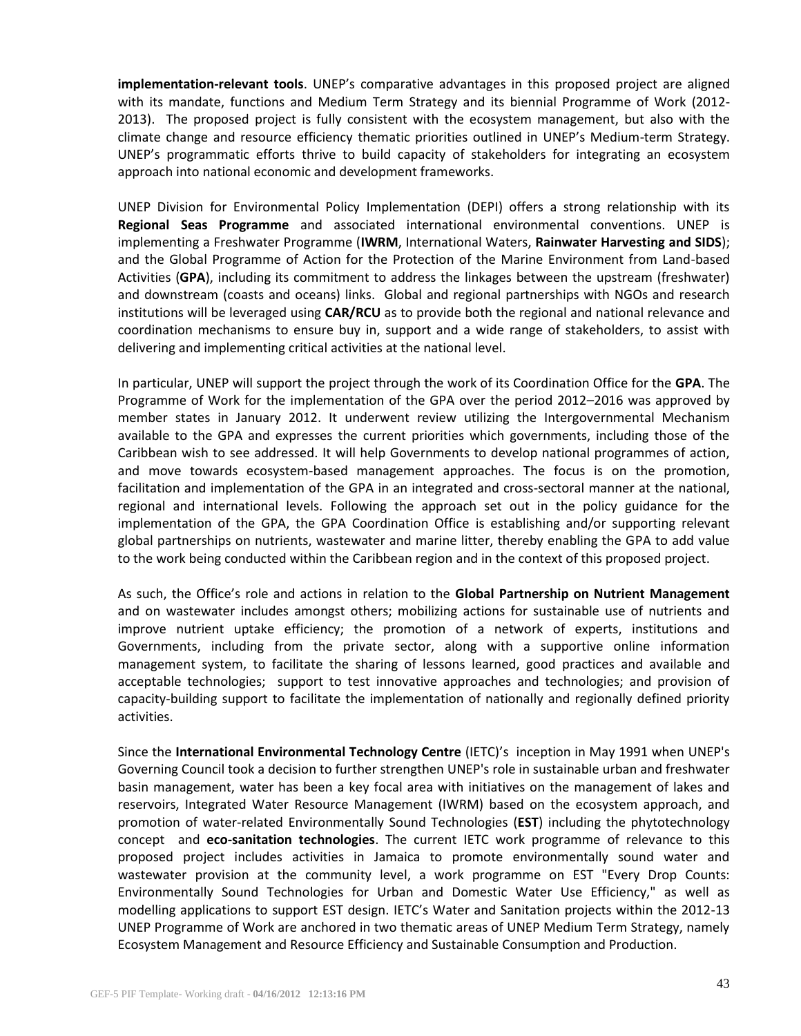**implementation-relevant tools**. UNEP's comparative advantages in this proposed project are aligned with its mandate, functions and Medium Term Strategy and its biennial Programme of Work (2012- 2013). The proposed project is fully consistent with the ecosystem management, but also with the climate change and resource efficiency thematic priorities outlined in UNEP's Medium-term Strategy. UNEP's programmatic efforts thrive to build capacity of stakeholders for integrating an ecosystem approach into national economic and development frameworks.

UNEP Division for Environmental Policy Implementation (DEPI) offers a strong relationship with its **Regional Seas Programme** and associated international environmental conventions. UNEP is implementing a Freshwater Programme (**IWRM**, International Waters, **Rainwater Harvesting and SIDS**); and the Global Programme of Action for the Protection of the Marine Environment from Land-based Activities (**GPA**), including its commitment to address the linkages between the upstream (freshwater) and downstream (coasts and oceans) links. Global and regional partnerships with NGOs and research institutions will be leveraged using **CAR/RCU** as to provide both the regional and national relevance and coordination mechanisms to ensure buy in, support and a wide range of stakeholders, to assist with delivering and implementing critical activities at the national level.

In particular, UNEP will support the project through the work of its Coordination Office for the **GPA**. The Programme of Work for the implementation of the GPA over the period 2012–2016 was approved by member states in January 2012. It underwent review utilizing the Intergovernmental Mechanism available to the GPA and expresses the current priorities which governments, including those of the Caribbean wish to see addressed. It will help Governments to develop national programmes of action, and move towards ecosystem-based management approaches. The focus is on the promotion, facilitation and implementation of the GPA in an integrated and cross-sectoral manner at the national, regional and international levels. Following the approach set out in the policy guidance for the implementation of the GPA, the GPA Coordination Office is establishing and/or supporting relevant global partnerships on nutrients, wastewater and marine litter, thereby enabling the GPA to add value to the work being conducted within the Caribbean region and in the context of this proposed project.

As such, the Office's role and actions in relation to the **Global Partnership on Nutrient Management** and on wastewater includes amongst others; mobilizing actions for sustainable use of nutrients and improve nutrient uptake efficiency; the promotion of a network of experts, institutions and Governments, including from the private sector, along with a supportive online information management system, to facilitate the sharing of lessons learned, good practices and available and acceptable technologies; support to test innovative approaches and technologies; and provision of capacity-building support to facilitate the implementation of nationally and regionally defined priority activities.

Since the **International Environmental Technology Centre** (IETC)'s inception in May 1991 when UNEP's Governing Council took a decision to further strengthen UNEP's role in sustainable urban and freshwater basin management, water has been a key focal area with initiatives on the management of lakes and reservoirs, Integrated Water Resource Management (IWRM) based on the ecosystem approach, and promotion of water-related Environmentally Sound Technologies (**EST**) including the phytotechnology concept and **eco-sanitation technologies**. The current IETC work programme of relevance to this proposed project includes activities in Jamaica to promote environmentally sound water and wastewater provision at the community level, a work programme on EST "Every Drop Counts: Environmentally Sound Technologies for Urban and Domestic Water Use Efficiency," as well as modelling applications to support EST design. IETC's Water and Sanitation projects within the 2012-13 UNEP Programme of Work are anchored in two thematic areas of UNEP Medium Term Strategy, namely Ecosystem Management and Resource Efficiency and Sustainable Consumption and Production.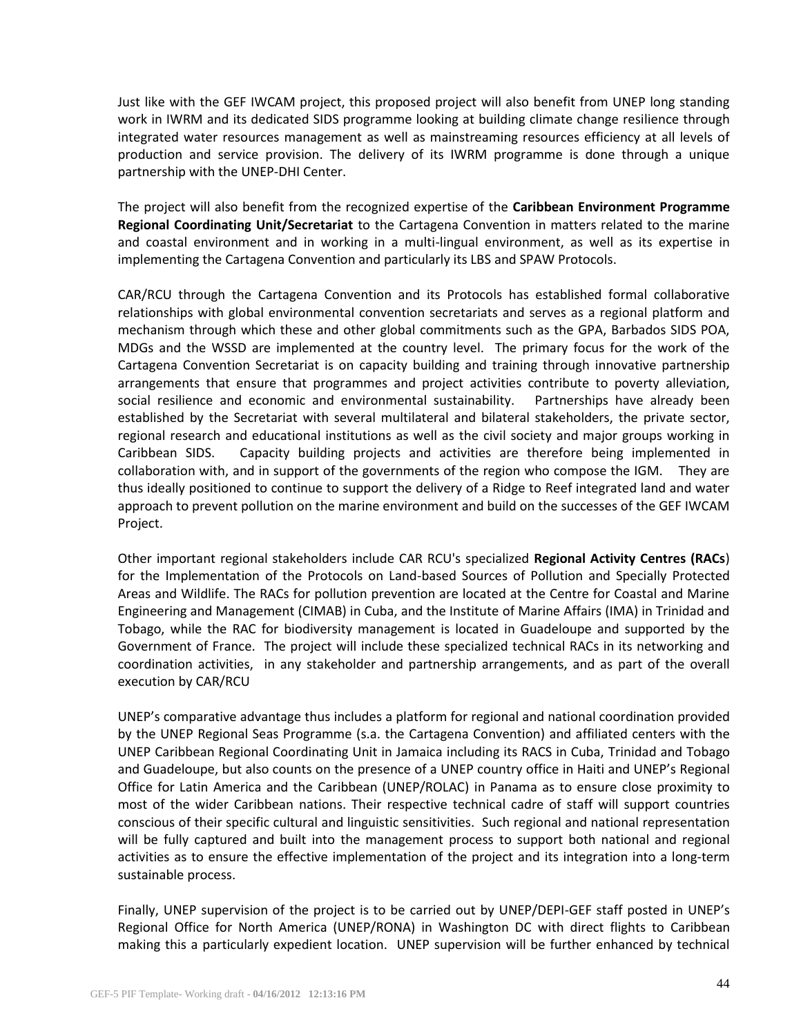Just like with the GEF IWCAM project, this proposed project will also benefit from UNEP long standing work in IWRM and its dedicated SIDS programme looking at building climate change resilience through integrated water resources management as well as mainstreaming resources efficiency at all levels of production and service provision. The delivery of its IWRM programme is done through a unique partnership with the UNEP-DHI Center.

The project will also benefit from the recognized expertise of the **Caribbean Environment Programme Regional Coordinating Unit/Secretariat** to the Cartagena Convention in matters related to the marine and coastal environment and in working in a multi-lingual environment, as well as its expertise in implementing the Cartagena Convention and particularly its LBS and SPAW Protocols.

CAR/RCU through the Cartagena Convention and its Protocols has established formal collaborative relationships with global environmental convention secretariats and serves as a regional platform and mechanism through which these and other global commitments such as the GPA, Barbados SIDS POA, MDGs and the WSSD are implemented at the country level. The primary focus for the work of the Cartagena Convention Secretariat is on capacity building and training through innovative partnership arrangements that ensure that programmes and project activities contribute to poverty alleviation, social resilience and economic and environmental sustainability. Partnerships have already been established by the Secretariat with several multilateral and bilateral stakeholders, the private sector, regional research and educational institutions as well as the civil society and major groups working in Caribbean SIDS. Capacity building projects and activities are therefore being implemented in collaboration with, and in support of the governments of the region who compose the IGM. They are thus ideally positioned to continue to support the delivery of a Ridge to Reef integrated land and water approach to prevent pollution on the marine environment and build on the successes of the GEF IWCAM Project.

Other important regional stakeholders include CAR RCU's specialized **Regional Activity Centres (RACs**) for the Implementation of the Protocols on Land-based Sources of Pollution and Specially Protected Areas and Wildlife. The RACs for pollution prevention are located at the Centre for Coastal and Marine Engineering and Management (CIMAB) in Cuba, and the Institute of Marine Affairs (IMA) in Trinidad and Tobago, while the RAC for biodiversity management is located in Guadeloupe and supported by the Government of France. The project will include these specialized technical RACs in its networking and coordination activities, in any stakeholder and partnership arrangements, and as part of the overall execution by CAR/RCU

UNEP's comparative advantage thus includes a platform for regional and national coordination provided by the UNEP Regional Seas Programme (s.a. the Cartagena Convention) and affiliated centers with the UNEP Caribbean Regional Coordinating Unit in Jamaica including its RACS in Cuba, Trinidad and Tobago and Guadeloupe, but also counts on the presence of a UNEP country office in Haiti and UNEP's Regional Office for Latin America and the Caribbean (UNEP/ROLAC) in Panama as to ensure close proximity to most of the wider Caribbean nations. Their respective technical cadre of staff will support countries conscious of their specific cultural and linguistic sensitivities. Such regional and national representation will be fully captured and built into the management process to support both national and regional activities as to ensure the effective implementation of the project and its integration into a long-term sustainable process.

Finally, UNEP supervision of the project is to be carried out by UNEP/DEPI-GEF staff posted in UNEP's Regional Office for North America (UNEP/RONA) in Washington DC with direct flights to Caribbean making this a particularly expedient location. UNEP supervision will be further enhanced by technical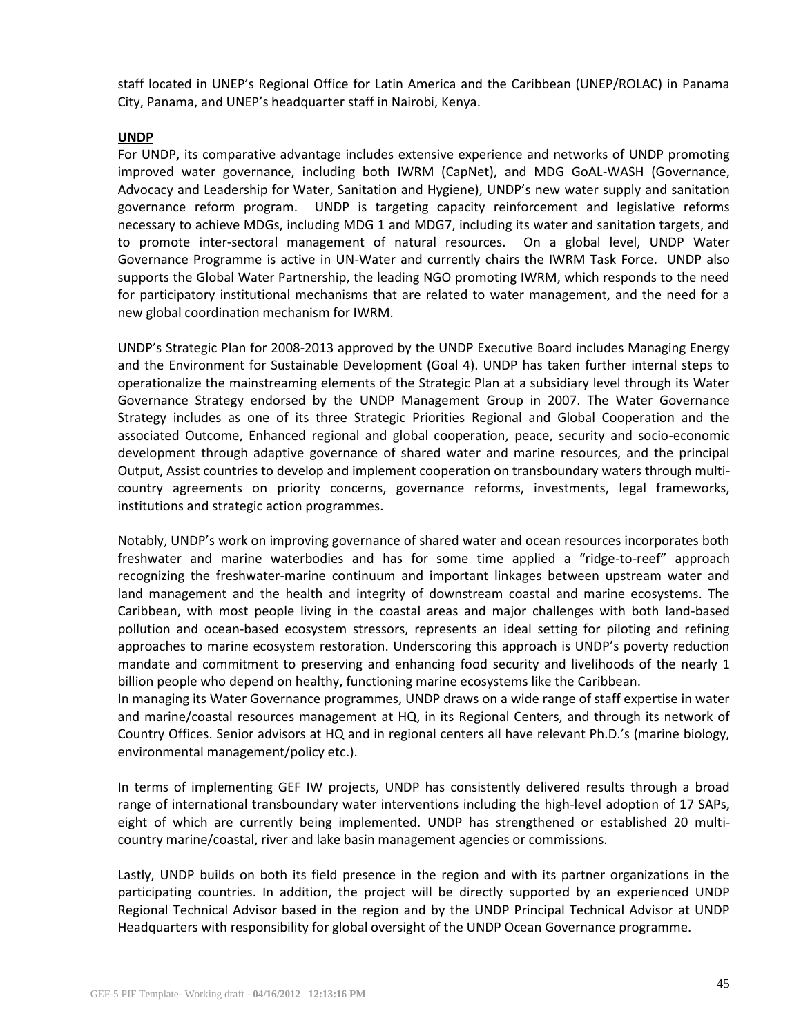staff located in UNEP's Regional Office for Latin America and the Caribbean (UNEP/ROLAC) in Panama City, Panama, and UNEP's headquarter staff in Nairobi, Kenya.

### **UNDP**

For UNDP, its comparative advantage includes extensive experience and networks of UNDP promoting improved water governance, including both IWRM (CapNet), and MDG GoAL-WASH (Governance, Advocacy and Leadership for Water, Sanitation and Hygiene), UNDP's new water supply and sanitation governance reform program. UNDP is targeting capacity reinforcement and legislative reforms necessary to achieve MDGs, including MDG 1 and MDG7, including its water and sanitation targets, and to promote inter-sectoral management of natural resources. On a global level, UNDP Water Governance Programme is active in UN-Water and currently chairs the IWRM Task Force. UNDP also supports the Global Water Partnership, the leading NGO promoting IWRM, which responds to the need for participatory institutional mechanisms that are related to water management, and the need for a new global coordination mechanism for IWRM.

UNDP's Strategic Plan for 2008-2013 approved by the UNDP Executive Board includes Managing Energy and the Environment for Sustainable Development (Goal 4). UNDP has taken further internal steps to operationalize the mainstreaming elements of the Strategic Plan at a subsidiary level through its Water Governance Strategy endorsed by the UNDP Management Group in 2007. The Water Governance Strategy includes as one of its three Strategic Priorities Regional and Global Cooperation and the associated Outcome, Enhanced regional and global cooperation, peace, security and socio-economic development through adaptive governance of shared water and marine resources, and the principal Output, Assist countries to develop and implement cooperation on transboundary waters through multicountry agreements on priority concerns, governance reforms, investments, legal frameworks, institutions and strategic action programmes.

Notably, UNDP's work on improving governance of shared water and ocean resources incorporates both freshwater and marine waterbodies and has for some time applied a "ridge-to-reef" approach recognizing the freshwater-marine continuum and important linkages between upstream water and land management and the health and integrity of downstream coastal and marine ecosystems. The Caribbean, with most people living in the coastal areas and major challenges with both land-based pollution and ocean-based ecosystem stressors, represents an ideal setting for piloting and refining approaches to marine ecosystem restoration. Underscoring this approach is UNDP's poverty reduction mandate and commitment to preserving and enhancing food security and livelihoods of the nearly 1 billion people who depend on healthy, functioning marine ecosystems like the Caribbean.

In managing its Water Governance programmes, UNDP draws on a wide range of staff expertise in water and marine/coastal resources management at HQ, in its Regional Centers, and through its network of Country Offices. Senior advisors at HQ and in regional centers all have relevant Ph.D.'s (marine biology, environmental management/policy etc.).

In terms of implementing GEF IW projects, UNDP has consistently delivered results through a broad range of international transboundary water interventions including the high-level adoption of 17 SAPs, eight of which are currently being implemented. UNDP has strengthened or established 20 multicountry marine/coastal, river and lake basin management agencies or commissions.

Lastly, UNDP builds on both its field presence in the region and with its partner organizations in the participating countries. In addition, the project will be directly supported by an experienced UNDP Regional Technical Advisor based in the region and by the UNDP Principal Technical Advisor at UNDP Headquarters with responsibility for global oversight of the UNDP Ocean Governance programme.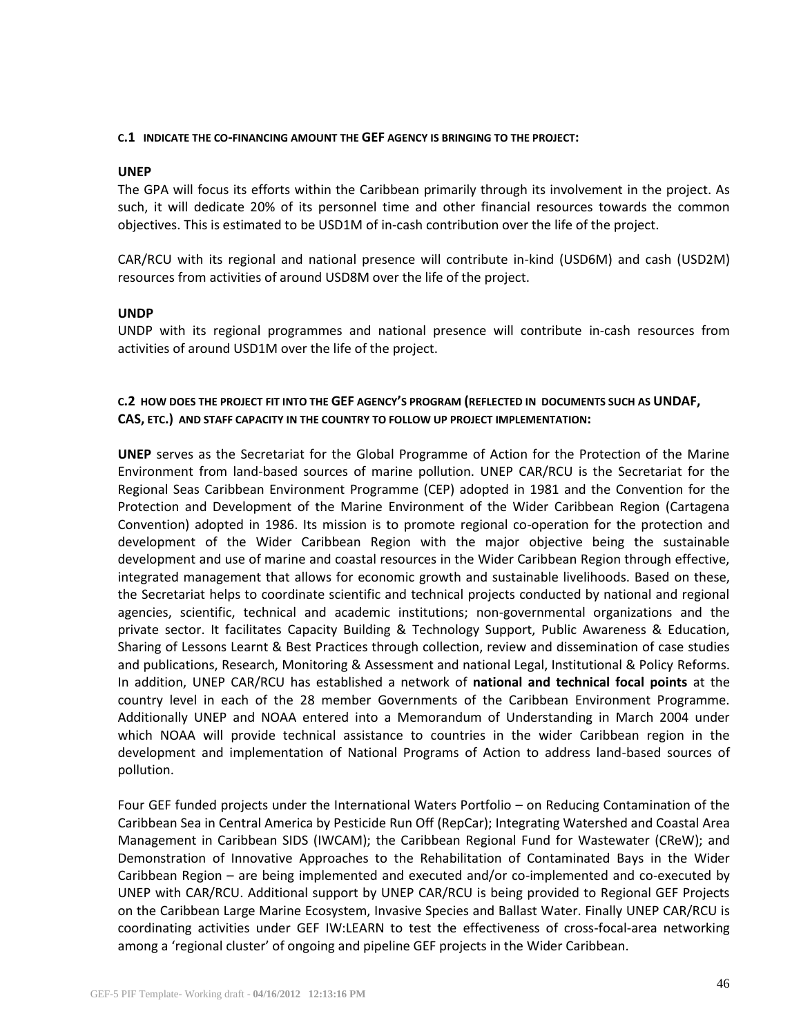#### **C.1 INDICATE THE CO-FINANCING AMOUNT THE GEF AGENCY IS BRINGING TO THE PROJECT:**

#### **UNEP**

The GPA will focus its efforts within the Caribbean primarily through its involvement in the project. As such, it will dedicate 20% of its personnel time and other financial resources towards the common objectives. This is estimated to be USD1M of in-cash contribution over the life of the project.

CAR/RCU with its regional and national presence will contribute in-kind (USD6M) and cash (USD2M) resources from activities of around USD8M over the life of the project.

## **UNDP**

UNDP with its regional programmes and national presence will contribute in-cash resources from activities of around USD1M over the life of the project.

# **C.2 HOW DOES THE PROJECT FIT INTO THE GEF AGENCY'S PROGRAM (REFLECTED IN DOCUMENTS SUCH AS UNDAF, CAS, ETC.) AND STAFF CAPACITY IN THE COUNTRY TO FOLLOW UP PROJECT IMPLEMENTATION:**

**UNEP** serves as the Secretariat for the Global Programme of Action for the Protection of the Marine Environment from land-based sources of marine pollution. UNEP CAR/RCU is the Secretariat for the Regional Seas Caribbean Environment Programme (CEP) adopted in 1981 and the Convention for the Protection and Development of the Marine Environment of the Wider Caribbean Region (Cartagena Convention) adopted in 1986. Its mission is to promote regional co-operation for the protection and development of the Wider Caribbean Region with the major objective being the sustainable development and use of marine and coastal resources in the Wider Caribbean Region through effective, integrated management that allows for economic growth and sustainable livelihoods. Based on these, the Secretariat helps to coordinate scientific and technical projects conducted by national and regional agencies, scientific, technical and academic institutions; non-governmental organizations and the private sector. It facilitates Capacity Building & Technology Support, Public Awareness & Education, Sharing of Lessons Learnt & Best Practices through collection, review and dissemination of case studies and publications, Research, Monitoring & Assessment and national Legal, Institutional & Policy Reforms. In addition, UNEP CAR/RCU has established a network of **national and technical focal points** at the country level in each of the 28 member Governments of the Caribbean Environment Programme. Additionally UNEP and NOAA entered into a Memorandum of Understanding in March 2004 under which NOAA will provide technical assistance to countries in the wider Caribbean region in the development and implementation of National Programs of Action to address land-based sources of pollution.

Four GEF funded projects under the International Waters Portfolio – on Reducing Contamination of the Caribbean Sea in Central America by Pesticide Run Off (RepCar); Integrating Watershed and Coastal Area Management in Caribbean SIDS (IWCAM); the Caribbean Regional Fund for Wastewater (CReW); and Demonstration of Innovative Approaches to the Rehabilitation of Contaminated Bays in the Wider Caribbean Region – are being implemented and executed and/or co-implemented and co-executed by UNEP with CAR/RCU. Additional support by UNEP CAR/RCU is being provided to Regional GEF Projects on the Caribbean Large Marine Ecosystem, Invasive Species and Ballast Water. Finally UNEP CAR/RCU is coordinating activities under GEF IW:LEARN to test the effectiveness of cross-focal-area networking among a 'regional cluster' of ongoing and pipeline GEF projects in the Wider Caribbean.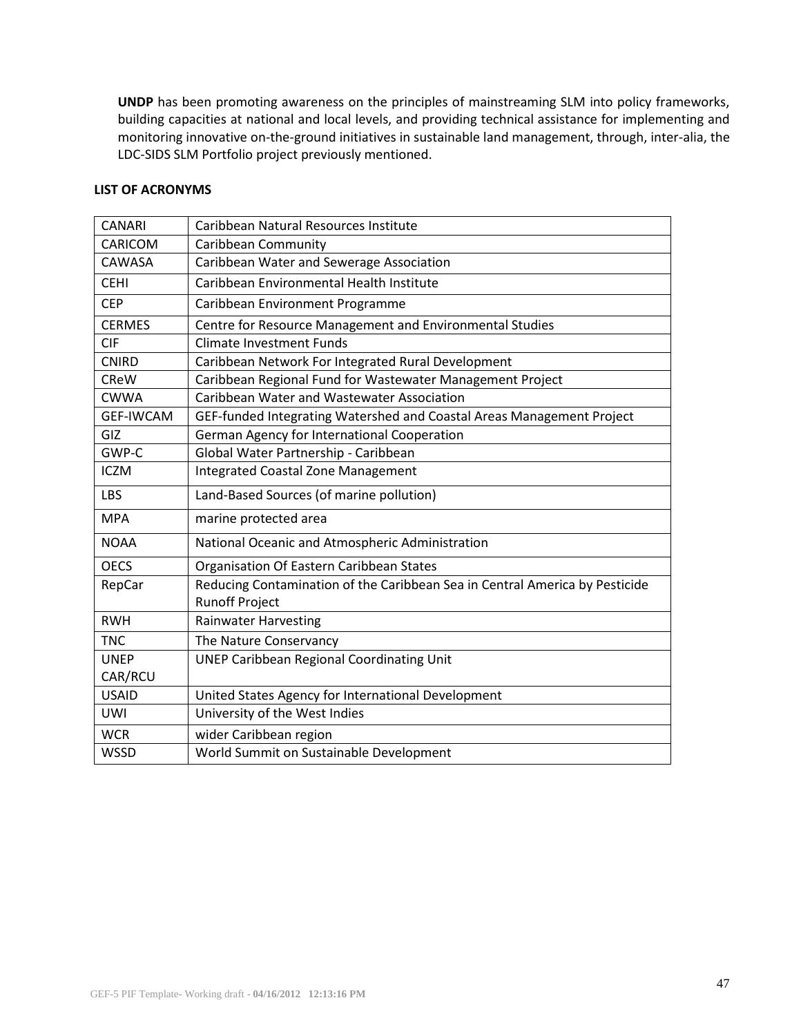**UNDP** has been promoting awareness on the principles of mainstreaming SLM into policy frameworks, building capacities at national and local levels, and providing technical assistance for implementing and monitoring innovative on-the-ground initiatives in sustainable land management, through, inter-alia, the LDC-SIDS SLM Portfolio project previously mentioned.

## **LIST OF ACRONYMS**

| <b>CANARI</b>    | Caribbean Natural Resources Institute                                                                |
|------------------|------------------------------------------------------------------------------------------------------|
| CARICOM          | <b>Caribbean Community</b>                                                                           |
| CAWASA           | Caribbean Water and Sewerage Association                                                             |
| <b>CEHI</b>      | Caribbean Environmental Health Institute                                                             |
| <b>CEP</b>       | Caribbean Environment Programme                                                                      |
| <b>CERMES</b>    | Centre for Resource Management and Environmental Studies                                             |
| <b>CIF</b>       | <b>Climate Investment Funds</b>                                                                      |
| <b>CNIRD</b>     | Caribbean Network For Integrated Rural Development                                                   |
| <b>CReW</b>      | Caribbean Regional Fund for Wastewater Management Project                                            |
| <b>CWWA</b>      | Caribbean Water and Wastewater Association                                                           |
| <b>GEF-IWCAM</b> | GEF-funded Integrating Watershed and Coastal Areas Management Project                                |
| GIZ              | German Agency for International Cooperation                                                          |
| GWP-C            | Global Water Partnership - Caribbean                                                                 |
| <b>ICZM</b>      | <b>Integrated Coastal Zone Management</b>                                                            |
| LBS              | Land-Based Sources (of marine pollution)                                                             |
| <b>MPA</b>       | marine protected area                                                                                |
| <b>NOAA</b>      | National Oceanic and Atmospheric Administration                                                      |
| <b>OECS</b>      | Organisation Of Eastern Caribbean States                                                             |
| RepCar           | Reducing Contamination of the Caribbean Sea in Central America by Pesticide<br><b>Runoff Project</b> |
| <b>RWH</b>       | <b>Rainwater Harvesting</b>                                                                          |
| <b>TNC</b>       | The Nature Conservancy                                                                               |
| <b>UNEP</b>      | <b>UNEP Caribbean Regional Coordinating Unit</b>                                                     |
| CAR/RCU          |                                                                                                      |
| <b>USAID</b>     | United States Agency for International Development                                                   |
| UWI              | University of the West Indies                                                                        |
| <b>WCR</b>       | wider Caribbean region                                                                               |
| <b>WSSD</b>      | World Summit on Sustainable Development                                                              |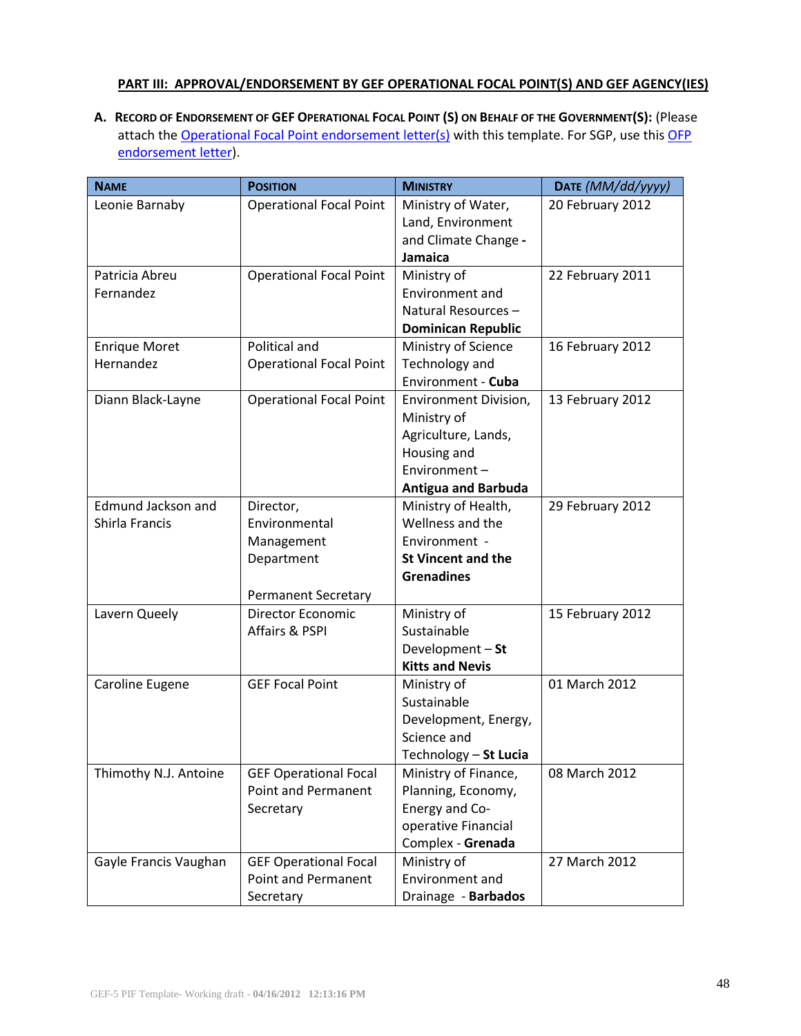## **PART III: APPROVAL/ENDORSEMENT BY GEF OPERATIONAL FOCAL POINT(S) AND GEF AGENCY(IES)**

A. RECORD OF ENDORSEMENT OF GEF OPERATIONAL FOCAL POINT (S) ON BEHALF OF THE GOVERNMENT(S): (Please attach the [Operational Focal Point endorsement letter\(s\)](http://www.thegef.org/gef/guidelines) with this template. For SGP, use this OFP [endorsement letter](http://www.thegef.org/gef/guidelines)).

| <b>NAME</b>               | <b>POSITION</b>                | <b>MINISTRY</b>            | DATE (MM/dd/yyyy) |  |
|---------------------------|--------------------------------|----------------------------|-------------------|--|
| Leonie Barnaby            | <b>Operational Focal Point</b> | Ministry of Water,         | 20 February 2012  |  |
|                           |                                | Land, Environment          |                   |  |
|                           |                                | and Climate Change -       |                   |  |
|                           |                                | Jamaica                    |                   |  |
| Patricia Abreu            | <b>Operational Focal Point</b> | Ministry of                | 22 February 2011  |  |
| Fernandez                 |                                | Environment and            |                   |  |
|                           |                                | Natural Resources-         |                   |  |
|                           |                                | <b>Dominican Republic</b>  |                   |  |
| <b>Enrique Moret</b>      | Political and                  | Ministry of Science        | 16 February 2012  |  |
| Hernandez                 | <b>Operational Focal Point</b> | Technology and             |                   |  |
|                           |                                | Environment - Cuba         |                   |  |
| Diann Black-Layne         | <b>Operational Focal Point</b> | Environment Division,      | 13 February 2012  |  |
|                           |                                | Ministry of                |                   |  |
|                           |                                | Agriculture, Lands,        |                   |  |
|                           |                                | Housing and                |                   |  |
|                           |                                | Environment-               |                   |  |
|                           |                                | <b>Antigua and Barbuda</b> |                   |  |
| <b>Edmund Jackson and</b> | Director,                      | Ministry of Health,        | 29 February 2012  |  |
| Shirla Francis            | Environmental                  | Wellness and the           |                   |  |
|                           | Management                     | Environment -              |                   |  |
|                           | Department                     | <b>St Vincent and the</b>  |                   |  |
|                           |                                | <b>Grenadines</b>          |                   |  |
|                           | Permanent Secretary            |                            |                   |  |
| Lavern Queely             | <b>Director Economic</b>       | Ministry of                | 15 February 2012  |  |
|                           | Affairs & PSPI                 | Sustainable                |                   |  |
|                           |                                | Development - St           |                   |  |
|                           |                                | <b>Kitts and Nevis</b>     |                   |  |
| Caroline Eugene           | <b>GEF Focal Point</b>         | Ministry of                | 01 March 2012     |  |
|                           |                                | Sustainable                |                   |  |
|                           |                                | Development, Energy,       |                   |  |
|                           |                                | Science and                |                   |  |
|                           |                                | Technology - St Lucia      |                   |  |
| Thimothy N.J. Antoine     | <b>GEF Operational Focal</b>   | Ministry of Finance,       | 08 March 2012     |  |
|                           | <b>Point and Permanent</b>     | Planning, Economy,         |                   |  |
|                           | Secretary                      | Energy and Co-             |                   |  |
|                           |                                | operative Financial        |                   |  |
|                           |                                | Complex - Grenada          |                   |  |
| Gayle Francis Vaughan     | <b>GEF Operational Focal</b>   | Ministry of                | 27 March 2012     |  |
|                           | <b>Point and Permanent</b>     | Environment and            |                   |  |
|                           | Secretary                      | Drainage - Barbados        |                   |  |